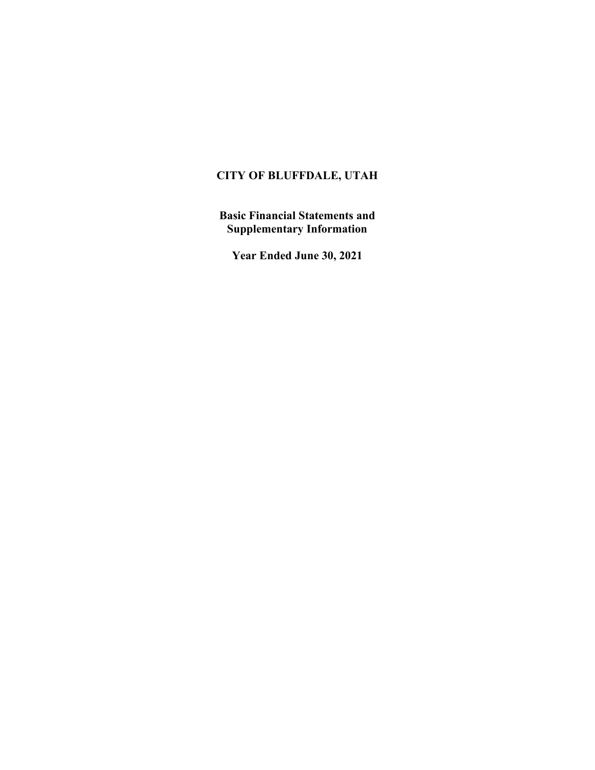# **CITY OF BLUFFDALE, UTAH**

**Basic Financial Statements and Supplementary Information** 

**Year Ended June 30, 2021**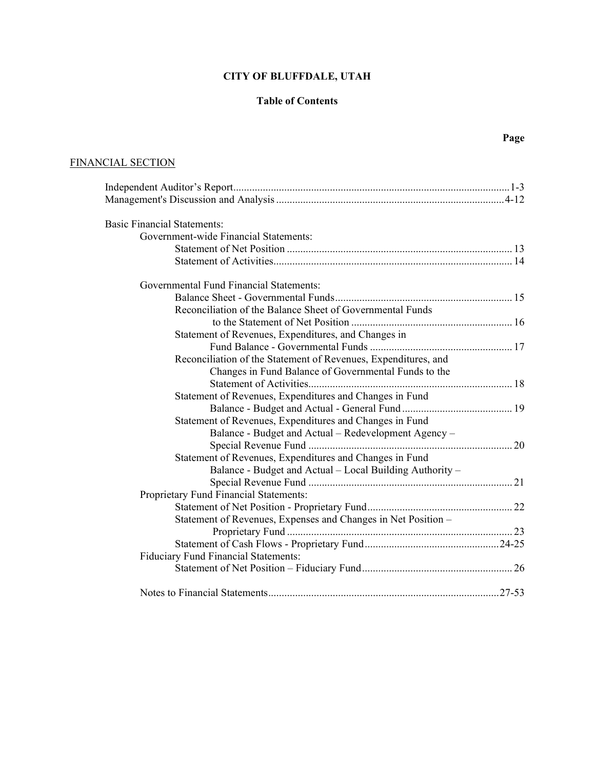# **CITY OF BLUFFDALE, UTAH**

# **Table of Contents**

# FINANCIAL SECTION

| <b>Basic Financial Statements:</b>                             |  |
|----------------------------------------------------------------|--|
| Government-wide Financial Statements:                          |  |
|                                                                |  |
|                                                                |  |
| <b>Governmental Fund Financial Statements:</b>                 |  |
|                                                                |  |
| Reconciliation of the Balance Sheet of Governmental Funds      |  |
|                                                                |  |
| Statement of Revenues, Expenditures, and Changes in            |  |
|                                                                |  |
| Reconciliation of the Statement of Revenues, Expenditures, and |  |
| Changes in Fund Balance of Governmental Funds to the           |  |
|                                                                |  |
| Statement of Revenues, Expenditures and Changes in Fund        |  |
|                                                                |  |
| Statement of Revenues, Expenditures and Changes in Fund        |  |
| Balance - Budget and Actual – Redevelopment Agency –           |  |
|                                                                |  |
| Statement of Revenues, Expenditures and Changes in Fund        |  |
| Balance - Budget and Actual - Local Building Authority -       |  |
|                                                                |  |
| Proprietary Fund Financial Statements:                         |  |
|                                                                |  |
| Statement of Revenues, Expenses and Changes in Net Position -  |  |
|                                                                |  |
|                                                                |  |
| <b>Fiduciary Fund Financial Statements:</b>                    |  |
|                                                                |  |
|                                                                |  |
|                                                                |  |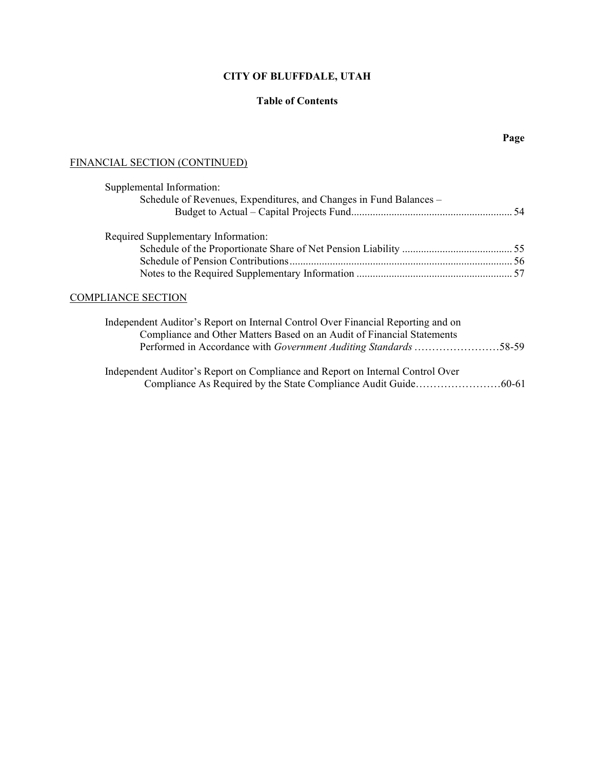# **CITY OF BLUFFDALE, UTAH**

# **Table of Contents**

# FINANCIAL SECTION (CONTINUED)

| Supplemental Information:<br>Schedule of Revenues, Expenditures, and Changes in Fund Balances - |  |
|-------------------------------------------------------------------------------------------------|--|
|                                                                                                 |  |
| Required Supplementary Information:                                                             |  |
|                                                                                                 |  |
|                                                                                                 |  |
|                                                                                                 |  |
| <b>COMPLIANCE SECTION</b>                                                                       |  |

| Independent Auditor's Report on Internal Control Over Financial Reporting and on |  |
|----------------------------------------------------------------------------------|--|
| Compliance and Other Matters Based on an Audit of Financial Statements           |  |
|                                                                                  |  |
|                                                                                  |  |
| Independent Auditor's Report on Compliance and Report on Internal Control Over   |  |
|                                                                                  |  |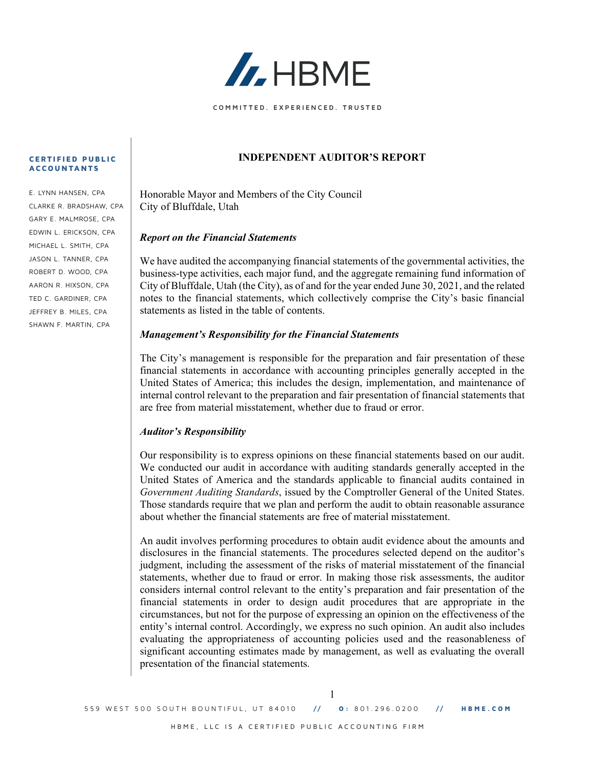

#### **COMMITTED. EXPERIENCED. TRUSTED**

#### CERTIFIED PUBLIC ACCOUNTANTS

E. LYNN HANSEN, CPA CLARKE R. BRADSHAW, CPA GARY F. MALMROSE, CPA EDWIN L. ERICKSON, CPA MICHAEL L. SMITH, CPA JASON L. TANNER, CPA ROBERT D. WOOD, CPA AARON R. HIXSON, CPA TED C. GARDINER, CPA JEFFREY B. MILES, CPA SHAWN F. MARTIN, CPA

# **INDEPENDENT AUDITOR'S REPORT**

Honorable Mayor and Members of the City Council City of Bluffdale, Utah

#### *Report on the Financial Statements*

We have audited the accompanying financial statements of the governmental activities, the business-type activities, each major fund, and the aggregate remaining fund information of City of Bluffdale, Utah (the City), as of and for the year ended June 30, 2021, and the related notes to the financial statements, which collectively comprise the City's basic financial statements as listed in the table of contents.

## *Management's Responsibility for the Financial Statements*

The City's management is responsible for the preparation and fair presentation of these financial statements in accordance with accounting principles generally accepted in the United States of America; this includes the design, implementation, and maintenance of internal control relevant to the preparation and fair presentation of financial statements that are free from material misstatement, whether due to fraud or error.

## *Auditor's Responsibility*

Our responsibility is to express opinions on these financial statements based on our audit. We conducted our audit in accordance with auditing standards generally accepted in the United States of America and the standards applicable to financial audits contained in *Government Auditing Standards*, issued by the Comptroller General of the United States. Those standards require that we plan and perform the audit to obtain reasonable assurance about whether the financial statements are free of material misstatement.

An audit involves performing procedures to obtain audit evidence about the amounts and disclosures in the financial statements. The procedures selected depend on the auditor's judgment, including the assessment of the risks of material misstatement of the financial statements, whether due to fraud or error. In making those risk assessments, the auditor considers internal control relevant to the entity's preparation and fair presentation of the financial statements in order to design audit procedures that are appropriate in the circumstances, but not for the purpose of expressing an opinion on the effectiveness of the entity's internal control. Accordingly, we express no such opinion. An audit also includes evaluating the appropriateness of accounting policies used and the reasonableness of significant accounting estimates made by management, as well as evaluating the overall presentation of the financial statements.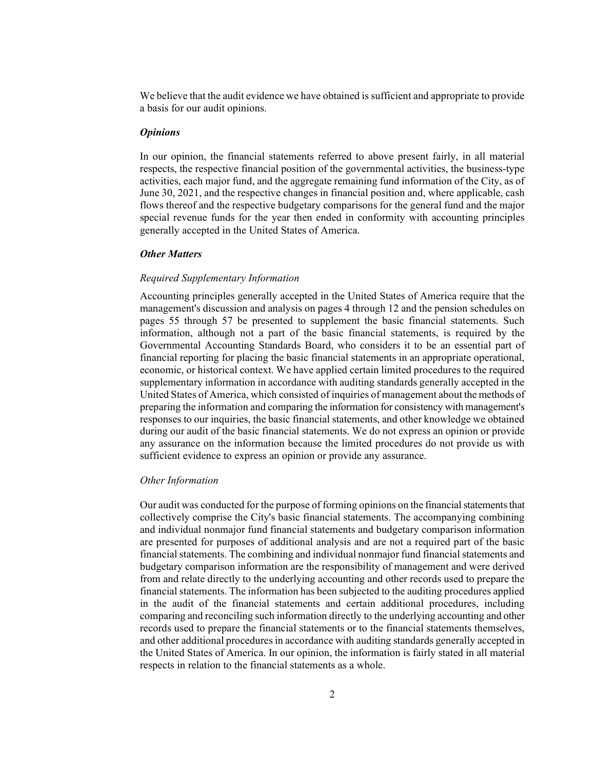We believe that the audit evidence we have obtained is sufficient and appropriate to provide a basis for our audit opinions.

#### *Opinions*

In our opinion, the financial statements referred to above present fairly, in all material respects, the respective financial position of the governmental activities, the business-type activities, each major fund, and the aggregate remaining fund information of the City, as of June 30, 2021, and the respective changes in financial position and, where applicable, cash flows thereof and the respective budgetary comparisons for the general fund and the major special revenue funds for the year then ended in conformity with accounting principles generally accepted in the United States of America.

#### *Other Matters*

## *Required Supplementary Information*

Accounting principles generally accepted in the United States of America require that the management's discussion and analysis on pages 4 through 12 and the pension schedules on pages 55 through 57 be presented to supplement the basic financial statements. Such information, although not a part of the basic financial statements, is required by the Governmental Accounting Standards Board, who considers it to be an essential part of financial reporting for placing the basic financial statements in an appropriate operational, economic, or historical context. We have applied certain limited procedures to the required supplementary information in accordance with auditing standards generally accepted in the United States of America, which consisted of inquiries of management about the methods of preparing the information and comparing the information for consistency with management's responses to our inquiries, the basic financial statements, and other knowledge we obtained during our audit of the basic financial statements. We do not express an opinion or provide any assurance on the information because the limited procedures do not provide us with sufficient evidence to express an opinion or provide any assurance.

#### *Other Information*

Our audit was conducted for the purpose of forming opinions on the financialstatements that collectively comprise the City's basic financial statements. The accompanying combining and individual nonmajor fund financial statements and budgetary comparison information are presented for purposes of additional analysis and are not a required part of the basic financial statements. The combining and individual nonmajor fund financial statements and budgetary comparison information are the responsibility of management and were derived from and relate directly to the underlying accounting and other records used to prepare the financial statements. The information has been subjected to the auditing procedures applied in the audit of the financial statements and certain additional procedures, including comparing and reconciling such information directly to the underlying accounting and other records used to prepare the financial statements or to the financial statements themselves, and other additional procedures in accordance with auditing standards generally accepted in the United States of America. In our opinion, the information is fairly stated in all material respects in relation to the financial statements as a whole.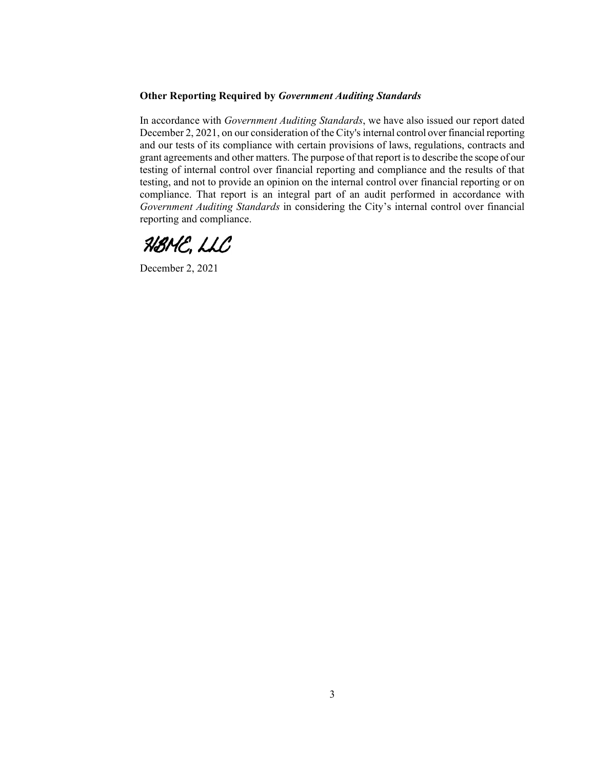## **Other Reporting Required by** *Government Auditing Standards*

In accordance with *Government Auditing Standards*, we have also issued our report dated December 2, 2021, on our consideration of the City's internal control over financial reporting and our tests of its compliance with certain provisions of laws, regulations, contracts and grant agreements and other matters. The purpose of that report is to describe the scope of our testing of internal control over financial reporting and compliance and the results of that testing, and not to provide an opinion on the internal control over financial reporting or on compliance. That report is an integral part of an audit performed in accordance with *Government Auditing Standards* in considering the City's internal control over financial reporting and compliance.

HBME, LLC

December 2, 2021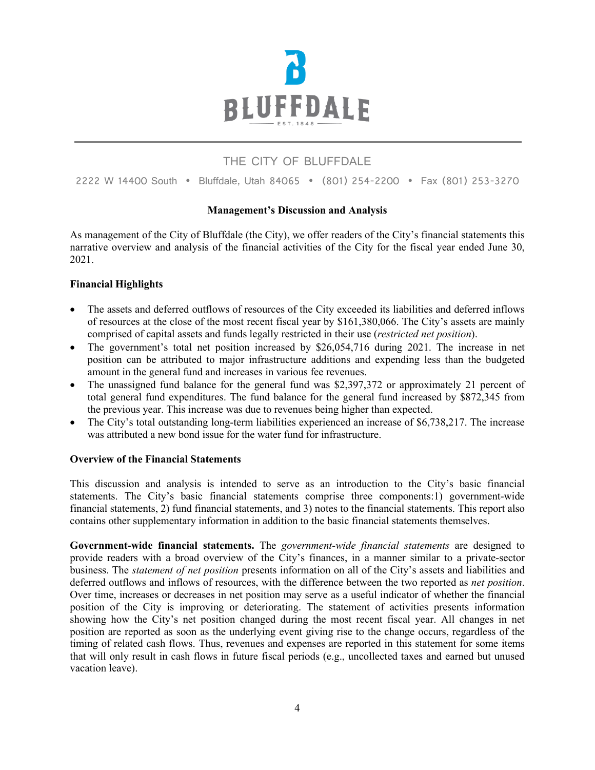

# THE CITY OF BLUFFDALE

2222 W 14400 South · Bluffdale, Utah 84065 · (801) 254-2200 · Fax (801) 253-3270

# **Management's Discussion and Analysis**

As management of the City of Bluffdale (the City), we offer readers of the City's financial statements this narrative overview and analysis of the financial activities of the City for the fiscal year ended June 30, 2021.

# **Financial Highlights**

- The assets and deferred outflows of resources of the City exceeded its liabilities and deferred inflows of resources at the close of the most recent fiscal year by \$161,380,066. The City's assets are mainly comprised of capital assets and funds legally restricted in their use (*restricted net position*).
- The government's total net position increased by \$26,054,716 during 2021. The increase in net position can be attributed to major infrastructure additions and expending less than the budgeted amount in the general fund and increases in various fee revenues.
- The unassigned fund balance for the general fund was \$2,397,372 or approximately 21 percent of total general fund expenditures. The fund balance for the general fund increased by \$872,345 from the previous year. This increase was due to revenues being higher than expected.
- The City's total outstanding long-term liabilities experienced an increase of \$6,738,217. The increase was attributed a new bond issue for the water fund for infrastructure.

## **Overview of the Financial Statements**

This discussion and analysis is intended to serve as an introduction to the City's basic financial statements. The City's basic financial statements comprise three components:1) government-wide financial statements, 2) fund financial statements, and 3) notes to the financial statements. This report also contains other supplementary information in addition to the basic financial statements themselves.

**Government-wide financial statements.** The *government-wide financial statements* are designed to provide readers with a broad overview of the City's finances, in a manner similar to a private-sector business. The *statement of net position* presents information on all of the City's assets and liabilities and deferred outflows and inflows of resources, with the difference between the two reported as *net position*. Over time, increases or decreases in net position may serve as a useful indicator of whether the financial position of the City is improving or deteriorating. The statement of activities presents information showing how the City's net position changed during the most recent fiscal year. All changes in net position are reported as soon as the underlying event giving rise to the change occurs, regardless of the timing of related cash flows. Thus, revenues and expenses are reported in this statement for some items that will only result in cash flows in future fiscal periods (e.g., uncollected taxes and earned but unused vacation leave).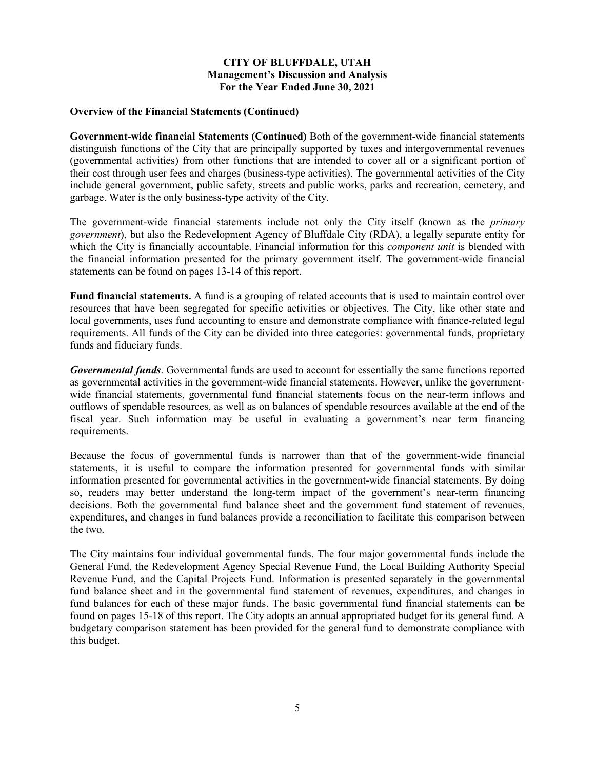## **Overview of the Financial Statements (Continued)**

**Government-wide financial Statements (Continued)** Both of the government-wide financial statements distinguish functions of the City that are principally supported by taxes and intergovernmental revenues (governmental activities) from other functions that are intended to cover all or a significant portion of their cost through user fees and charges (business-type activities). The governmental activities of the City include general government, public safety, streets and public works, parks and recreation, cemetery, and garbage. Water is the only business-type activity of the City.

The government-wide financial statements include not only the City itself (known as the *primary government*), but also the Redevelopment Agency of Bluffdale City (RDA), a legally separate entity for which the City is financially accountable. Financial information for this *component unit* is blended with the financial information presented for the primary government itself. The government-wide financial statements can be found on pages 13-14 of this report.

**Fund financial statements.** A fund is a grouping of related accounts that is used to maintain control over resources that have been segregated for specific activities or objectives. The City, like other state and local governments, uses fund accounting to ensure and demonstrate compliance with finance-related legal requirements. All funds of the City can be divided into three categories: governmental funds, proprietary funds and fiduciary funds.

*Governmental funds*. Governmental funds are used to account for essentially the same functions reported as governmental activities in the government-wide financial statements. However, unlike the governmentwide financial statements, governmental fund financial statements focus on the near-term inflows and outflows of spendable resources, as well as on balances of spendable resources available at the end of the fiscal year. Such information may be useful in evaluating a government's near term financing requirements.

Because the focus of governmental funds is narrower than that of the government-wide financial statements, it is useful to compare the information presented for governmental funds with similar information presented for governmental activities in the government-wide financial statements. By doing so, readers may better understand the long-term impact of the government's near-term financing decisions. Both the governmental fund balance sheet and the government fund statement of revenues, expenditures, and changes in fund balances provide a reconciliation to facilitate this comparison between the two.

The City maintains four individual governmental funds. The four major governmental funds include the General Fund, the Redevelopment Agency Special Revenue Fund, the Local Building Authority Special Revenue Fund, and the Capital Projects Fund. Information is presented separately in the governmental fund balance sheet and in the governmental fund statement of revenues, expenditures, and changes in fund balances for each of these major funds. The basic governmental fund financial statements can be found on pages 15-18 of this report. The City adopts an annual appropriated budget for its general fund. A budgetary comparison statement has been provided for the general fund to demonstrate compliance with this budget.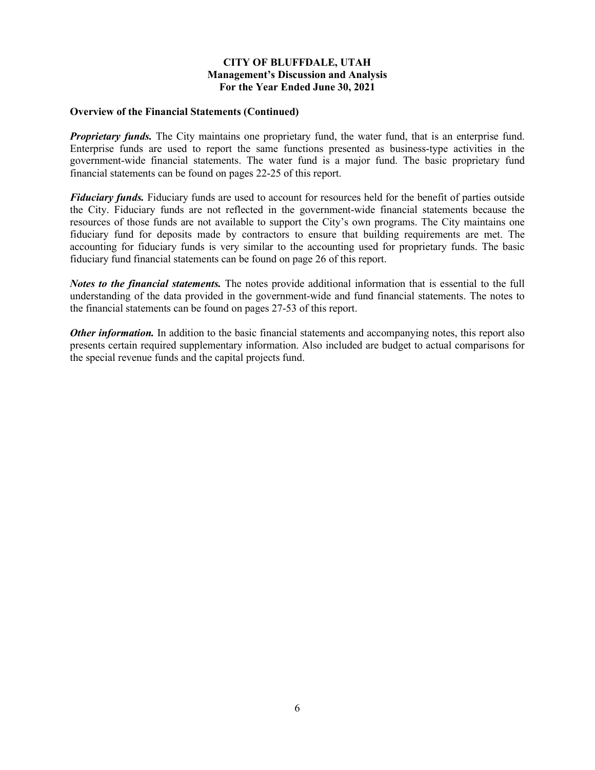## **Overview of the Financial Statements (Continued)**

*Proprietary funds.* The City maintains one proprietary fund, the water fund, that is an enterprise fund. Enterprise funds are used to report the same functions presented as business-type activities in the government-wide financial statements. The water fund is a major fund. The basic proprietary fund financial statements can be found on pages 22-25 of this report.

*Fiduciary funds.* Fiduciary funds are used to account for resources held for the benefit of parties outside the City. Fiduciary funds are not reflected in the government-wide financial statements because the resources of those funds are not available to support the City's own programs. The City maintains one fiduciary fund for deposits made by contractors to ensure that building requirements are met. The accounting for fiduciary funds is very similar to the accounting used for proprietary funds. The basic fiduciary fund financial statements can be found on page 26 of this report.

*Notes to the financial statements.* The notes provide additional information that is essential to the full understanding of the data provided in the government-wide and fund financial statements. The notes to the financial statements can be found on pages 27-53 of this report.

*Other information.* In addition to the basic financial statements and accompanying notes, this report also presents certain required supplementary information. Also included are budget to actual comparisons for the special revenue funds and the capital projects fund.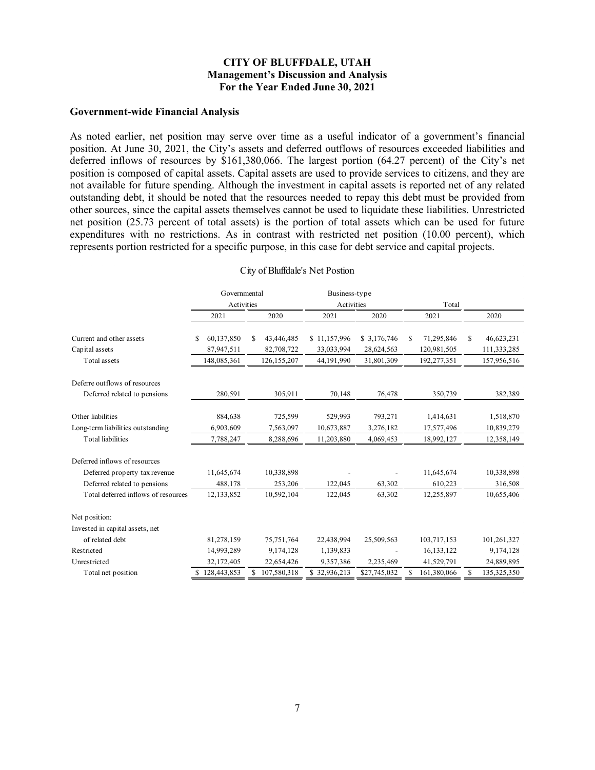#### **Government-wide Financial Analysis**

As noted earlier, net position may serve over time as a useful indicator of a government's financial position. At June 30, 2021, the City's assets and deferred outflows of resources exceeded liabilities and deferred inflows of resources by \$161,380,066. The largest portion (64.27 percent) of the City's net position is composed of capital assets. Capital assets are used to provide services to citizens, and they are not available for future spending. Although the investment in capital assets is reported net of any related outstanding debt, it should be noted that the resources needed to repay this debt must be provided from other sources, since the capital assets themselves cannot be used to liquidate these liabilities. Unrestricted net position (25.73 percent of total assets) is the portion of total assets which can be used for future expenditures with no restrictions. As in contrast with restricted net position (10.00 percent), which represents portion restricted for a specific purpose, in this case for debt service and capital projects.

|                                     | Governmental    |                   | Business-type |              |                  |                   |
|-------------------------------------|-----------------|-------------------|---------------|--------------|------------------|-------------------|
|                                     | Activities      |                   | Activities    |              | Total            |                   |
|                                     | 2021            | 2020              | 2021          | 2020         | 2021             | 2020              |
| Current and other assets            | 60,137,850<br>S | 43,446,485<br>S.  | \$11,157,996  | \$ 3,176,746 | S<br>71,295,846  | \$<br>46,623,231  |
|                                     | 87,947,511      |                   | 33,033,994    | 28,624,563   |                  |                   |
| Capital assets                      |                 | 82,708,722        |               |              | 120,981,505      | 111,333,285       |
| Total assets                        | 148,085,361     | 126, 155, 207     | 44,191,990    | 31,801,309   | 192,277,351      | 157,956,516       |
| Deferre outflows of resources       |                 |                   |               |              |                  |                   |
| Deferred related to pensions        | 280,591         | 305,911           | 70,148        | 76,478       | 350,739          | 382,389           |
| Other liabilities                   | 884,638         | 725,599           | 529,993       | 793,271      | 1,414,631        | 1,518,870         |
| Long-term liabilities outstanding   | 6,903,609       | 7,563,097         | 10,673,887    | 3,276,182    | 17,577,496       | 10,839,279        |
| <b>Total liabilities</b>            | 7,788,247       | 8,288,696         | 11,203,880    | 4,069,453    | 18,992,127       | 12,358,149        |
| Deferred inflows of resources       |                 |                   |               |              |                  |                   |
| Deferred property tax revenue       | 11,645,674      | 10,338,898        |               |              | 11,645,674       | 10,338,898        |
| Deferred related to pensions        | 488.178         | 253,206           | 122,045       | 63,302       | 610,223          | 316,508           |
| Total deferred inflows of resources | 12,133,852      | 10,592,104        | 122,045       | 63,302       | 12,255,897       | 10,655,406        |
| Net position:                       |                 |                   |               |              |                  |                   |
| Invested in capital assets, net     |                 |                   |               |              |                  |                   |
| of related debt                     | 81,278,159      | 75,751,764        | 22,438,994    | 25,509,563   | 103,717,153      | 101,261,327       |
| Restricted                          | 14,993,289      | 9,174,128         | 1,139,833     |              | 16,133,122       | 9,174,128         |
| Unrestricted                        | 32,172,405      | 22,654,426        | 9,357,386     | 2,235,469    | 41,529,791       | 24,889,895        |
| Total net position                  | \$128,443,853   | 107,580,318<br>S. | \$32,936,213  | \$27,745,032 | 161,380,066<br>S | \$<br>135,325,350 |

#### City of Bluffdale's Net Postion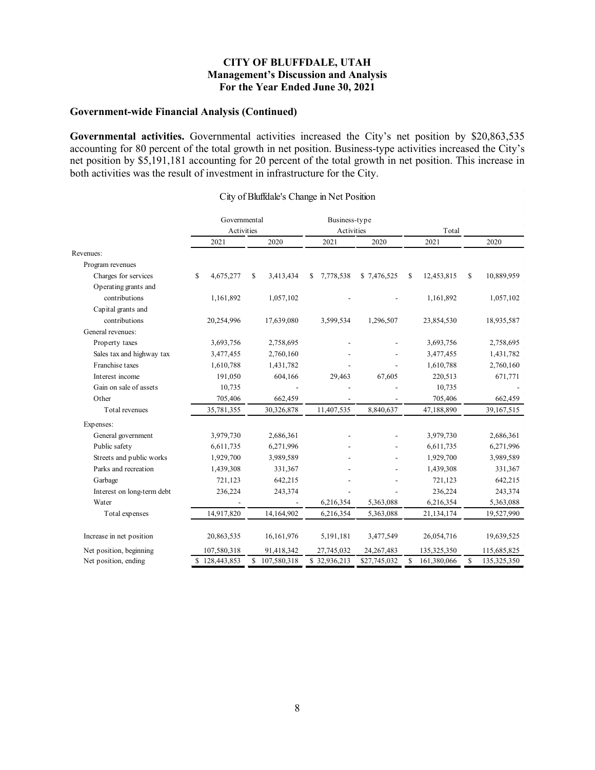## **Government-wide Financial Analysis (Continued)**

**Governmental activities.** Governmental activities increased the City's net position by \$20,863,535 accounting for 80 percent of the total growth in net position. Business-type activities increased the City's net position by \$5,191,181 accounting for 20 percent of the total growth in net position. This increase in both activities was the result of investment in infrastructure for the City.

|                            | Governmental              |                            | Business-type  |              |                  |                   |
|----------------------------|---------------------------|----------------------------|----------------|--------------|------------------|-------------------|
|                            | Activities                |                            | Activities     |              | Total            |                   |
|                            | 2021                      | 2020                       | 2021           | 2020         | 2021             | 2020              |
| Revenues:                  |                           |                            |                |              |                  |                   |
| Program revenues           |                           |                            |                |              |                  |                   |
| Charges for services       | $\mathbb{S}$<br>4,675,277 | <sup>\$</sup><br>3,413,434 | 7,778,538<br>S | \$7,476,525  | 12,453,815<br>S  | 10,889,959<br>\$  |
| Operating grants and       |                           |                            |                |              |                  |                   |
| contributions              | 1,161,892                 | 1,057,102                  |                |              | 1,161,892        | 1,057,102         |
| Capital grants and         |                           |                            |                |              |                  |                   |
| contributions              | 20,254,996                | 17,639,080                 | 3,599,534      | 1,296,507    | 23,854,530       | 18,935,587        |
| General revenues:          |                           |                            |                |              |                  |                   |
| Property taxes             | 3,693,756                 | 2,758,695                  |                |              | 3,693,756        | 2,758,695         |
| Sales tax and highway tax  | 3,477,455                 | 2,760,160                  |                |              | 3,477,455        | 1,431,782         |
| Franchise taxes            | 1,610,788                 | 1,431,782                  |                |              | 1,610,788        | 2,760,160         |
| Interest income            | 191,050                   | 604,166                    | 29,463         | 67,605       | 220,513          | 671,771           |
| Gain on sale of assets     | 10,735                    |                            |                |              | 10,735           |                   |
| Other                      | 705,406                   | 662,459                    |                |              | 705,406          | 662,459           |
| Total revenues             | 35,781,355                | 30,326,878                 | 11,407,535     | 8,840,637    | 47,188,890       | 39,167,515        |
| Expenses:                  |                           |                            |                |              |                  |                   |
| General government         | 3,979,730                 | 2,686,361                  |                |              | 3,979,730        | 2,686,361         |
| Public safety              | 6,611,735                 | 6,271,996                  |                |              | 6,611,735        | 6,271,996         |
| Streets and public works   | 1,929,700                 | 3,989,589                  |                |              | 1,929,700        | 3,989,589         |
| Parks and recreation       | 1,439,308                 | 331,367                    |                |              | 1,439,308        | 331,367           |
| Garbage                    | 721,123                   | 642,215                    |                |              | 721,123          | 642,215           |
| Interest on long-term debt | 236,224                   | 243,374                    |                |              | 236,224          | 243,374           |
| Water                      |                           |                            | 6,216,354      | 5,363,088    | 6,216,354        | 5,363,088         |
| Total expenses             | 14,917,820                | 14,164,902                 | 6,216,354      | 5,363,088    | 21,134,174       | 19,527,990        |
| Increase in net position   | 20,863,535                | 16, 161, 976               | 5,191,181      | 3,477,549    | 26,054,716       | 19,639,525        |
| Net position, beginning    | 107,580,318               | 91,418,342                 | 27,745,032     | 24, 267, 483 | 135,325,350      | 115,685,825       |
| Net position, ending       | \$128,443,853             | 107,580,318<br>\$          | \$32,936,213   | \$27,745,032 | 161,380,066<br>S | \$<br>135,325,350 |

#### City of Bluffdale's Change in Net Position

 $\sim$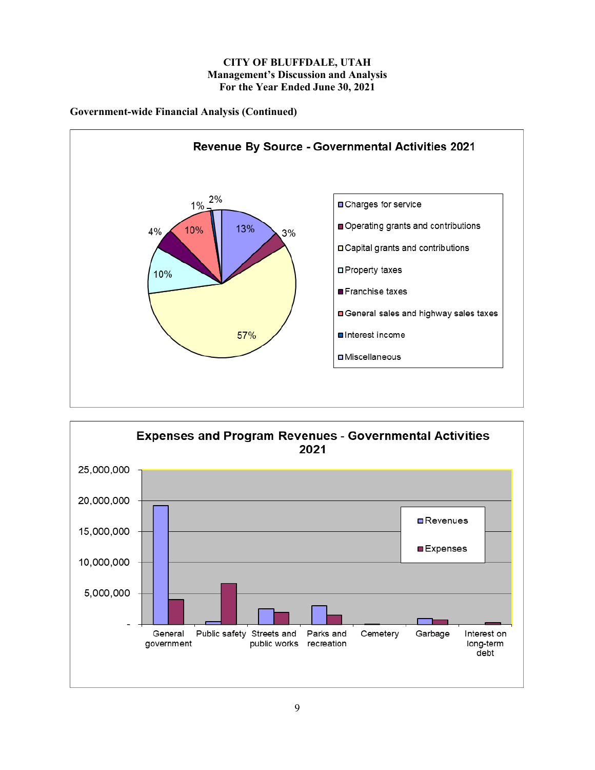**Government-wide Financial Analysis (Continued)**



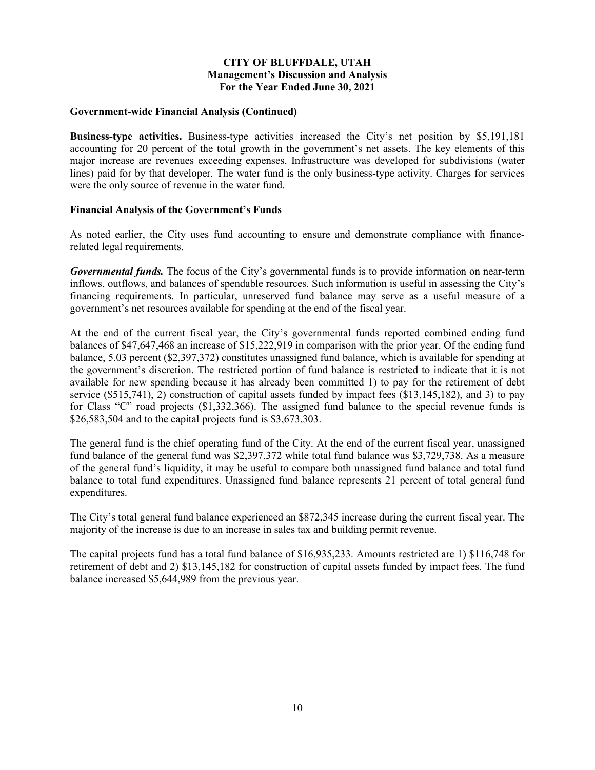## **Government-wide Financial Analysis (Continued)**

**Business-type activities.** Business-type activities increased the City's net position by \$5,191,181 accounting for 20 percent of the total growth in the government's net assets. The key elements of this major increase are revenues exceeding expenses. Infrastructure was developed for subdivisions (water lines) paid for by that developer. The water fund is the only business-type activity. Charges for services were the only source of revenue in the water fund.

## **Financial Analysis of the Government's Funds**

As noted earlier, the City uses fund accounting to ensure and demonstrate compliance with financerelated legal requirements.

*Governmental funds.* The focus of the City's governmental funds is to provide information on near-term inflows, outflows, and balances of spendable resources. Such information is useful in assessing the City's financing requirements. In particular, unreserved fund balance may serve as a useful measure of a government's net resources available for spending at the end of the fiscal year.

At the end of the current fiscal year, the City's governmental funds reported combined ending fund balances of \$47,647,468 an increase of \$15,222,919 in comparison with the prior year. Of the ending fund balance, 5.03 percent (\$2,397,372) constitutes unassigned fund balance, which is available for spending at the government's discretion. The restricted portion of fund balance is restricted to indicate that it is not available for new spending because it has already been committed 1) to pay for the retirement of debt service (\$515,741), 2) construction of capital assets funded by impact fees (\$13,145,182), and 3) to pay for Class "C" road projects (\$1,332,366). The assigned fund balance to the special revenue funds is \$26,583,504 and to the capital projects fund is \$3,673,303.

The general fund is the chief operating fund of the City. At the end of the current fiscal year, unassigned fund balance of the general fund was \$2,397,372 while total fund balance was \$3,729,738. As a measure of the general fund's liquidity, it may be useful to compare both unassigned fund balance and total fund balance to total fund expenditures. Unassigned fund balance represents 21 percent of total general fund expenditures.

The City's total general fund balance experienced an \$872,345 increase during the current fiscal year. The majority of the increase is due to an increase in sales tax and building permit revenue.

The capital projects fund has a total fund balance of \$16,935,233. Amounts restricted are 1) \$116,748 for retirement of debt and 2) \$13,145,182 for construction of capital assets funded by impact fees. The fund balance increased \$5,644,989 from the previous year.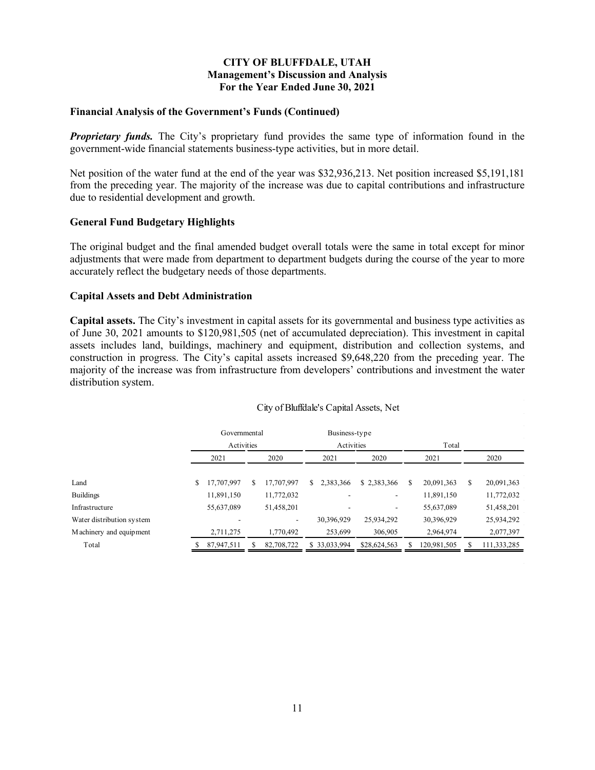#### **Financial Analysis of the Government's Funds (Continued)**

*Proprietary funds.* The City's proprietary fund provides the same type of information found in the government-wide financial statements business-type activities, but in more detail.

Net position of the water fund at the end of the year was \$32,936,213. Net position increased \$5,191,181 from the preceding year. The majority of the increase was due to capital contributions and infrastructure due to residential development and growth.

## **General Fund Budgetary Highlights**

The original budget and the final amended budget overall totals were the same in total except for minor adjustments that were made from department to department budgets during the course of the year to more accurately reflect the budgetary needs of those departments.

## **Capital Assets and Debt Administration**

**Capital assets.** The City's investment in capital assets for its governmental and business type activities as of June 30, 2021 amounts to \$120,981,505 (net of accumulated depreciation). This investment in capital assets includes land, buildings, machinery and equipment, distribution and collection systems, and construction in progress. The City's capital assets increased \$9,648,220 from the preceding year. The majority of the increase was from infrastructure from developers' contributions and investment the water distribution system.

|                           | Governmental |            |      |            | Business-type |              |                              |   |             |   |             |
|---------------------------|--------------|------------|------|------------|---------------|--------------|------------------------------|---|-------------|---|-------------|
|                           |              | Activities |      |            | Activities    |              |                              |   | Total       |   |             |
|                           |              | 2021       | 2020 |            | 2021          |              | 2020                         |   | 2021        |   | 2020        |
|                           |              |            |      |            |               |              |                              |   |             |   |             |
| Land                      | S.           | 17,707,997 | S.   | 17,707,997 | S.            | 2.383.366    | \$2,383,366                  | S | 20,091,363  | S | 20,091,363  |
| <b>Buildings</b>          |              | 11,891,150 |      | 11,772,032 |               |              | $\qquad \qquad \blacksquare$ |   | 11,891,150  |   | 11,772,032  |
| Infrastructure            |              | 55,637,089 |      | 51,458,201 |               |              | ٠                            |   | 55,637,089  |   | 51,458,201  |
| Water distribution system |              |            |      |            |               | 30,396,929   | 25,934,292                   |   | 30,396,929  |   | 25,934,292  |
| Machinery and equipment   |              | 2,711,275  |      | 1,770,492  |               | 253,699      | 306,905                      |   | 2,964,974   |   | 2,077,397   |
| Total                     |              | 87,947,511 |      | 82,708,722 |               | \$33,033,994 | \$28,624,563                 |   | 120,981,505 |   | 111,333,285 |

#### City of Bluffdale's Capital Assets, Net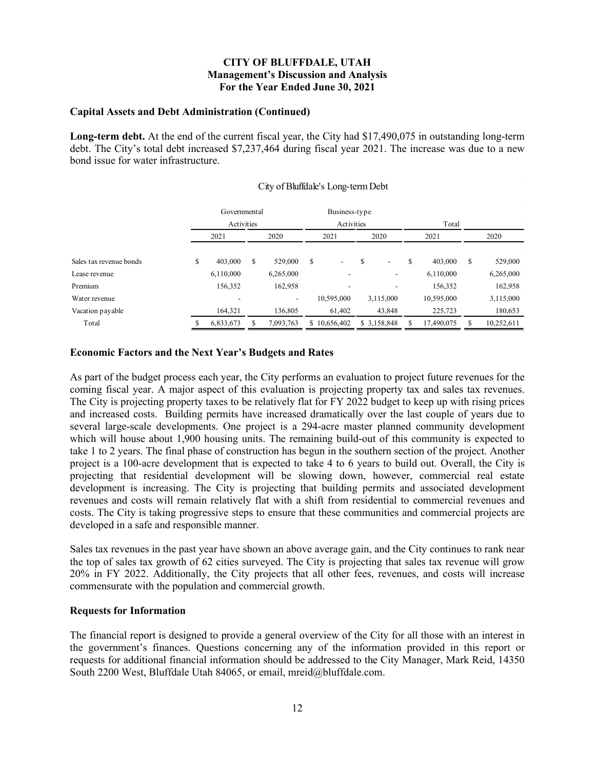#### **Capital Assets and Debt Administration (Continued)**

**Long-term debt.** At the end of the current fiscal year, the City had \$17,490,075 in outstanding long-term debt. The City's total debt increased \$7,237,464 during fiscal year 2021. The increase was due to a new bond issue for water infrastructure.

|                         | $\check{ }$   |    |                          |   |                          |    |                          |       |            |    |            |
|-------------------------|---------------|----|--------------------------|---|--------------------------|----|--------------------------|-------|------------|----|------------|
|                         | Governmental  |    |                          |   | Business-type            |    |                          |       |            |    |            |
|                         | Activities    |    |                          |   | Activities               |    |                          | Total |            |    |            |
|                         | 2021          |    | 2020                     |   | 2021                     |    | 2020                     |       | 2021       |    | 2020       |
| Sales tax revenue bonds | \$<br>403,000 | \$ | 529,000                  | S | $\overline{\phantom{a}}$ | \$ | $\overline{\phantom{a}}$ | S     | 403,000    | \$ | 529,000    |
| Lease revenue           | 6,110,000     |    | 6,265,000                |   | ۰                        |    | $\overline{\phantom{a}}$ |       | 6,110,000  |    | 6,265,000  |
| Premium                 | 156,352       |    | 162,958                  |   |                          |    |                          |       | 156,352    |    | 162,958    |
| Water revenue           |               |    | $\overline{\phantom{a}}$ |   | 10,595,000               |    | 3,115,000                |       | 10,595,000 |    | 3,115,000  |
| Vacation payable        | 164,321       |    | 136,805                  |   | 61,402                   |    | 43,848                   |       | 225,723    |    | 180,653    |
| Total                   | 6,833,673     | S  | 7,093,763                |   | \$10,656,402             |    | \$ 3,158,848             |       | 17,490,075 |    | 10,252,611 |

## City of Bluffdale's Long-term Debt

## **Economic Factors and the Next Year's Budgets and Rates**

As part of the budget process each year, the City performs an evaluation to project future revenues for the coming fiscal year. A major aspect of this evaluation is projecting property tax and sales tax revenues. The City is projecting property taxes to be relatively flat for FY 2022 budget to keep up with rising prices and increased costs. Building permits have increased dramatically over the last couple of years due to several large-scale developments. One project is a 294-acre master planned community development which will house about 1,900 housing units. The remaining build-out of this community is expected to take 1 to 2 years. The final phase of construction has begun in the southern section of the project. Another project is a 100-acre development that is expected to take 4 to 6 years to build out. Overall, the City is projecting that residential development will be slowing down, however, commercial real estate development is increasing. The City is projecting that building permits and associated development revenues and costs will remain relatively flat with a shift from residential to commercial revenues and costs. The City is taking progressive steps to ensure that these communities and commercial projects are developed in a safe and responsible manner.

Sales tax revenues in the past year have shown an above average gain, and the City continues to rank near the top of sales tax growth of 62 cities surveyed. The City is projecting that sales tax revenue will grow 20% in FY 2022. Additionally, the City projects that all other fees, revenues, and costs will increase commensurate with the population and commercial growth.

#### **Requests for Information**

The financial report is designed to provide a general overview of the City for all those with an interest in the government's finances. Questions concerning any of the information provided in this report or requests for additional financial information should be addressed to the City Manager, Mark Reid, 14350 South 2200 West, Bluffdale Utah 84065, or email, mreid@bluffdale.com.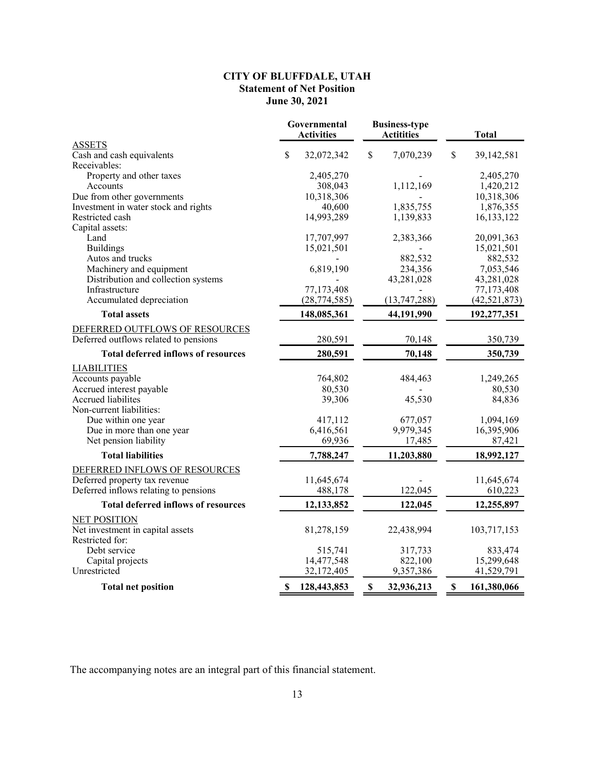# **CITY OF BLUFFDALE, UTAH Statement of Net Position June 30, 2021**

|                                                       | Governmental<br><b>Activities</b> | <b>Business-type</b><br><b>Actitities</b> | <b>Total</b>                             |
|-------------------------------------------------------|-----------------------------------|-------------------------------------------|------------------------------------------|
| <b>ASSETS</b>                                         |                                   |                                           |                                          |
| Cash and cash equivalents                             | \$<br>32,072,342                  | $\mathbf{\hat{S}}$<br>7,070,239           | \$<br>39,142,581                         |
| Receivables:<br>Property and other taxes              | 2,405,270                         |                                           | 2,405,270                                |
| Accounts                                              | 308,043                           | 1,112,169                                 | 1,420,212                                |
| Due from other governments                            | 10,318,306                        |                                           | 10,318,306                               |
| Investment in water stock and rights                  | 40,600                            | 1,835,755                                 | 1,876,355                                |
| Restricted cash                                       | 14,993,289                        | 1,139,833                                 | 16,133,122                               |
| Capital assets:                                       |                                   |                                           |                                          |
| Land                                                  | 17,707,997                        | 2,383,366                                 | 20,091,363                               |
| <b>Buildings</b>                                      | 15,021,501                        |                                           | 15,021,501                               |
| Autos and trucks                                      |                                   | 882,532                                   | 882,532                                  |
| Machinery and equipment                               | 6,819,190                         | 234,356                                   | 7,053,546                                |
| Distribution and collection systems<br>Infrastructure | 77,173,408                        | 43,281,028                                | 43,281,028<br>77,173,408                 |
| Accumulated depreciation                              | (28, 774, 585)                    | (13, 747, 288)                            | (42, 521, 873)                           |
| <b>Total assets</b>                                   | 148,085,361                       | 44,191,990                                | 192,277,351                              |
| DEFERRED OUTFLOWS OF RESOURCES                        |                                   |                                           |                                          |
| Deferred outflows related to pensions                 | 280,591                           | 70,148                                    | 350,739                                  |
| <b>Total deferred inflows of resources</b>            | 280,591                           | 70,148                                    | 350,739                                  |
| <b>LIABILITIES</b>                                    |                                   |                                           |                                          |
| Accounts payable                                      | 764,802                           | 484,463                                   | 1,249,265                                |
| Accrued interest payable                              | 80,530                            |                                           | 80,530                                   |
| Accrued liabilites                                    | 39,306                            | 45,530                                    | 84,836                                   |
| Non-current liabilities:                              |                                   |                                           |                                          |
| Due within one year                                   | 417,112                           | 677,057                                   | 1,094,169                                |
| Due in more than one year                             | 6,416,561                         | 9,979,345                                 | 16,395,906                               |
| Net pension liability                                 | 69,936                            | 17,485                                    | 87,421                                   |
| <b>Total liabilities</b>                              | 7,788,247                         | 11,203,880                                | 18,992,127                               |
| DEFERRED INFLOWS OF RESOURCES                         |                                   |                                           |                                          |
| Deferred property tax revenue                         | 11,645,674                        |                                           | 11,645,674                               |
| Deferred inflows relating to pensions                 | 488,178                           | 122,045                                   | 610,223                                  |
| <b>Total deferred inflows of resources</b>            | 12,133,852                        | 122,045                                   | 12,255,897                               |
| <b>NET POSITION</b>                                   |                                   |                                           |                                          |
| Net investment in capital assets                      | 81,278,159                        | 22,438,994                                | 103,717,153                              |
| Restricted for:                                       |                                   |                                           |                                          |
| Debt service                                          | 515,741                           | 317,733                                   | 833,474                                  |
| Capital projects                                      | 14,477,548                        | 822,100                                   | 15,299,648                               |
| Unrestricted                                          | 32,172,405                        | 9,357,386                                 | 41,529,791                               |
| <b>Total net position</b>                             | 128,443,853<br>S                  | $\boldsymbol{\mathsf{S}}$<br>32,936,213   | $\boldsymbol{\mathsf{S}}$<br>161,380,066 |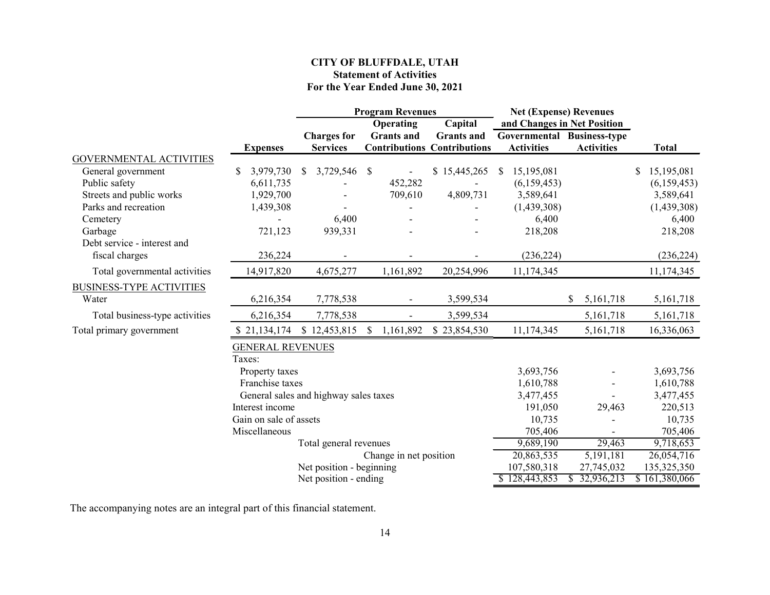# **CITY OF BLUFFDALE, UTAH Statement of Activities For the Year Ended June 30, 2021**

|                                 |                         |                                       | <b>Program Revenues</b>   |                                    | <b>Net (Expense) Revenues</b> |                   |                   |
|---------------------------------|-------------------------|---------------------------------------|---------------------------|------------------------------------|-------------------------------|-------------------|-------------------|
|                                 |                         |                                       | Operating                 | Capital                            | and Changes in Net Position   |                   |                   |
|                                 |                         | <b>Charges for</b>                    | <b>Grants</b> and         | <b>Grants</b> and                  | Governmental Business-type    |                   |                   |
|                                 | <b>Expenses</b>         | <b>Services</b>                       |                           | <b>Contributions Contributions</b> | <b>Activities</b>             | <b>Activities</b> | <b>Total</b>      |
| <b>GOVERNMENTAL ACTIVITIES</b>  |                         |                                       |                           |                                    |                               |                   |                   |
| General government              | \$<br>3,979,730         | 3,729,546<br>-S                       | <sup>S</sup>              | \$15,445,265                       | 15,195,081<br>\$.             |                   | 15,195,081<br>\$. |
| Public safety                   | 6,611,735               |                                       | 452,282                   |                                    | (6,159,453)                   |                   | (6,159,453)       |
| Streets and public works        | 1,929,700               |                                       | 709,610                   | 4,809,731                          | 3,589,641                     |                   | 3,589,641         |
| Parks and recreation            | 1,439,308               |                                       |                           |                                    | (1,439,308)                   |                   | (1,439,308)       |
| Cemetery                        |                         | 6,400                                 | $\overline{\phantom{a}}$  |                                    | 6,400                         |                   | 6,400             |
| Garbage                         | 721,123                 | 939,331                               |                           |                                    | 218,208                       |                   | 218,208           |
| Debt service - interest and     |                         |                                       |                           |                                    |                               |                   |                   |
| fiscal charges                  | 236,224                 |                                       |                           |                                    | (236, 224)                    |                   | (236, 224)        |
| Total governmental activities   | 14,917,820              | 4,675,277                             | 1,161,892                 | 20,254,996                         | 11,174,345                    |                   | 11,174,345        |
| <b>BUSINESS-TYPE ACTIVITIES</b> |                         |                                       |                           |                                    |                               |                   |                   |
| Water                           | 6,216,354               | 7,778,538                             | $\overline{\phantom{a}}$  | 3,599,534                          |                               | \$<br>5,161,718   | 5,161,718         |
| Total business-type activities  | 6,216,354               | 7,778,538                             |                           | 3,599,534                          |                               | 5,161,718         | 5,161,718         |
| Total primary government        | \$21,134,174            | \$12,453,815                          | 1,161,892<br>$\mathbb{S}$ | \$23,854,530                       | 11,174,345                    | 5,161,718         | 16,336,063        |
|                                 | <b>GENERAL REVENUES</b> |                                       |                           |                                    |                               |                   |                   |
|                                 | Taxes:                  |                                       |                           |                                    |                               |                   |                   |
|                                 | Property taxes          |                                       |                           |                                    | 3,693,756                     |                   | 3,693,756         |
|                                 | Franchise taxes         |                                       |                           |                                    | 1,610,788                     |                   | 1,610,788         |
|                                 |                         | General sales and highway sales taxes |                           |                                    | 3,477,455                     |                   | 3,477,455         |
|                                 | Interest income         |                                       |                           |                                    | 191,050                       | 29,463            | 220,513           |
|                                 | Gain on sale of assets  |                                       |                           |                                    | 10,735                        |                   | 10,735            |
|                                 | Miscellaneous           |                                       |                           |                                    | 705,406                       |                   | 705,406           |
|                                 |                         | Total general revenues                |                           |                                    | 9,689,190                     | 29,463            | 9,718,653         |
|                                 |                         |                                       | Change in net position    |                                    | 20,863,535                    | 5,191,181         | 26,054,716        |
|                                 |                         | Net position - beginning              |                           |                                    | 107,580,318                   | 27,745,032        | 135,325,350       |
|                                 |                         | Net position - ending                 |                           |                                    | \$128,443,853                 | 32,936,213<br>S.  | \$161,380,066     |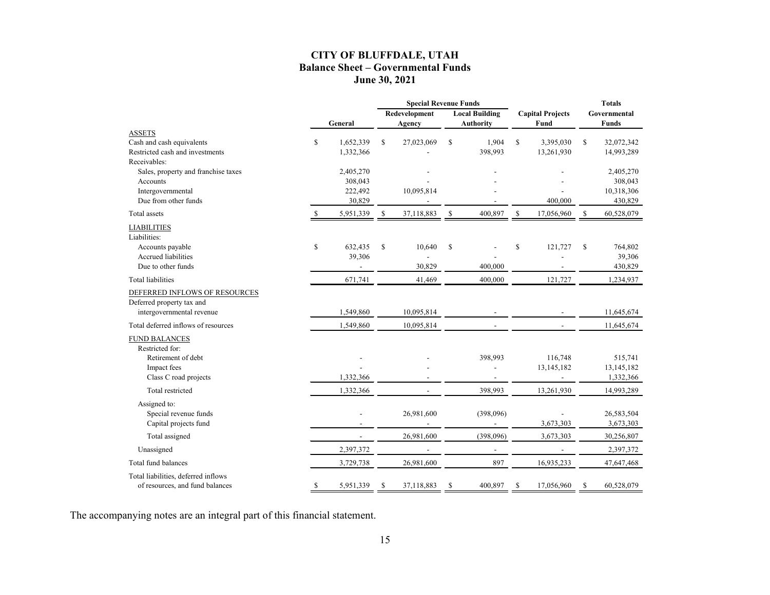# **CITY OF BLUFFDALE, UTAH Balance Sheet – Governmental Funds June 30, 2021**

|                                                                                                                     |         |                                           | <b>Special Revenue Funds</b> |                  |               |                       |                         |                         | <b>Totals</b> |                                               |  |
|---------------------------------------------------------------------------------------------------------------------|---------|-------------------------------------------|------------------------------|------------------|---------------|-----------------------|-------------------------|-------------------------|---------------|-----------------------------------------------|--|
|                                                                                                                     |         |                                           |                              | Redevelopment    |               | <b>Local Building</b> | <b>Capital Projects</b> |                         | Governmental  |                                               |  |
|                                                                                                                     | General |                                           |                              | Agency           |               | <b>Authority</b>      | Fund                    |                         | <b>Funds</b>  |                                               |  |
| <b>ASSETS</b><br>Cash and cash equivalents<br>Restricted cash and investments                                       | \$      | 1,652,339<br>1,332,366                    | S                            | 27,023,069       | <sup>\$</sup> | 1,904<br>398,993      | \$                      | 3,395,030<br>13,261,930 | \$            | 32,072,342<br>14,993,289                      |  |
| Receivables:<br>Sales, property and franchise taxes<br><b>Accounts</b><br>Intergovernmental<br>Due from other funds |         | 2,405,270<br>308,043<br>222,492<br>30,829 |                              | 10,095,814       |               |                       |                         | 400,000                 |               | 2,405,270<br>308,043<br>10,318,306<br>430,829 |  |
| Total assets                                                                                                        | \$.     | 5,951,339                                 | $\mathbb{S}$                 | 37,118,883       | \$            | 400,897               | \$                      | 17,056,960              | $\mathbb{S}$  | 60,528,079                                    |  |
| <b>LIABILITIES</b><br>Liabilities:<br>Accounts payable<br>Accrued liabilities<br>Due to other funds                 | \$      | 632,435<br>39,306                         | \$                           | 10,640<br>30,829 | \$            | 400,000               | \$                      | 121,727                 | \$            | 764,802<br>39,306<br>430,829                  |  |
| <b>Total liabilities</b>                                                                                            |         | 671,741                                   |                              | 41,469           |               | 400,000               |                         | 121,727                 |               | 1,234,937                                     |  |
| DEFERRED INFLOWS OF RESOURCES<br>Deferred property tax and<br>intergovernmental revenue                             |         | 1,549,860                                 |                              | 10,095,814       |               |                       |                         |                         |               | 11,645,674                                    |  |
| Total deferred inflows of resources                                                                                 |         | 1,549,860                                 |                              | 10,095,814       |               |                       |                         |                         |               | 11,645,674                                    |  |
| <b>FUND BALANCES</b><br>Restricted for:<br>Retirement of debt<br>Impact fees<br>Class C road projects               |         | 1,332,366                                 |                              |                  |               | 398,993               |                         | 116,748<br>13,145,182   |               | 515,741<br>13,145,182<br>1,332,366            |  |
| Total restricted                                                                                                    |         | 1,332,366                                 |                              |                  |               | 398,993               |                         | 13,261,930              |               | 14,993,289                                    |  |
| Assigned to:<br>Special revenue funds<br>Capital projects fund                                                      |         |                                           |                              | 26,981,600       |               | (398,096)             |                         | 3,673,303               |               | 26,583,504<br>3,673,303                       |  |
| Total assigned                                                                                                      |         |                                           |                              | 26,981,600       |               | (398,096)             |                         | 3,673,303               |               | 30,256,807                                    |  |
| Unassigned                                                                                                          |         | 2,397,372                                 |                              |                  |               |                       |                         |                         |               | 2,397,372                                     |  |
| Total fund balances                                                                                                 |         | 3,729,738                                 |                              | 26,981,600       |               | 897                   |                         | 16,935,233              |               | 47,647,468                                    |  |
| Total liabilities, deferred inflows<br>of resources, and fund balances                                              | \$      | 5,951,339                                 | S                            | 37,118,883       | S             | 400,897               | \$                      | 17,056,960              | \$            | 60,528,079                                    |  |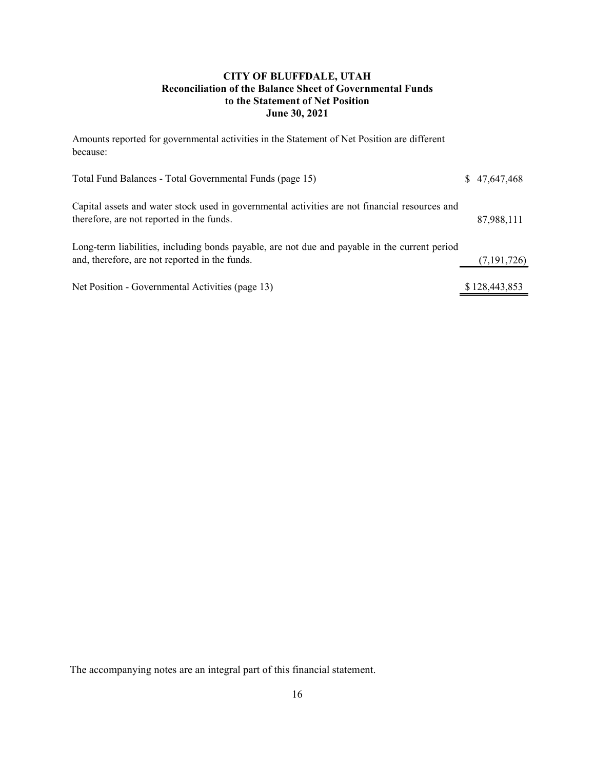# **CITY OF BLUFFDALE, UTAH Reconciliation of the Balance Sheet of Governmental Funds to the Statement of Net Position June 30, 2021**

Amounts reported for governmental activities in the Statement of Net Position are different because:

| Total Fund Balances - Total Governmental Funds (page 15)                                                                                        | \$47,647,468  |
|-------------------------------------------------------------------------------------------------------------------------------------------------|---------------|
| Capital assets and water stock used in governmental activities are not financial resources and<br>therefore, are not reported in the funds.     | 87,988,111    |
| Long-term liabilities, including bonds payable, are not due and payable in the current period<br>and, therefore, are not reported in the funds. | (7,191,726)   |
| Net Position - Governmental Activities (page 13)                                                                                                | \$128,443,853 |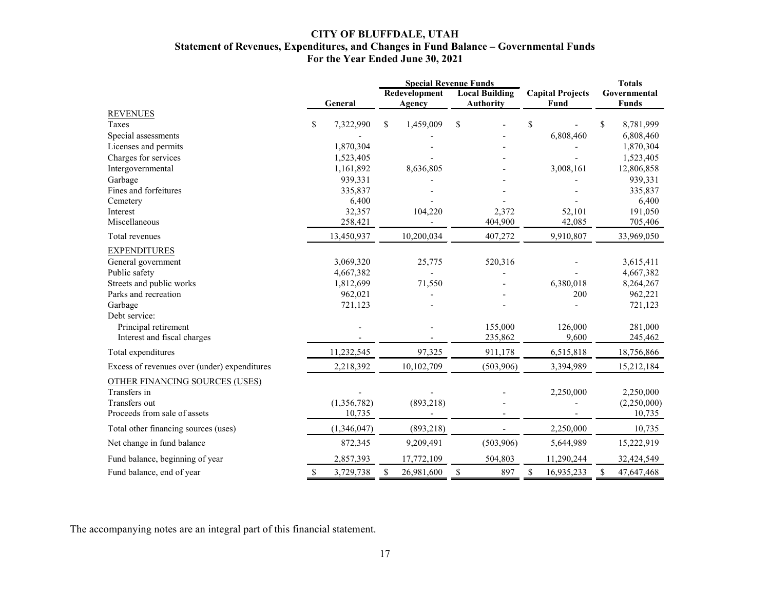# **CITY OF BLUFFDALE, UTAH Statement of Revenues, Expenditures, and Changes in Fund Balance – Governmental Funds For the Year Ended June 30, 2021**

|                                              |               |             | <b>Special Revenue Funds</b> |            |                  |                       |                         |            | <b>Totals</b> |              |  |
|----------------------------------------------|---------------|-------------|------------------------------|------------|------------------|-----------------------|-------------------------|------------|---------------|--------------|--|
|                                              |               |             | Redevelopment<br>Agency      |            |                  | <b>Local Building</b> | <b>Capital Projects</b> |            | Governmental  |              |  |
|                                              |               | General     |                              |            | <b>Authority</b> |                       | Fund                    |            |               | <b>Funds</b> |  |
| <b>REVENUES</b>                              |               |             |                              |            |                  |                       |                         |            |               |              |  |
| Taxes                                        | \$            | 7,322,990   | S                            | 1,459,009  | $\mathbb{S}$     |                       | S                       |            | S             | 8,781,999    |  |
| Special assessments                          |               |             |                              |            |                  |                       |                         | 6,808,460  |               | 6,808,460    |  |
| Licenses and permits                         |               | 1,870,304   |                              |            |                  |                       |                         |            |               | 1,870,304    |  |
| Charges for services                         |               | 1,523,405   |                              |            |                  |                       |                         |            |               | 1,523,405    |  |
| Intergovernmental                            |               | 1,161,892   |                              | 8,636,805  |                  |                       |                         | 3,008,161  |               | 12,806,858   |  |
| Garbage                                      |               | 939,331     |                              |            |                  |                       |                         |            |               | 939,331      |  |
| Fines and forfeitures                        |               | 335,837     |                              |            |                  |                       |                         |            |               | 335,837      |  |
| Cemetery                                     |               | 6,400       |                              |            |                  |                       |                         |            |               | 6,400        |  |
| Interest                                     |               | 32,357      |                              | 104,220    |                  | 2,372                 |                         | 52,101     |               | 191,050      |  |
| Miscellaneous                                |               | 258,421     |                              |            |                  | 404,900               |                         | 42,085     |               | 705,406      |  |
| Total revenues                               |               | 13,450,937  |                              | 10,200,034 |                  | 407,272               |                         | 9,910,807  |               | 33,969,050   |  |
| <b>EXPENDITURES</b>                          |               |             |                              |            |                  |                       |                         |            |               |              |  |
| General government                           |               | 3,069,320   |                              | 25,775     |                  | 520,316               |                         |            |               | 3,615,411    |  |
| Public safety                                |               | 4,667,382   |                              |            |                  |                       |                         |            |               | 4,667,382    |  |
| Streets and public works                     |               | 1,812,699   |                              | 71,550     |                  |                       |                         | 6,380,018  |               | 8,264,267    |  |
| Parks and recreation                         |               | 962,021     |                              |            |                  |                       |                         | 200        |               | 962,221      |  |
| Garbage                                      |               | 721,123     |                              |            |                  |                       |                         |            |               | 721,123      |  |
| Debt service:                                |               |             |                              |            |                  |                       |                         |            |               |              |  |
| Principal retirement                         |               |             |                              |            |                  | 155,000               |                         | 126,000    |               | 281,000      |  |
| Interest and fiscal charges                  |               |             |                              |            |                  | 235,862               |                         | 9,600      |               | 245,462      |  |
| Total expenditures                           |               | 11,232,545  |                              | 97,325     |                  | 911,178               |                         | 6,515,818  |               | 18,756,866   |  |
| Excess of revenues over (under) expenditures |               | 2,218,392   |                              | 10,102,709 |                  | (503,906)             |                         | 3,394,989  |               | 15,212,184   |  |
| <b>OTHER FINANCING SOURCES (USES)</b>        |               |             |                              |            |                  |                       |                         |            |               |              |  |
| Transfers in                                 |               |             |                              |            |                  |                       |                         | 2,250,000  |               | 2,250,000    |  |
| Transfers out                                |               | (1,356,782) |                              | (893, 218) |                  |                       |                         |            |               | (2,250,000)  |  |
| Proceeds from sale of assets                 |               | 10,735      |                              |            |                  |                       |                         |            |               | 10,735       |  |
| Total other financing sources (uses)         |               | (1,346,047) |                              | (893, 218) |                  | $\overline{a}$        |                         | 2,250,000  |               | 10,735       |  |
| Net change in fund balance                   |               | 872,345     |                              | 9,209,491  |                  | (503,906)             |                         | 5,644,989  |               | 15,222,919   |  |
| Fund balance, beginning of year              |               | 2,857,393   |                              | 17,772,109 |                  | 504,803               |                         | 11,290,244 |               | 32,424,549   |  |
| Fund balance, end of year                    | <sup>\$</sup> | 3,729,738   | S.                           | 26,981,600 | \$               | 897                   | \$                      | 16,935,233 | \$            | 47,647,468   |  |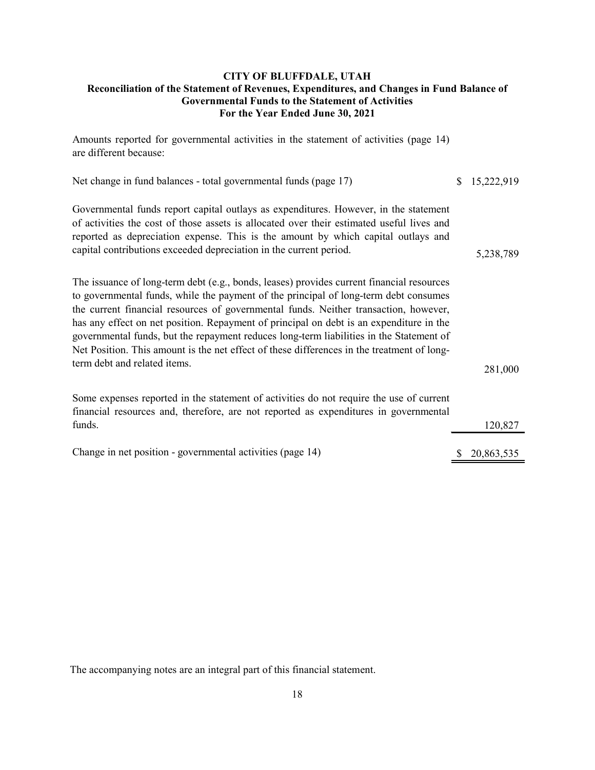## **CITY OF BLUFFDALE, UTAH Reconciliation of the Statement of Revenues, Expenditures, and Changes in Fund Balance of Governmental Funds to the Statement of Activities For the Year Ended June 30, 2021**

Amounts reported for governmental activities in the statement of activities (page 14) are different because:

| Net change in fund balances - total governmental funds (page 17)                                                                                                                                                                                                                                                                                                                                                                                                                                                                                                                              | S | 15,222,919 |
|-----------------------------------------------------------------------------------------------------------------------------------------------------------------------------------------------------------------------------------------------------------------------------------------------------------------------------------------------------------------------------------------------------------------------------------------------------------------------------------------------------------------------------------------------------------------------------------------------|---|------------|
| Governmental funds report capital outlays as expenditures. However, in the statement<br>of activities the cost of those assets is allocated over their estimated useful lives and<br>reported as depreciation expense. This is the amount by which capital outlays and<br>capital contributions exceeded depreciation in the current period.                                                                                                                                                                                                                                                  |   | 5,238,789  |
| The issuance of long-term debt (e.g., bonds, leases) provides current financial resources<br>to governmental funds, while the payment of the principal of long-term debt consumes<br>the current financial resources of governmental funds. Neither transaction, however,<br>has any effect on net position. Repayment of principal on debt is an expenditure in the<br>governmental funds, but the repayment reduces long-term liabilities in the Statement of<br>Net Position. This amount is the net effect of these differences in the treatment of long-<br>term debt and related items. |   | 281,000    |
| Some expenses reported in the statement of activities do not require the use of current<br>financial resources and, therefore, are not reported as expenditures in governmental<br>funds.                                                                                                                                                                                                                                                                                                                                                                                                     |   | 120,827    |
| Change in net position - governmental activities (page 14)                                                                                                                                                                                                                                                                                                                                                                                                                                                                                                                                    | S | 20,863,535 |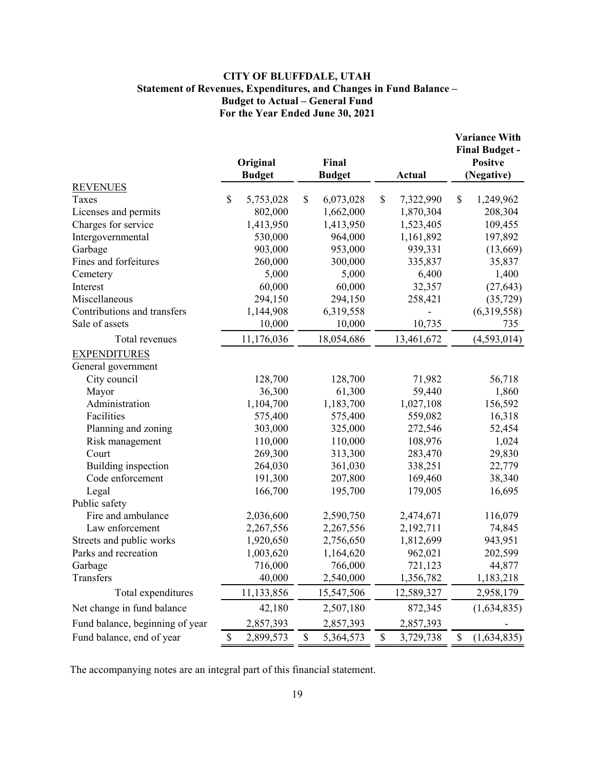# **CITY OF BLUFFDALE, UTAH Statement of Revenues, Expenditures, and Changes in Fund Balance – Budget to Actual – General Fund For the Year Ended June 30, 2021**

|                                 | Original<br><b>Budget</b> | Final<br><b>Budget</b> | Actual          | <b>Variance With</b><br><b>Final Budget -</b><br><b>Positve</b><br>(Negative) |
|---------------------------------|---------------------------|------------------------|-----------------|-------------------------------------------------------------------------------|
| <b>REVENUES</b>                 |                           |                        |                 |                                                                               |
| Taxes                           | \$<br>5,753,028           | \$<br>6,073,028        | \$<br>7,322,990 | \$<br>1,249,962                                                               |
| Licenses and permits            | 802,000                   | 1,662,000              | 1,870,304       | 208,304                                                                       |
| Charges for service             | 1,413,950                 | 1,413,950              | 1,523,405       | 109,455                                                                       |
| Intergovernmental               | 530,000                   | 964,000                | 1,161,892       | 197,892                                                                       |
| Garbage                         | 903,000                   | 953,000                | 939,331         | (13,669)                                                                      |
| Fines and forfeitures           | 260,000                   | 300,000                | 335,837         | 35,837                                                                        |
| Cemetery                        | 5,000                     | 5,000                  | 6,400           | 1,400                                                                         |
| Interest                        | 60,000                    | 60,000                 | 32,357          | (27, 643)                                                                     |
| Miscellaneous                   | 294,150                   | 294,150                | 258,421         | (35, 729)                                                                     |
| Contributions and transfers     | 1,144,908                 | 6,319,558              |                 | (6,319,558)                                                                   |
| Sale of assets                  | 10,000                    | 10,000                 | 10,735          | 735                                                                           |
| Total revenues                  | 11,176,036                | 18,054,686             | 13,461,672      | (4, 593, 014)                                                                 |
| <b>EXPENDITURES</b>             |                           |                        |                 |                                                                               |
| General government              |                           |                        |                 |                                                                               |
| City council                    | 128,700                   | 128,700                | 71,982          | 56,718                                                                        |
| Mayor                           | 36,300                    | 61,300                 | 59,440          | 1,860                                                                         |
| Administration                  | 1,104,700                 | 1,183,700              | 1,027,108       | 156,592                                                                       |
| Facilities                      | 575,400                   | 575,400                | 559,082         | 16,318                                                                        |
| Planning and zoning             | 303,000                   | 325,000                | 272,546         | 52,454                                                                        |
| Risk management                 | 110,000                   | 110,000                | 108,976         | 1,024                                                                         |
| Court                           | 269,300                   | 313,300                | 283,470         | 29,830                                                                        |
| Building inspection             | 264,030                   | 361,030                | 338,251         | 22,779                                                                        |
| Code enforcement                | 191,300                   | 207,800                | 169,460         | 38,340                                                                        |
| Legal                           | 166,700                   | 195,700                | 179,005         | 16,695                                                                        |
| Public safety                   |                           |                        |                 |                                                                               |
| Fire and ambulance              | 2,036,600                 | 2,590,750              | 2,474,671       | 116,079                                                                       |
| Law enforcement                 | 2,267,556                 | 2,267,556              | 2,192,711       | 74,845                                                                        |
| Streets and public works        | 1,920,650                 | 2,756,650              | 1,812,699       | 943,951                                                                       |
| Parks and recreation            | 1,003,620                 | 1,164,620              | 962,021         | 202,599                                                                       |
| Garbage                         | 716,000                   | 766,000                | 721,123         | 44,877                                                                        |
| Transfers                       | 40,000                    | 2,540,000              | 1,356,782       | 1,183,218                                                                     |
| Total expenditures              | 11,133,856                | 15,547,506             | 12,589,327      | 2,958,179                                                                     |
| Net change in fund balance      | 42,180                    | 2,507,180              | 872,345         | (1,634,835)                                                                   |
| Fund balance, beginning of year | 2,857,393                 | 2,857,393              | 2,857,393       |                                                                               |
| Fund balance, end of year       | \$<br>2,899,573           | \$<br>5,364,573        | \$<br>3,729,738 | \$<br>(1,634,835)                                                             |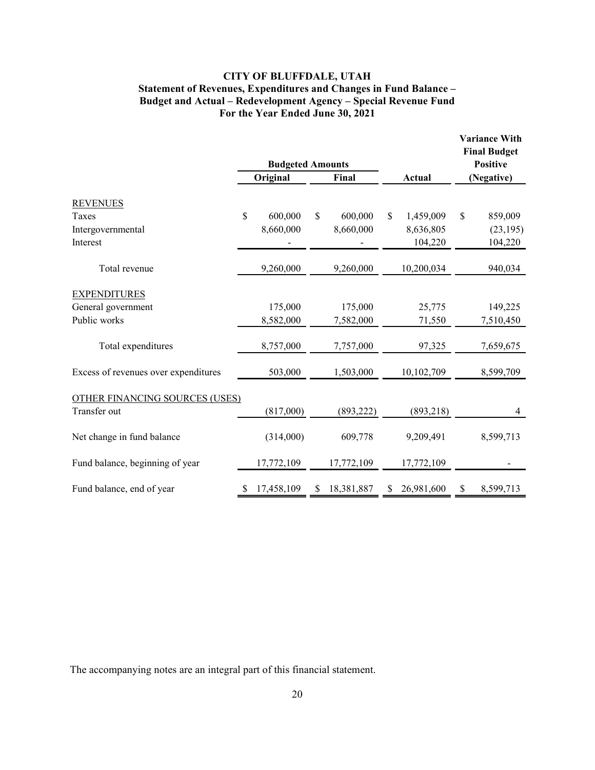# **CITY OF BLUFFDALE, UTAH Statement of Revenues, Expenditures and Changes in Fund Balance – Budget and Actual – Redevelopment Agency – Special Revenue Fund For the Year Ended June 30, 2021**

|                                      |              | <b>Budgeted Amounts</b> |    |            |    |               |    | <b>Variance With</b><br><b>Final Budget</b><br><b>Positive</b> |
|--------------------------------------|--------------|-------------------------|----|------------|----|---------------|----|----------------------------------------------------------------|
|                                      |              | Original                |    | Final      |    | <b>Actual</b> |    | (Negative)                                                     |
| <b>REVENUES</b>                      |              |                         |    |            |    |               |    |                                                                |
| Taxes                                | $\mathbb{S}$ | 600,000                 | \$ | 600,000    | \$ | 1,459,009     | \$ | 859,009                                                        |
| Intergovernmental                    |              | 8,660,000               |    | 8,660,000  |    | 8,636,805     |    | (23, 195)                                                      |
| Interest                             |              |                         |    |            |    | 104,220       |    | 104,220                                                        |
| Total revenue                        |              | 9,260,000               |    | 9,260,000  |    | 10,200,034    |    | 940,034                                                        |
| <b>EXPENDITURES</b>                  |              |                         |    |            |    |               |    |                                                                |
| General government                   |              | 175,000                 |    | 175,000    |    | 25,775        |    | 149,225                                                        |
| Public works                         |              | 8,582,000               |    | 7,582,000  |    | 71,550        |    | 7,510,450                                                      |
| Total expenditures                   |              | 8,757,000               |    | 7,757,000  |    | 97,325        |    | 7,659,675                                                      |
| Excess of revenues over expenditures |              | 503,000                 |    | 1,503,000  |    | 10,102,709    |    | 8,599,709                                                      |
| OTHER FINANCING SOURCES (USES)       |              |                         |    |            |    |               |    |                                                                |
| Transfer out                         |              | (817,000)               |    | (893, 222) |    | (893, 218)    |    | 4                                                              |
| Net change in fund balance           |              | (314,000)               |    | 609,778    |    | 9,209,491     |    | 8,599,713                                                      |
| Fund balance, beginning of year      |              | 17,772,109              |    | 17,772,109 |    | 17,772,109    |    |                                                                |
| Fund balance, end of year            | S            | 17,458,109              | S  | 18,381,887 | S  | 26,981,600    | S  | 8,599,713                                                      |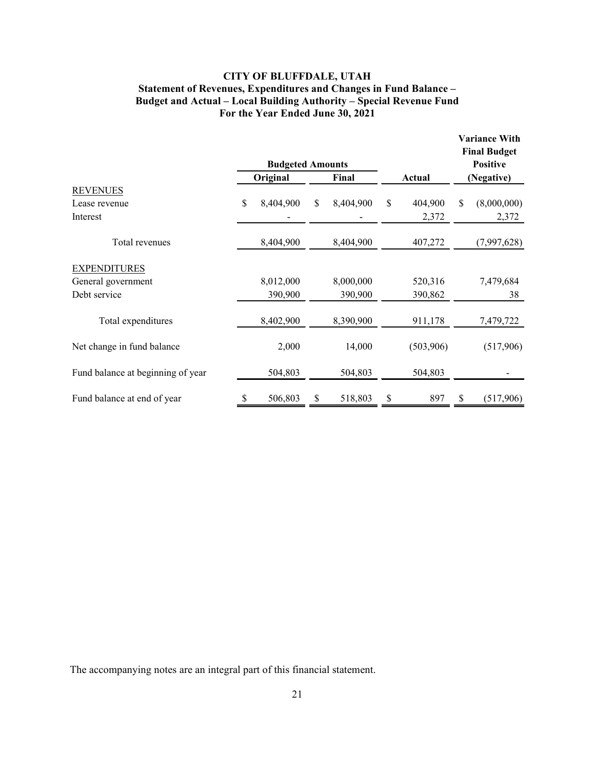# **CITY OF BLUFFDALE, UTAH Statement of Revenues, Expenditures and Changes in Fund Balance – Budget and Actual – Local Building Authority – Special Revenue Fund For the Year Ended June 30, 2021**

|                                   | <b>Budgeted Amounts</b> |              |           |               | <b>Variance With</b><br><b>Final Budget</b><br><b>Positive</b> |
|-----------------------------------|-------------------------|--------------|-----------|---------------|----------------------------------------------------------------|
|                                   | Original                |              | Final     | Actual        | (Negative)                                                     |
| <b>REVENUES</b>                   |                         |              |           |               |                                                                |
| Lease revenue                     | \$<br>8,404,900         | $\mathbb{S}$ | 8,404,900 | \$<br>404,900 | \$<br>(8,000,000)                                              |
| Interest                          |                         |              |           | 2,372         | 2,372                                                          |
| Total revenues                    | 8,404,900               |              | 8,404,900 | 407,272       | (7,997,628)                                                    |
| <b>EXPENDITURES</b>               |                         |              |           |               |                                                                |
| General government                | 8,012,000               |              | 8,000,000 | 520,316       | 7,479,684                                                      |
| Debt service                      | 390,900                 |              | 390,900   | 390,862       | 38                                                             |
| Total expenditures                | 8,402,900               |              | 8,390,900 | 911,178       | 7,479,722                                                      |
| Net change in fund balance        | 2,000                   |              | 14,000    | (503,906)     | (517,906)                                                      |
| Fund balance at beginning of year | 504,803                 |              | 504,803   | 504,803       |                                                                |
| Fund balance at end of year       | \$<br>506,803           | \$           | 518,803   | \$<br>897     | (517,906)                                                      |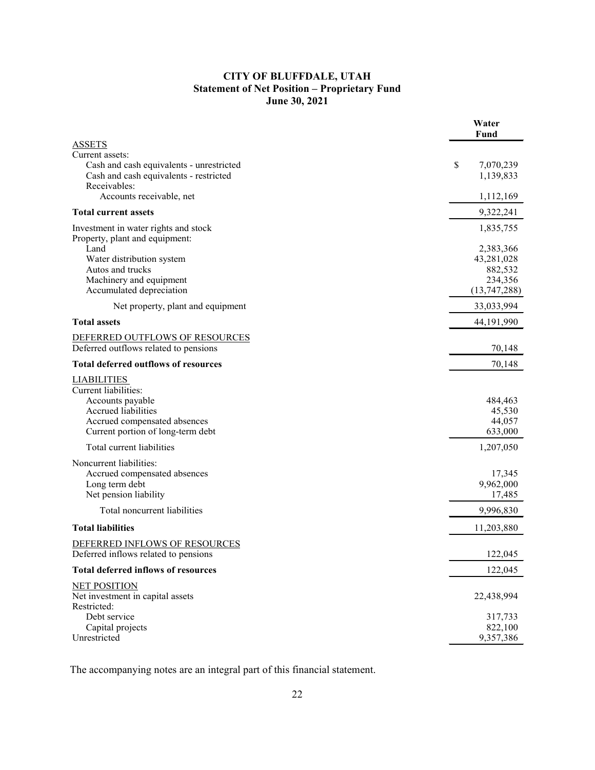## **CITY OF BLUFFDALE, UTAH Statement of Net Position – Proprietary Fund June 30, 2021**

|                                                                                    | Water<br>Fund                |
|------------------------------------------------------------------------------------|------------------------------|
| <b>ASSETS</b>                                                                      |                              |
| Current assets:                                                                    |                              |
| Cash and cash equivalents - unrestricted<br>Cash and cash equivalents - restricted | \$<br>7,070,239<br>1,139,833 |
| Receivables:                                                                       |                              |
| Accounts receivable, net                                                           | 1,112,169                    |
| <b>Total current assets</b>                                                        | 9,322,241                    |
| Investment in water rights and stock                                               | 1,835,755                    |
| Property, plant and equipment:                                                     |                              |
| Land                                                                               | 2,383,366                    |
| Water distribution system                                                          | 43,281,028                   |
| Autos and trucks                                                                   | 882,532                      |
| Machinery and equipment<br>Accumulated depreciation                                | 234,356<br>(13,747,288)      |
|                                                                                    |                              |
| Net property, plant and equipment                                                  | 33,033,994                   |
| <b>Total assets</b>                                                                | 44,191,990                   |
| DEFERRED OUTFLOWS OF RESOURCES                                                     |                              |
| Deferred outflows related to pensions                                              | 70,148                       |
| <b>Total deferred outflows of resources</b>                                        | 70,148                       |
| <b>LIABILITIES</b>                                                                 |                              |
| Current liabilities:                                                               |                              |
| Accounts payable                                                                   | 484,463                      |
| Accrued liabilities                                                                | 45,530                       |
| Accrued compensated absences                                                       | 44,057                       |
| Current portion of long-term debt                                                  | 633,000                      |
| Total current liabilities                                                          | 1,207,050                    |
| Noncurrent liabilities:                                                            |                              |
| Accrued compensated absences                                                       | 17,345                       |
| Long term debt                                                                     | 9,962,000                    |
| Net pension liability                                                              | 17,485                       |
| Total noncurrent liabilities                                                       | 9,996,830                    |
| <b>Total liabilities</b>                                                           | 11,203,880                   |
| DEFERRED INFLOWS OF RESOURCES                                                      |                              |
| Deferred inflows related to pensions                                               | 122,045                      |
| <b>Total deferred inflows of resources</b>                                         | 122,045                      |
| <b>NET POSITION</b>                                                                |                              |
| Net investment in capital assets                                                   | 22,438,994                   |
| Restricted:                                                                        |                              |
| Debt service                                                                       | 317,733                      |
| Capital projects                                                                   | 822,100                      |
| Unrestricted                                                                       | 9,357,386                    |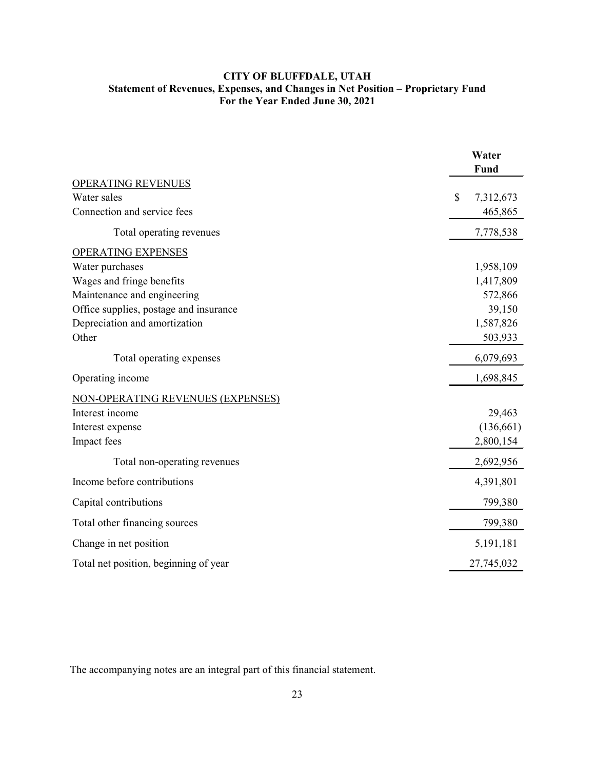# **CITY OF BLUFFDALE, UTAH Statement of Revenues, Expenses, and Changes in Net Position – Proprietary Fund For the Year Ended June 30, 2021**

|                                        | Water<br>Fund   |
|----------------------------------------|-----------------|
| <b>OPERATING REVENUES</b>              |                 |
| Water sales                            | \$<br>7,312,673 |
| Connection and service fees            | 465,865         |
| Total operating revenues               | 7,778,538       |
| <b>OPERATING EXPENSES</b>              |                 |
| Water purchases                        | 1,958,109       |
| Wages and fringe benefits              | 1,417,809       |
| Maintenance and engineering            | 572,866         |
| Office supplies, postage and insurance | 39,150          |
| Depreciation and amortization          | 1,587,826       |
| Other                                  | 503,933         |
| Total operating expenses               | 6,079,693       |
| Operating income                       | 1,698,845       |
| NON-OPERATING REVENUES (EXPENSES)      |                 |
| Interest income                        | 29,463          |
| Interest expense                       | (136, 661)      |
| Impact fees                            | 2,800,154       |
| Total non-operating revenues           | 2,692,956       |
| Income before contributions            | 4,391,801       |
| Capital contributions                  | 799,380         |
| Total other financing sources          | 799,380         |
| Change in net position                 | 5,191,181       |
| Total net position, beginning of year  | 27,745,032      |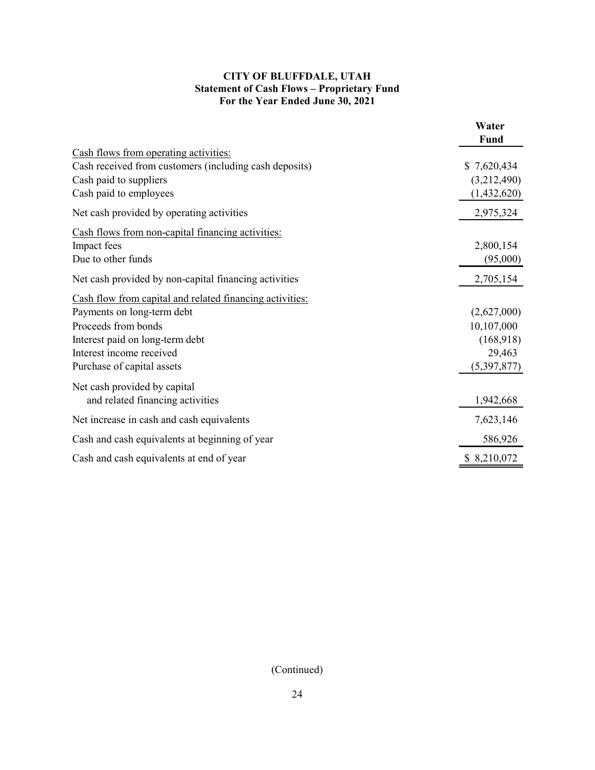# **CITY OF BLUFFDALE, UTAH Statement of Cash Flows – Proprietary Fund For the Year Ended June 30, 2021**

|                                                          | Water        |
|----------------------------------------------------------|--------------|
|                                                          | Fund         |
| Cash flows from operating activities:                    |              |
| Cash received from customers (including cash deposits)   | \$7,620,434  |
| Cash paid to suppliers                                   | (3,212,490)  |
| Cash paid to employees                                   | (1,432,620)  |
| Net cash provided by operating activities                | 2,975,324    |
| Cash flows from non-capital financing activities:        |              |
| Impact fees                                              | 2,800,154    |
| Due to other funds                                       | (95,000)     |
| Net cash provided by non-capital financing activities    | 2,705,154    |
| Cash flow from capital and related financing activities: |              |
| Payments on long-term debt                               | (2,627,000)  |
| Proceeds from bonds                                      | 10,107,000   |
| Interest paid on long-term debt                          | (168,918)    |
| Interest income received                                 | 29,463       |
| Purchase of capital assets                               | (5,397,877)  |
| Net cash provided by capital                             |              |
| and related financing activities                         | 1,942,668    |
| Net increase in cash and cash equivalents                | 7,623,146    |
| Cash and cash equivalents at beginning of year           | 586,926      |
| Cash and cash equivalents at end of year                 | \$ 8,210,072 |

(Continued)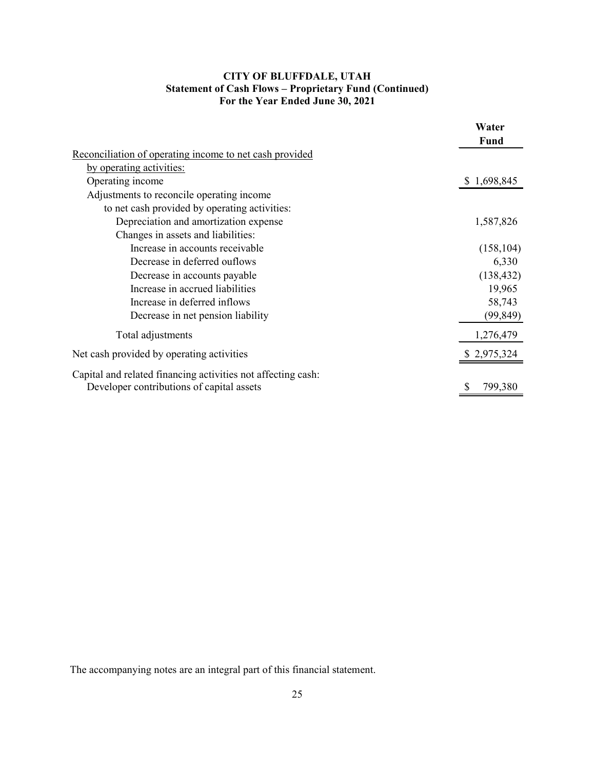## **CITY OF BLUFFDALE, UTAH Statement of Cash Flows – Proprietary Fund (Continued) For the Year Ended June 30, 2021**

|                                                                                                           | Water<br><b>Fund</b> |
|-----------------------------------------------------------------------------------------------------------|----------------------|
| Reconciliation of operating income to net cash provided                                                   |                      |
| <u>by operating activities:</u>                                                                           |                      |
| Operating income                                                                                          | \$1,698,845          |
| Adjustments to reconcile operating income                                                                 |                      |
| to net cash provided by operating activities:                                                             |                      |
| Depreciation and amortization expense                                                                     | 1,587,826            |
| Changes in assets and liabilities:                                                                        |                      |
| Increase in accounts receivable                                                                           | (158, 104)           |
| Decrease in deferred ouflows                                                                              | 6,330                |
| Decrease in accounts payable                                                                              | (138, 432)           |
| Increase in accrued liabilities                                                                           | 19,965               |
| Increase in deferred inflows                                                                              | 58,743               |
| Decrease in net pension liability                                                                         | (99, 849)            |
| Total adjustments                                                                                         | 1,276,479            |
| Net cash provided by operating activities                                                                 | \$2,975,324          |
| Capital and related financing activities not affecting cash:<br>Developer contributions of capital assets | 799,380              |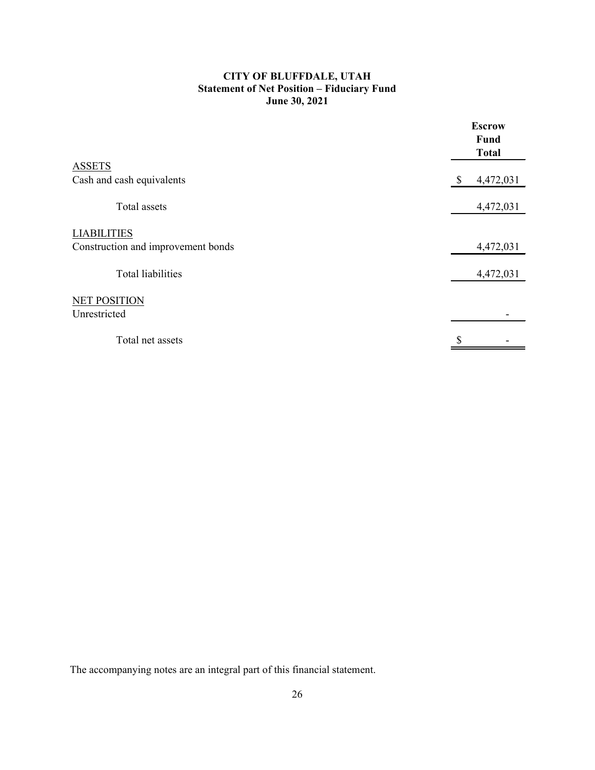#### **CITY OF BLUFFDALE, UTAH Statement of Net Position – Fiduciary Fund June 30, 2021**

|                                                          |   | <b>Escrow</b><br>Fund<br><b>Total</b> |
|----------------------------------------------------------|---|---------------------------------------|
| <b>ASSETS</b><br>Cash and cash equivalents               | S | 4,472,031                             |
| Total assets                                             |   | 4,472,031                             |
| <b>LIABILITIES</b><br>Construction and improvement bonds |   | 4,472,031                             |
| <b>Total liabilities</b>                                 |   | 4,472,031                             |
| <b>NET POSITION</b><br>Unrestricted                      |   |                                       |
| Total net assets                                         |   |                                       |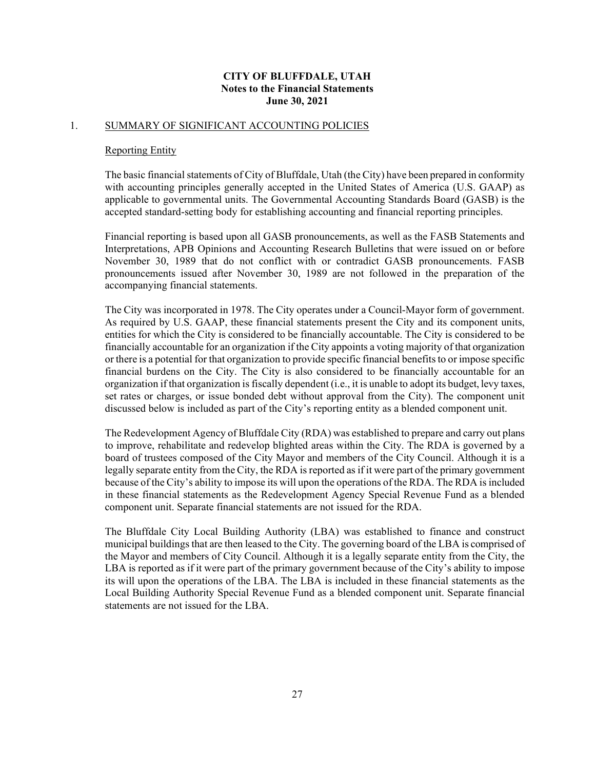#### 1. SUMMARY OF SIGNIFICANT ACCOUNTING POLICIES

#### Reporting Entity

The basic financial statements of City of Bluffdale, Utah (the City) have been prepared in conformity with accounting principles generally accepted in the United States of America (U.S. GAAP) as applicable to governmental units. The Governmental Accounting Standards Board (GASB) is the accepted standard-setting body for establishing accounting and financial reporting principles.

Financial reporting is based upon all GASB pronouncements, as well as the FASB Statements and Interpretations, APB Opinions and Accounting Research Bulletins that were issued on or before November 30, 1989 that do not conflict with or contradict GASB pronouncements. FASB pronouncements issued after November 30, 1989 are not followed in the preparation of the accompanying financial statements.

The City was incorporated in 1978. The City operates under a Council-Mayor form of government. As required by U.S. GAAP, these financial statements present the City and its component units, entities for which the City is considered to be financially accountable. The City is considered to be financially accountable for an organization if the City appoints a voting majority of that organization or there is a potential for that organization to provide specific financial benefits to or impose specific financial burdens on the City. The City is also considered to be financially accountable for an organization if that organization is fiscally dependent (i.e., it is unable to adopt its budget, levy taxes, set rates or charges, or issue bonded debt without approval from the City). The component unit discussed below is included as part of the City's reporting entity as a blended component unit.

The Redevelopment Agency of Bluffdale City (RDA) was established to prepare and carry out plans to improve, rehabilitate and redevelop blighted areas within the City. The RDA is governed by a board of trustees composed of the City Mayor and members of the City Council. Although it is a legally separate entity from the City, the RDA is reported as if it were part of the primary government because of the City's ability to impose its will upon the operations of the RDA. The RDA is included in these financial statements as the Redevelopment Agency Special Revenue Fund as a blended component unit. Separate financial statements are not issued for the RDA.

The Bluffdale City Local Building Authority (LBA) was established to finance and construct municipal buildings that are then leased to the City. The governing board of the LBA is comprised of the Mayor and members of City Council. Although it is a legally separate entity from the City, the LBA is reported as if it were part of the primary government because of the City's ability to impose its will upon the operations of the LBA. The LBA is included in these financial statements as the Local Building Authority Special Revenue Fund as a blended component unit. Separate financial statements are not issued for the LBA.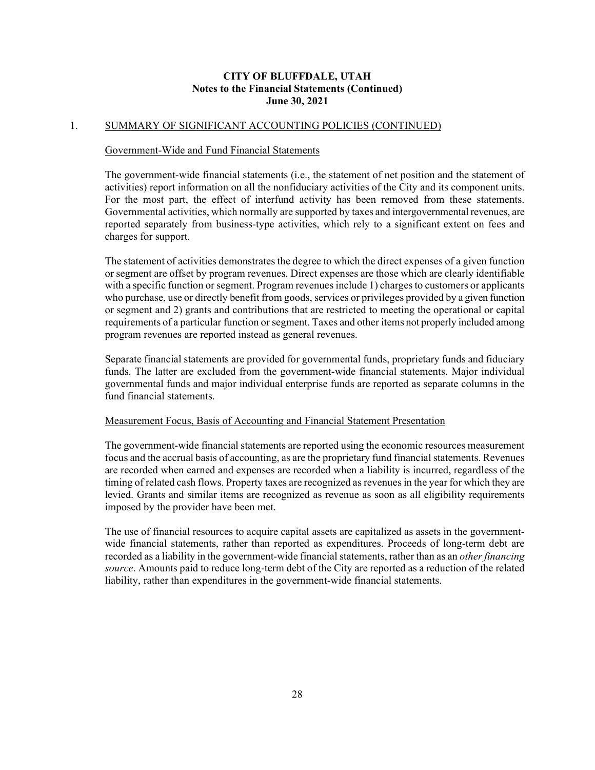#### 1. SUMMARY OF SIGNIFICANT ACCOUNTING POLICIES (CONTINUED)

#### Government-Wide and Fund Financial Statements

The government-wide financial statements (i.e., the statement of net position and the statement of activities) report information on all the nonfiduciary activities of the City and its component units. For the most part, the effect of interfund activity has been removed from these statements. Governmental activities, which normally are supported by taxes and intergovernmental revenues, are reported separately from business-type activities, which rely to a significant extent on fees and charges for support.

The statement of activities demonstrates the degree to which the direct expenses of a given function or segment are offset by program revenues. Direct expenses are those which are clearly identifiable with a specific function or segment. Program revenues include 1) charges to customers or applicants who purchase, use or directly benefit from goods, services or privileges provided by a given function or segment and 2) grants and contributions that are restricted to meeting the operational or capital requirements of a particular function or segment. Taxes and other items not properly included among program revenues are reported instead as general revenues.

Separate financial statements are provided for governmental funds, proprietary funds and fiduciary funds. The latter are excluded from the government-wide financial statements. Major individual governmental funds and major individual enterprise funds are reported as separate columns in the fund financial statements.

#### Measurement Focus, Basis of Accounting and Financial Statement Presentation

The government-wide financial statements are reported using the economic resources measurement focus and the accrual basis of accounting, as are the proprietary fund financial statements. Revenues are recorded when earned and expenses are recorded when a liability is incurred, regardless of the timing of related cash flows. Property taxes are recognized as revenues in the year for which they are levied. Grants and similar items are recognized as revenue as soon as all eligibility requirements imposed by the provider have been met.

The use of financial resources to acquire capital assets are capitalized as assets in the governmentwide financial statements, rather than reported as expenditures. Proceeds of long-term debt are recorded as a liability in the government-wide financial statements, rather than as an *other financing source*. Amounts paid to reduce long-term debt of the City are reported as a reduction of the related liability, rather than expenditures in the government-wide financial statements.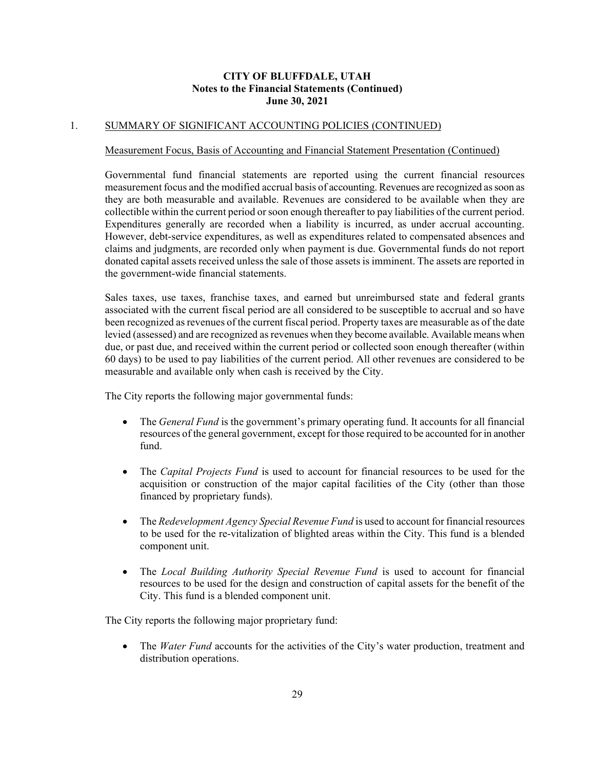#### 1. SUMMARY OF SIGNIFICANT ACCOUNTING POLICIES (CONTINUED)

#### Measurement Focus, Basis of Accounting and Financial Statement Presentation (Continued)

Governmental fund financial statements are reported using the current financial resources measurement focus and the modified accrual basis of accounting.Revenues are recognized as soon as they are both measurable and available. Revenues are considered to be available when they are collectible within the current period or soon enough thereafter to pay liabilities of the current period. Expenditures generally are recorded when a liability is incurred, as under accrual accounting. However, debt-service expenditures, as well as expenditures related to compensated absences and claims and judgments, are recorded only when payment is due. Governmental funds do not report donated capital assets received unless the sale of those assets is imminent. The assets are reported in the government-wide financial statements.

Sales taxes, use taxes, franchise taxes, and earned but unreimbursed state and federal grants associated with the current fiscal period are all considered to be susceptible to accrual and so have been recognized as revenues of the current fiscal period. Property taxes are measurable as of the date levied (assessed) and are recognized as revenues when they become available. Available means when due, or past due, and received within the current period or collected soon enough thereafter (within 60 days) to be used to pay liabilities of the current period. All other revenues are considered to be measurable and available only when cash is received by the City.

The City reports the following major governmental funds:

- The *General Fund* is the government's primary operating fund. It accounts for all financial resources of the general government, except for those required to be accounted for in another fund.
- The *Capital Projects Fund* is used to account for financial resources to be used for the acquisition or construction of the major capital facilities of the City (other than those financed by proprietary funds).
- The *Redevelopment Agency Special Revenue Fund* is used to account for financial resources to be used for the re-vitalization of blighted areas within the City. This fund is a blended component unit.
- The *Local Building Authority Special Revenue Fund* is used to account for financial resources to be used for the design and construction of capital assets for the benefit of the City. This fund is a blended component unit.

The City reports the following major proprietary fund:

• The *Water Fund* accounts for the activities of the City's water production, treatment and distribution operations.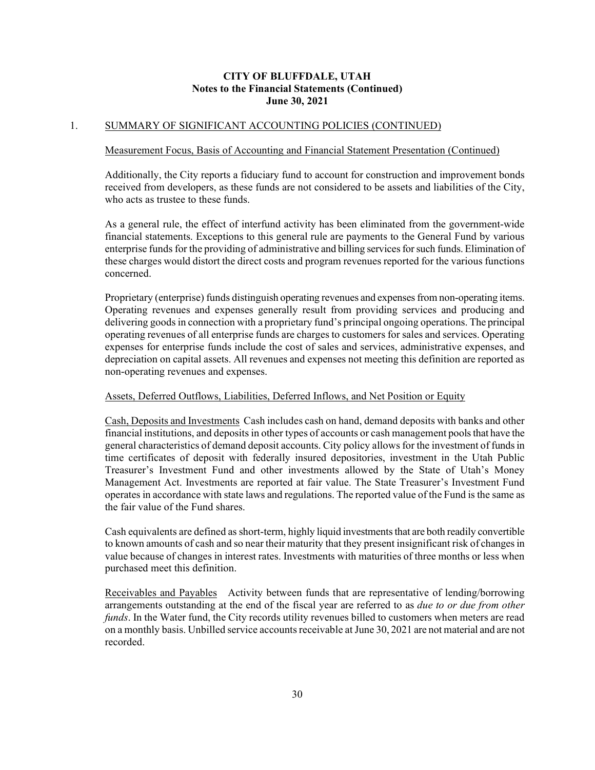#### 1. SUMMARY OF SIGNIFICANT ACCOUNTING POLICIES (CONTINUED)

#### Measurement Focus, Basis of Accounting and Financial Statement Presentation (Continued)

Additionally, the City reports a fiduciary fund to account for construction and improvement bonds received from developers, as these funds are not considered to be assets and liabilities of the City, who acts as trustee to these funds.

As a general rule, the effect of interfund activity has been eliminated from the government-wide financial statements. Exceptions to this general rule are payments to the General Fund by various enterprise funds for the providing of administrative and billing services for such funds. Elimination of these charges would distort the direct costs and program revenues reported for the various functions concerned.

Proprietary (enterprise) funds distinguish operating revenues and expenses from non-operating items. Operating revenues and expenses generally result from providing services and producing and delivering goods in connection with a proprietary fund's principal ongoing operations. The principal operating revenues of all enterprise funds are charges to customers for sales and services. Operating expenses for enterprise funds include the cost of sales and services, administrative expenses, and depreciation on capital assets. All revenues and expenses not meeting this definition are reported as non-operating revenues and expenses.

## Assets, Deferred Outflows, Liabilities, Deferred Inflows, and Net Position or Equity

Cash, Deposits and Investments Cash includes cash on hand, demand deposits with banks and other financial institutions, and deposits in other types of accounts or cash management pools that have the general characteristics of demand deposit accounts. City policy allows for the investment of funds in time certificates of deposit with federally insured depositories, investment in the Utah Public Treasurer's Investment Fund and other investments allowed by the State of Utah's Money Management Act. Investments are reported at fair value. The State Treasurer's Investment Fund operates in accordance with state laws and regulations. The reported value of the Fund is the same as the fair value of the Fund shares.

Cash equivalents are defined as short-term, highly liquid investments that are both readily convertible to known amounts of cash and so near their maturity that they present insignificant risk of changes in value because of changes in interest rates. Investments with maturities of three months or less when purchased meet this definition.

Receivables and Payables Activity between funds that are representative of lending/borrowing arrangements outstanding at the end of the fiscal year are referred to as *due to or due from other funds*. In the Water fund, the City records utility revenues billed to customers when meters are read on a monthly basis. Unbilled service accounts receivable at June 30, 2021 are not material and are not recorded.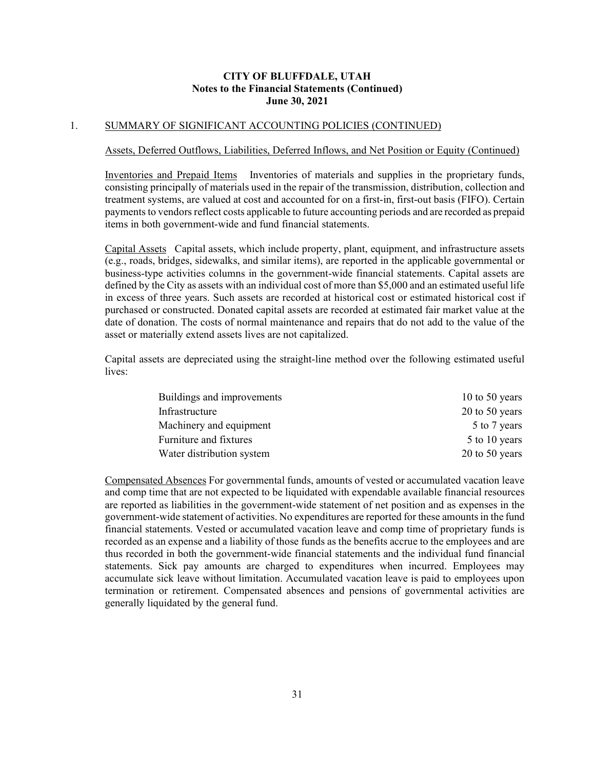#### 1. SUMMARY OF SIGNIFICANT ACCOUNTING POLICIES (CONTINUED)

#### Assets, Deferred Outflows, Liabilities, Deferred Inflows, and Net Position or Equity (Continued)

Inventories and Prepaid Items Inventories of materials and supplies in the proprietary funds, consisting principally of materials used in the repair of the transmission, distribution, collection and treatment systems, are valued at cost and accounted for on a first-in, first-out basis (FIFO). Certain payments to vendors reflect costs applicable to future accounting periods and are recorded as prepaid items in both government-wide and fund financial statements.

Capital Assets Capital assets, which include property, plant, equipment, and infrastructure assets (e.g., roads, bridges, sidewalks, and similar items), are reported in the applicable governmental or business-type activities columns in the government-wide financial statements. Capital assets are defined by the City as assets with an individual cost of more than \$5,000 and an estimated useful life in excess of three years. Such assets are recorded at historical cost or estimated historical cost if purchased or constructed. Donated capital assets are recorded at estimated fair market value at the date of donation. The costs of normal maintenance and repairs that do not add to the value of the asset or materially extend assets lives are not capitalized.

Capital assets are depreciated using the straight-line method over the following estimated useful lives:

| Buildings and improvements | 10 to 50 years     |
|----------------------------|--------------------|
| Infrastructure             | $20$ to 50 years   |
| Machinery and equipment    | 5 to 7 years       |
| Furniture and fixtures     | 5 to 10 years      |
| Water distribution system  | $20$ to $50$ years |

Compensated Absences For governmental funds, amounts of vested or accumulated vacation leave and comp time that are not expected to be liquidated with expendable available financial resources are reported as liabilities in the government-wide statement of net position and as expenses in the government-wide statement of activities. No expenditures are reported for these amounts in the fund financial statements. Vested or accumulated vacation leave and comp time of proprietary funds is recorded as an expense and a liability of those funds as the benefits accrue to the employees and are thus recorded in both the government-wide financial statements and the individual fund financial statements. Sick pay amounts are charged to expenditures when incurred. Employees may accumulate sick leave without limitation. Accumulated vacation leave is paid to employees upon termination or retirement. Compensated absences and pensions of governmental activities are generally liquidated by the general fund.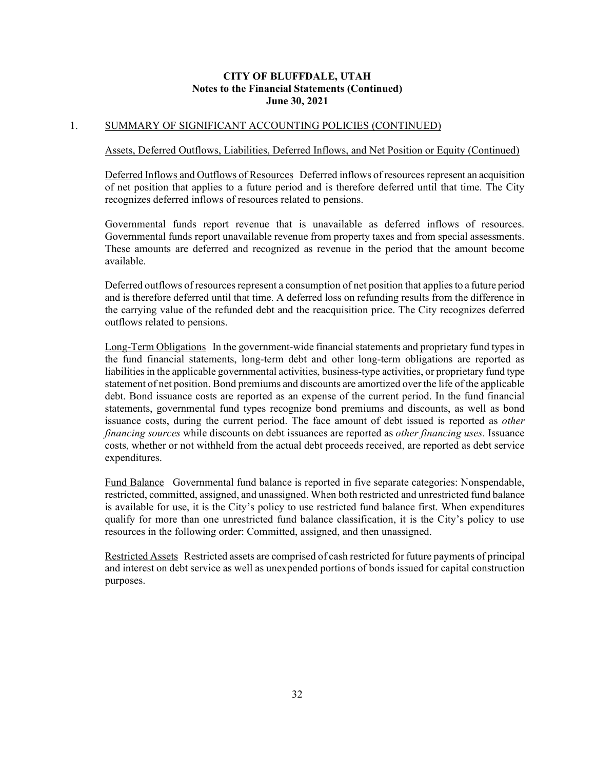#### 1. SUMMARY OF SIGNIFICANT ACCOUNTING POLICIES (CONTINUED)

#### Assets, Deferred Outflows, Liabilities, Deferred Inflows, and Net Position or Equity (Continued)

Deferred Inflows and Outflows of Resources Deferred inflows of resources represent an acquisition of net position that applies to a future period and is therefore deferred until that time. The City recognizes deferred inflows of resources related to pensions.

Governmental funds report revenue that is unavailable as deferred inflows of resources. Governmental funds report unavailable revenue from property taxes and from special assessments. These amounts are deferred and recognized as revenue in the period that the amount become available.

Deferred outflows of resources represent a consumption of net position that applies to a future period and is therefore deferred until that time. A deferred loss on refunding results from the difference in the carrying value of the refunded debt and the reacquisition price. The City recognizes deferred outflows related to pensions.

Long-Term Obligations In the government-wide financial statements and proprietary fund types in the fund financial statements, long-term debt and other long-term obligations are reported as liabilities in the applicable governmental activities, business-type activities, or proprietary fund type statement of net position. Bond premiums and discounts are amortized over the life of the applicable debt. Bond issuance costs are reported as an expense of the current period. In the fund financial statements, governmental fund types recognize bond premiums and discounts, as well as bond issuance costs, during the current period. The face amount of debt issued is reported as *other financing sources* while discounts on debt issuances are reported as *other financing uses*. Issuance costs, whether or not withheld from the actual debt proceeds received, are reported as debt service expenditures.

Fund Balance Governmental fund balance is reported in five separate categories: Nonspendable, restricted, committed, assigned, and unassigned. When both restricted and unrestricted fund balance is available for use, it is the City's policy to use restricted fund balance first. When expenditures qualify for more than one unrestricted fund balance classification, it is the City's policy to use resources in the following order: Committed, assigned, and then unassigned.

Restricted Assets Restricted assets are comprised of cash restricted for future payments of principal and interest on debt service as well as unexpended portions of bonds issued for capital construction purposes.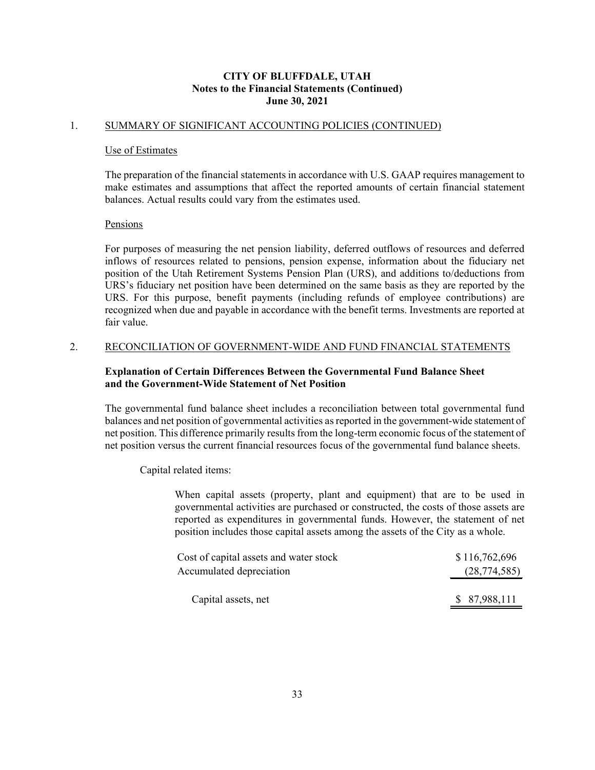#### 1. SUMMARY OF SIGNIFICANT ACCOUNTING POLICIES (CONTINUED)

#### Use of Estimates

The preparation of the financial statements in accordance with U.S. GAAP requires management to make estimates and assumptions that affect the reported amounts of certain financial statement balances. Actual results could vary from the estimates used.

#### Pensions

For purposes of measuring the net pension liability, deferred outflows of resources and deferred inflows of resources related to pensions, pension expense, information about the fiduciary net position of the Utah Retirement Systems Pension Plan (URS), and additions to/deductions from URS's fiduciary net position have been determined on the same basis as they are reported by the URS. For this purpose, benefit payments (including refunds of employee contributions) are recognized when due and payable in accordance with the benefit terms. Investments are reported at fair value.

## 2. RECONCILIATION OF GOVERNMENT-WIDE AND FUND FINANCIAL STATEMENTS

## **Explanation of Certain Differences Between the Governmental Fund Balance Sheet and the Government-Wide Statement of Net Position**

The governmental fund balance sheet includes a reconciliation between total governmental fund balances and net position of governmental activities as reported in the government-wide statement of net position. This difference primarily results from the long-term economic focus of the statement of net position versus the current financial resources focus of the governmental fund balance sheets.

Capital related items:

When capital assets (property, plant and equipment) that are to be used in governmental activities are purchased or constructed, the costs of those assets are reported as expenditures in governmental funds. However, the statement of net position includes those capital assets among the assets of the City as a whole.

| Cost of capital assets and water stock | \$116,762,696  |
|----------------------------------------|----------------|
| Accumulated depreciation               | (28, 774, 585) |
|                                        |                |
| Capital assets, net                    | \$ 87,988,111  |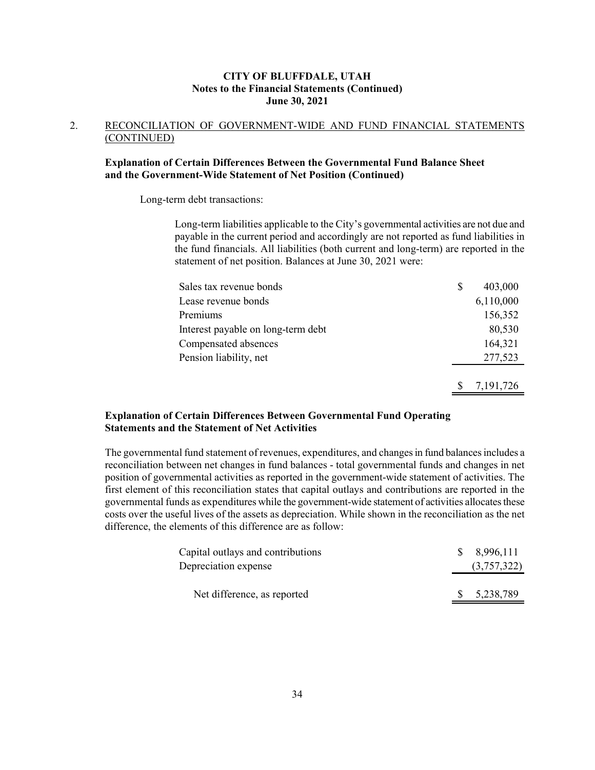## 2. RECONCILIATION OF GOVERNMENT-WIDE AND FUND FINANCIAL STATEMENTS (CONTINUED)

## **Explanation of Certain Differences Between the Governmental Fund Balance Sheet and the Government-Wide Statement of Net Position (Continued)**

Long-term debt transactions:

Long-term liabilities applicable to the City's governmental activities are not due and payable in the current period and accordingly are not reported as fund liabilities in the fund financials. All liabilities (both current and long-term) are reported in the statement of net position. Balances at June 30, 2021 were:

| Sales tax revenue bonds            | S | 403,000     |
|------------------------------------|---|-------------|
| Lease revenue bonds                |   | 6,110,000   |
| Premiums                           |   | 156,352     |
| Interest payable on long-term debt |   | 80,530      |
| Compensated absences               |   | 164,321     |
| Pension liability, net             |   | 277,523     |
|                                    |   |             |
|                                    |   | 7, 191, 726 |

## **Explanation of Certain Differences Between Governmental Fund Operating Statements and the Statement of Net Activities**

The governmental fund statement of revenues, expenditures, and changes in fund balances includes a reconciliation between net changes in fund balances - total governmental funds and changes in net position of governmental activities as reported in the government-wide statement of activities. The first element of this reconciliation states that capital outlays and contributions are reported in the governmental funds as expenditures while the government-wide statement of activities allocates these costs over the useful lives of the assets as depreciation. While shown in the reconciliation as the net difference, the elements of this difference are as follow:

| Capital outlays and contributions | \$ 8,996,111 |
|-----------------------------------|--------------|
| Depreciation expense              | (3,757,322)  |
|                                   |              |
| Net difference, as reported       | \$5,238,789  |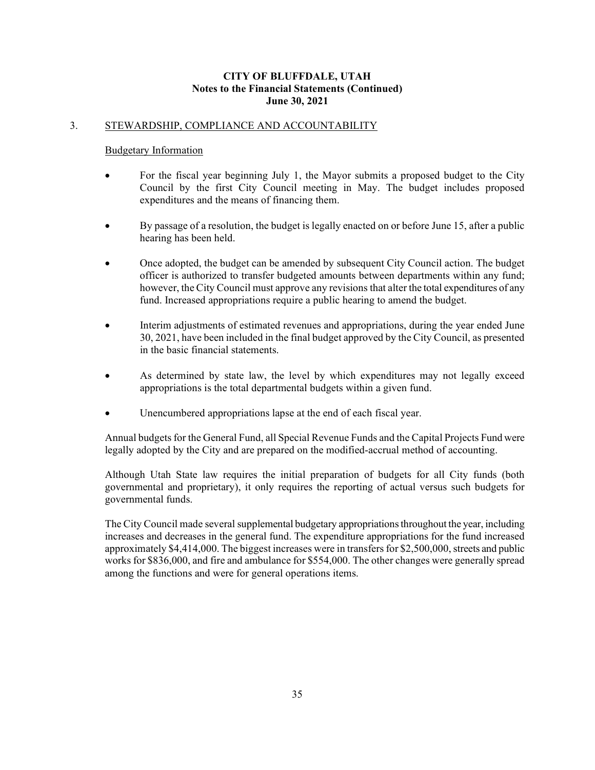## 3. STEWARDSHIP, COMPLIANCE AND ACCOUNTABILITY

## Budgetary Information

- For the fiscal year beginning July 1, the Mayor submits a proposed budget to the City Council by the first City Council meeting in May. The budget includes proposed expenditures and the means of financing them.
- By passage of a resolution, the budget is legally enacted on or before June 15, after a public hearing has been held.
- Once adopted, the budget can be amended by subsequent City Council action. The budget officer is authorized to transfer budgeted amounts between departments within any fund; however, the City Council must approve any revisions that alter the total expenditures of any fund. Increased appropriations require a public hearing to amend the budget.
- Interim adjustments of estimated revenues and appropriations, during the year ended June 30, 2021, have been included in the final budget approved by the City Council, as presented in the basic financial statements.
- As determined by state law, the level by which expenditures may not legally exceed appropriations is the total departmental budgets within a given fund.
- Unencumbered appropriations lapse at the end of each fiscal year.

Annual budgets for the General Fund, all Special Revenue Funds and the Capital Projects Fund were legally adopted by the City and are prepared on the modified-accrual method of accounting.

Although Utah State law requires the initial preparation of budgets for all City funds (both governmental and proprietary), it only requires the reporting of actual versus such budgets for governmental funds.

The City Council made several supplemental budgetary appropriations throughout the year, including increases and decreases in the general fund. The expenditure appropriations for the fund increased approximately \$4,414,000. The biggest increases were in transfersfor \$2,500,000, streets and public works for \$836,000, and fire and ambulance for \$554,000. The other changes were generally spread among the functions and were for general operations items.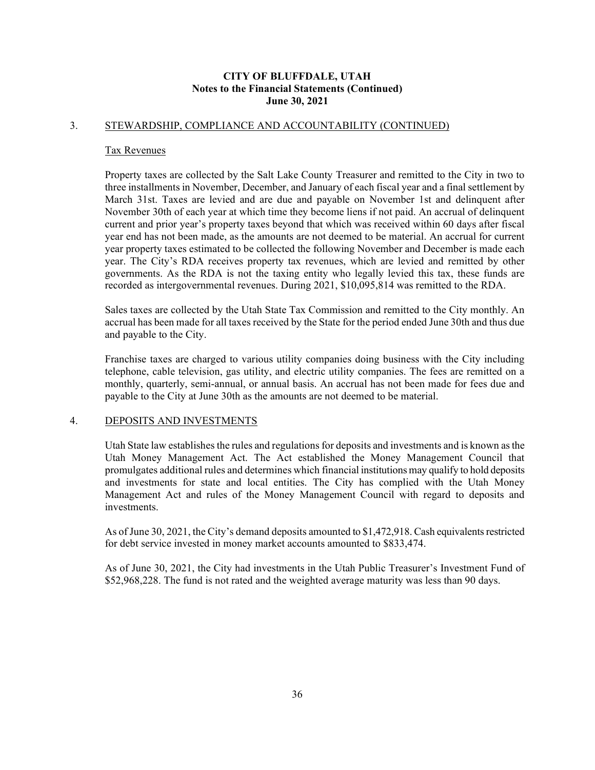#### 3. STEWARDSHIP, COMPLIANCE AND ACCOUNTABILITY (CONTINUED)

#### Tax Revenues

Property taxes are collected by the Salt Lake County Treasurer and remitted to the City in two to three installments in November, December, and January of each fiscal year and a final settlement by March 31st. Taxes are levied and are due and payable on November 1st and delinquent after November 30th of each year at which time they become liens if not paid. An accrual of delinquent current and prior year's property taxes beyond that which was received within 60 days after fiscal year end has not been made, as the amounts are not deemed to be material. An accrual for current year property taxes estimated to be collected the following November and December is made each year. The City's RDA receives property tax revenues, which are levied and remitted by other governments. As the RDA is not the taxing entity who legally levied this tax, these funds are recorded as intergovernmental revenues. During 2021, \$10,095,814 was remitted to the RDA.

Sales taxes are collected by the Utah State Tax Commission and remitted to the City monthly. An accrual has been made for all taxes received by the State for the period ended June 30th and thus due and payable to the City.

Franchise taxes are charged to various utility companies doing business with the City including telephone, cable television, gas utility, and electric utility companies. The fees are remitted on a monthly, quarterly, semi-annual, or annual basis. An accrual has not been made for fees due and payable to the City at June 30th as the amounts are not deemed to be material.

#### 4. DEPOSITS AND INVESTMENTS

Utah State law establishes the rules and regulations for deposits and investments and is known as the Utah Money Management Act. The Act established the Money Management Council that promulgates additional rules and determines which financial institutions may qualify to hold deposits and investments for state and local entities. The City has complied with the Utah Money Management Act and rules of the Money Management Council with regard to deposits and investments.

As of June 30, 2021, the City's demand deposits amounted to \$1,472,918. Cash equivalents restricted for debt service invested in money market accounts amounted to \$833,474.

As of June 30, 2021, the City had investments in the Utah Public Treasurer's Investment Fund of \$52,968,228. The fund is not rated and the weighted average maturity was less than 90 days.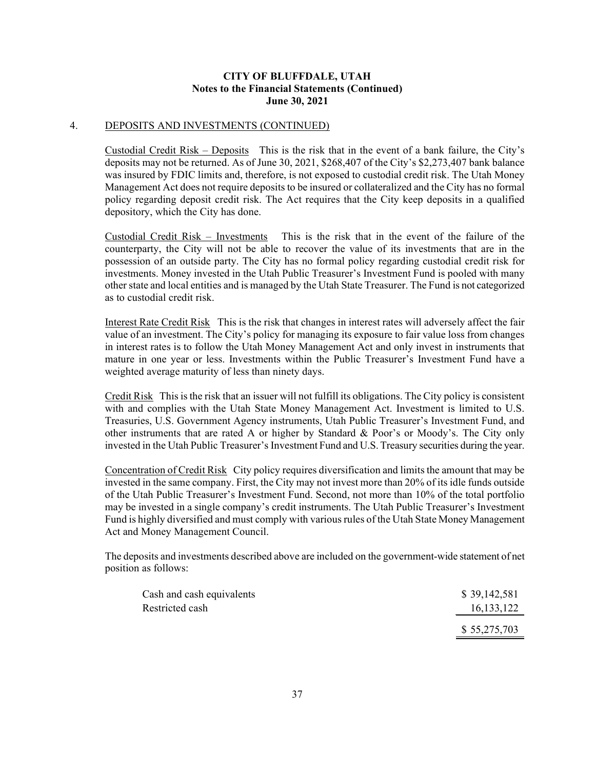#### 4. DEPOSITS AND INVESTMENTS (CONTINUED)

Custodial Credit Risk – Deposits This is the risk that in the event of a bank failure, the City's deposits may not be returned. As of June 30, 2021, \$268,407 of the City's \$2,273,407 bank balance was insured by FDIC limits and, therefore, is not exposed to custodial credit risk. The Utah Money Management Act does not require deposits to be insured or collateralized and the City has no formal policy regarding deposit credit risk. The Act requires that the City keep deposits in a qualified depository, which the City has done.

Custodial Credit Risk – Investments This is the risk that in the event of the failure of the counterparty, the City will not be able to recover the value of its investments that are in the possession of an outside party. The City has no formal policy regarding custodial credit risk for investments. Money invested in the Utah Public Treasurer's Investment Fund is pooled with many other state and local entities and is managed by the Utah State Treasurer. The Fund is not categorized as to custodial credit risk.

Interest Rate Credit Risk This is the risk that changes in interest rates will adversely affect the fair value of an investment. The City's policy for managing its exposure to fair value loss from changes in interest rates is to follow the Utah Money Management Act and only invest in instruments that mature in one year or less. Investments within the Public Treasurer's Investment Fund have a weighted average maturity of less than ninety days.

Credit Risk This is the risk that an issuer will not fulfill its obligations. The City policy is consistent with and complies with the Utah State Money Management Act. Investment is limited to U.S. Treasuries, U.S. Government Agency instruments, Utah Public Treasurer's Investment Fund, and other instruments that are rated A or higher by Standard & Poor's or Moody's. The City only invested in the Utah Public Treasurer's Investment Fund and U.S. Treasury securities during the year.

Concentration of Credit Risk City policy requires diversification and limits the amount that may be invested in the same company. First, the City may not invest more than 20% of its idle funds outside of the Utah Public Treasurer's Investment Fund. Second, not more than 10% of the total portfolio may be invested in a single company's credit instruments. The Utah Public Treasurer's Investment Fund is highly diversified and must comply with various rules of the Utah State Money Management Act and Money Management Council.

The deposits and investments described above are included on the government-wide statement of net position as follows:

| Cash and cash equivalents | \$39,142,581 |
|---------------------------|--------------|
| Restricted cash           | 16, 133, 122 |
|                           | \$55,275,703 |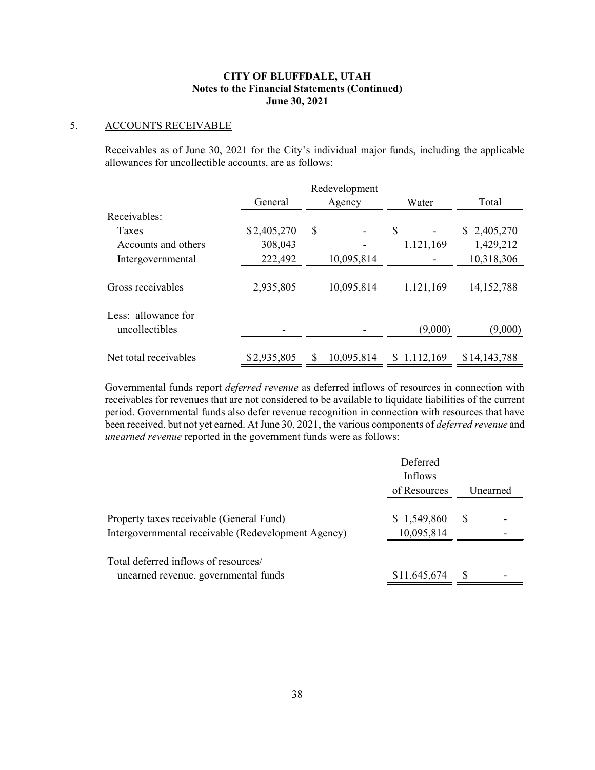## 5. ACCOUNTS RECEIVABLE

Receivables as of June 30, 2021 for the City's individual major funds, including the applicable allowances for uncollectible accounts, are as follows:

|                                       |             |        | Redevelopment |    |           |                 |  |
|---------------------------------------|-------------|--------|---------------|----|-----------|-----------------|--|
|                                       | General     | Agency |               |    | Water     | Total           |  |
| Receivables:                          |             |        |               |    |           |                 |  |
| Taxes                                 | \$2,405,270 | \$     |               | \$ |           | 2,405,270<br>S. |  |
| Accounts and others                   | 308,043     |        |               |    | 1,121,169 | 1,429,212       |  |
| Intergovernmental                     | 222,492     |        | 10,095,814    |    |           | 10,318,306      |  |
| Gross receivables                     | 2,935,805   |        | 10,095,814    |    | 1,121,169 | 14,152,788      |  |
| Less: allowance for<br>uncollectibles |             |        |               |    | (9,000)   | (9,000)         |  |
| Net total receivables                 | \$2,935,805 |        | 10,095,814    | S  | 1,112,169 | \$14,143,788    |  |

Governmental funds report *deferred revenue* as deferred inflows of resources in connection with receivables for revenues that are not considered to be available to liquidate liabilities of the current period. Governmental funds also defer revenue recognition in connection with resources that have been received, but not yet earned. At June 30, 2021, the various components of *deferred revenue* and *unearned revenue* reported in the government funds were as follows:

|                                                                                                 | Deferred<br><b>Inflows</b> |   |          |
|-------------------------------------------------------------------------------------------------|----------------------------|---|----------|
|                                                                                                 | of Resources               |   | Unearned |
| Property taxes receivable (General Fund)<br>Intergovernmental receivable (Redevelopment Agency) | \$1,549,860<br>10,095,814  | S |          |
| Total deferred inflows of resources/<br>unearned revenue, governmental funds                    | \$11,645,674               | S |          |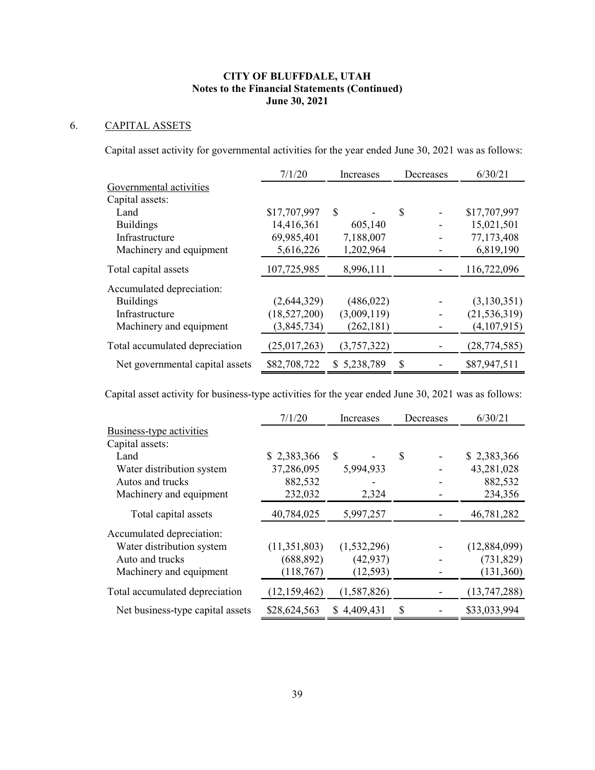# 6. CAPITAL ASSETS

Capital asset activity for governmental activities for the year ended June 30, 2021 was as follows:

|                                 | 7/1/20       | Increases        | Decreases | 6/30/21        |
|---------------------------------|--------------|------------------|-----------|----------------|
| Governmental activities         |              |                  |           |                |
| Capital assets:                 |              |                  |           |                |
| Land                            | \$17,707,997 | <sup>\$</sup>    | \$        | \$17,707,997   |
| <b>Buildings</b>                | 14,416,361   | 605,140          |           | 15,021,501     |
| Infrastructure                  | 69,985,401   | 7,188,007        |           | 77,173,408     |
| Machinery and equipment         | 5,616,226    | 1,202,964        |           | 6,819,190      |
| Total capital assets            | 107,725,985  | 8,996,111        |           | 116,722,096    |
| Accumulated depreciation:       |              |                  |           |                |
| <b>Buildings</b>                | (2,644,329)  | (486, 022)       |           | (3,130,351)    |
| Infrastructure                  | (18,527,200) | (3,009,119)      |           | (21, 536, 319) |
| Machinery and equipment         | (3,845,734)  | (262, 181)       |           | (4,107,915)    |
| Total accumulated depreciation  | (25,017,263) | (3,757,322)      |           | (28, 774, 585) |
| Net governmental capital assets | \$82,708,722 | 5,238,789<br>SS. | \$        | \$87,947,511   |

Capital asset activity for business-type activities for the year ended June 30, 2021 was as follows:

|                                  | 7/1/20         | Increases   | Decreases | 6/30/21      |
|----------------------------------|----------------|-------------|-----------|--------------|
| Business-type activities         |                |             |           |              |
| Capital assets:                  |                |             |           |              |
| Land                             | \$2,383,366    | -S          | \$        | \$2,383,366  |
| Water distribution system        | 37,286,095     | 5,994,933   |           | 43,281,028   |
| Autos and trucks                 | 882,532        |             |           | 882,532      |
| Machinery and equipment          | 232,032        | 2,324       |           | 234,356      |
| Total capital assets             | 40,784,025     | 5,997,257   |           | 46,781,282   |
| Accumulated depreciation:        |                |             |           |              |
| Water distribution system        | (11, 351, 803) | (1,532,296) |           | (12,884,099) |
| Auto and trucks                  | (688, 892)     | (42, 937)   |           | (731, 829)   |
| Machinery and equipment          | (118, 767)     | (12, 593)   |           | (131,360)    |
| Total accumulated depreciation   | (12, 159, 462) | (1,587,826) |           | (13,747,288) |
| Net business-type capital assets | \$28,624,563   | \$4,409,431 | \$        | \$33,033,994 |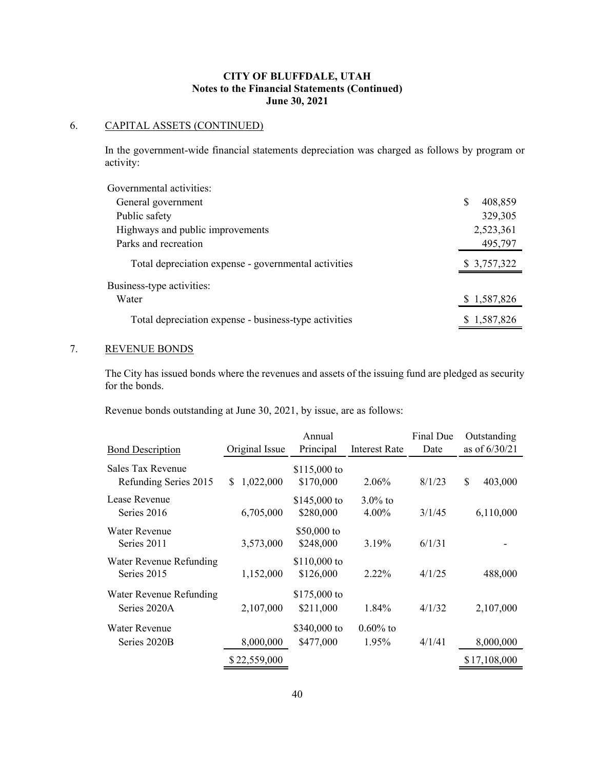# 6. CAPITAL ASSETS (CONTINUED)

In the government-wide financial statements depreciation was charged as follows by program or activity:

| Governmental activities:                              |              |
|-------------------------------------------------------|--------------|
| General government                                    | 408,859<br>S |
| Public safety                                         | 329,305      |
| Highways and public improvements                      | 2,523,361    |
| Parks and recreation                                  | 495,797      |
| Total depreciation expense - governmental activities  | \$ 3,757,322 |
| Business-type activities:                             |              |
| Water                                                 | \$1,587,826  |
| Total depreciation expense - business-type activities | \$1,587,826  |

# 7. REVENUE BONDS

The City has issued bonds where the revenues and assets of the issuing fund are pledged as security for the bonds.

Revenue bonds outstanding at June 30, 2021, by issue, are as follows:

|                                            |                 | Annual                     |                        | Final Due | Outstanding   |
|--------------------------------------------|-----------------|----------------------------|------------------------|-----------|---------------|
| <b>Bond Description</b>                    | Original Issue  | Principal                  | <b>Interest Rate</b>   | Date      | as of 6/30/21 |
| Sales Tax Revenue<br>Refunding Series 2015 | 1,022,000<br>S. | $$115,000$ to<br>\$170,000 | 2.06%                  | 8/1/23    | \$<br>403,000 |
| Lease Revenue<br>Series 2016               | 6,705,000       | $$145,000$ to<br>\$280,000 | $3.0\%$ to<br>$4.00\%$ | 3/1/45    | 6,110,000     |
| Water Revenue<br>Series 2011               | 3,573,000       | $$50,000$ to<br>\$248,000  | 3.19%                  | 6/1/31    |               |
| Water Revenue Refunding<br>Series 2015     | 1,152,000       | $$110,000$ to<br>\$126,000 | 2.22%                  | 4/1/25    | 488,000       |
| Water Revenue Refunding                    |                 | $$175,000$ to              |                        |           |               |
| Series 2020A                               | 2,107,000       | \$211,000                  | 1.84%                  | 4/1/32    | 2,107,000     |
| Water Revenue                              |                 | \$340,000 to               | $0.60\%$ to            |           |               |
| Series 2020B                               | 8,000,000       | \$477,000                  | 1.95%                  | 4/1/41    | 8,000,000     |
|                                            | \$22,559,000    |                            |                        |           | \$17,108,000  |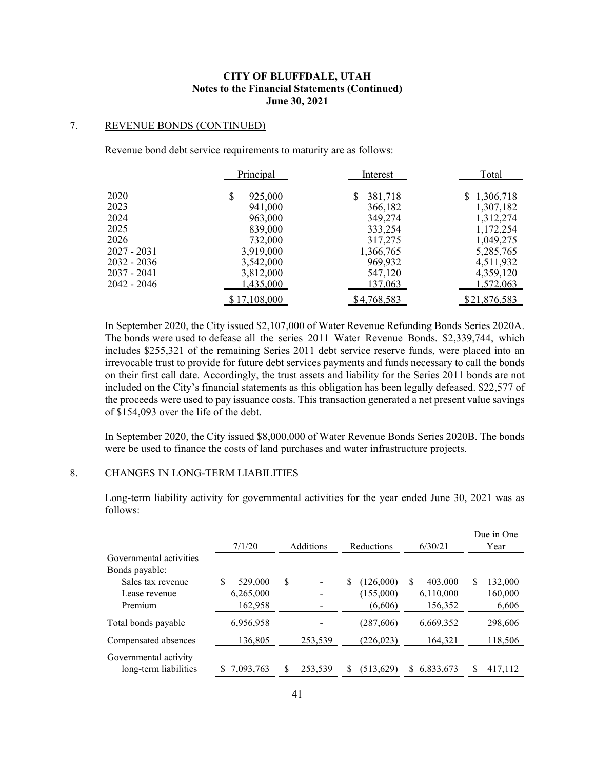## 7. REVENUE BONDS (CONTINUED)

Revenue bond debt service requirements to maturity are as follows:

|               | Principal     | Interest     | Total          |
|---------------|---------------|--------------|----------------|
|               |               |              |                |
| 2020          | \$<br>925,000 | 381,718<br>S | 1,306,718<br>S |
| 2023          | 941,000       | 366,182      | 1,307,182      |
| 2024          | 963,000       | 349,274      | 1,312,274      |
| 2025          | 839,000       | 333,254      | 1,172,254      |
| 2026          | 732,000       | 317,275      | 1,049,275      |
| $2027 - 2031$ | 3,919,000     | 1,366,765    | 5,285,765      |
| $2032 - 2036$ | 3,542,000     | 969,932      | 4,511,932      |
| $2037 - 2041$ | 3,812,000     | 547,120      | 4,359,120      |
| $2042 - 2046$ | 1,435,000     | 137,063      | 1,572,063      |
|               | \$17,108,000  | \$4,768,583  | \$21,876,583   |

In September 2020, the City issued \$2,107,000 of Water Revenue Refunding Bonds Series 2020A. The bonds were used to defease all the series 2011 Water Revenue Bonds. \$2,339,744, which includes \$255,321 of the remaining Series 2011 debt service reserve funds, were placed into an irrevocable trust to provide for future debt services payments and funds necessary to call the bonds on their first call date. Accordingly, the trust assets and liability for the Series 2011 bonds are not included on the City's financial statements as this obligation has been legally defeased. \$22,577 of the proceeds were used to pay issuance costs. This transaction generated a net present value savings of \$154,093 over the life of the debt.

In September 2020, the City issued \$8,000,000 of Water Revenue Bonds Series 2020B. The bonds were be used to finance the costs of land purchases and water infrastructure projects.

#### 8. CHANGES IN LONG-TERM LIABILITIES

Long-term liability activity for governmental activities for the year ended June 30, 2021 was as follows:

|                                                | 7/1/20               | <b>Additions</b> | Reductions           | 6/30/21              | Due in One<br>Year |
|------------------------------------------------|----------------------|------------------|----------------------|----------------------|--------------------|
| Governmental activities                        |                      |                  |                      |                      |                    |
| Bonds payable:<br>Sales tax revenue            | 529,000<br>S         | S                | (126,000)<br>S       | S<br>403,000         | \$<br>132,000      |
| Lease revenue<br>Premium                       | 6,265,000<br>162,958 |                  | (155,000)<br>(6,606) | 6,110,000<br>156,352 | 160,000<br>6,606   |
| Total bonds payable                            | 6,956,958            |                  | (287, 606)           | 6,669,352            | 298,606            |
| Compensated absences                           | 136,805              | 253,539          | (226, 023)           | 164,321              | 118,506            |
| Governmental activity<br>long-term liabilities | 7,093,763            | 253,539          | (513, 629)           | 6,833,673<br>S       | 417,112            |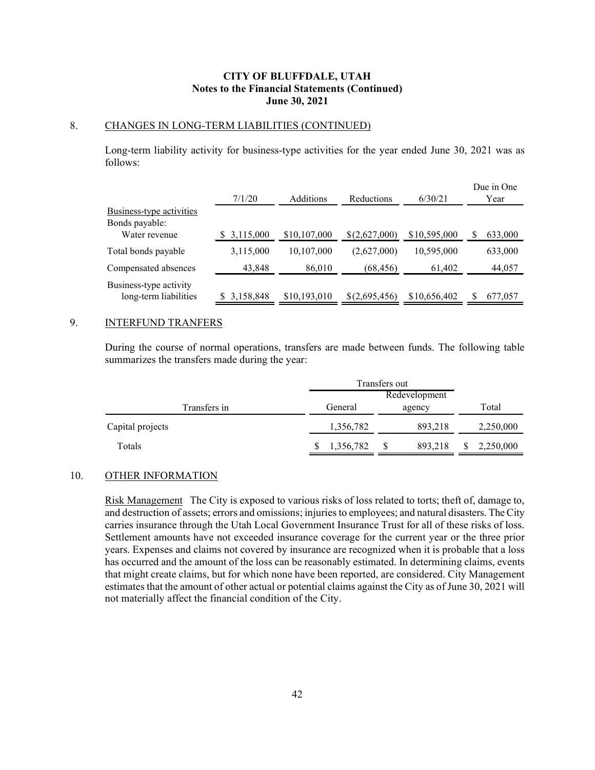#### 8. CHANGES IN LONG-TERM LIABILITIES (CONTINUED)

Long-term liability activity for business-type activities for the year ended June 30, 2021 was as follows:

|                                                 | 7/1/20    | <b>Additions</b> | Reductions    | 6/30/21      | Due in One<br>Year |
|-------------------------------------------------|-----------|------------------|---------------|--------------|--------------------|
| Business-type activities                        |           |                  |               |              |                    |
| Bonds payable:<br>Water revenue                 | 3,115,000 | \$10,107,000     | \$(2,627,000) | \$10,595,000 | 633,000<br>S       |
| Total bonds payable                             | 3,115,000 | 10,107,000       | (2,627,000)   | 10,595,000   | 633,000            |
| Compensated absences                            | 43,848    | 86,010           | (68, 456)     | 61,402       | 44,057             |
| Business-type activity<br>long-term liabilities | 3,158,848 | \$10,193,010     | \$(2,695,456) | \$10,656,402 | 677,057            |

# 9. INTERFUND TRANFERS

During the course of normal operations, transfers are made between funds. The following table summarizes the transfers made during the year:

|                  | Transfers out              |               |           |  |  |
|------------------|----------------------------|---------------|-----------|--|--|
|                  | Redevelopment              |               |           |  |  |
| Transfers in     | Total<br>General<br>agency |               |           |  |  |
| Capital projects | 1,356,782                  | 893,218       | 2,250,000 |  |  |
| Totals           | 1,356,782                  | \$<br>893,218 | 2,250,000 |  |  |

## 10. OTHER INFORMATION

Risk Management The City is exposed to various risks of loss related to torts; theft of, damage to, and destruction of assets; errors and omissions; injuries to employees; and natural disasters. The City carries insurance through the Utah Local Government Insurance Trust for all of these risks of loss. Settlement amounts have not exceeded insurance coverage for the current year or the three prior years. Expenses and claims not covered by insurance are recognized when it is probable that a loss has occurred and the amount of the loss can be reasonably estimated. In determining claims, events that might create claims, but for which none have been reported, are considered. City Management estimates that the amount of other actual or potential claims against the City as of June 30, 2021 will not materially affect the financial condition of the City.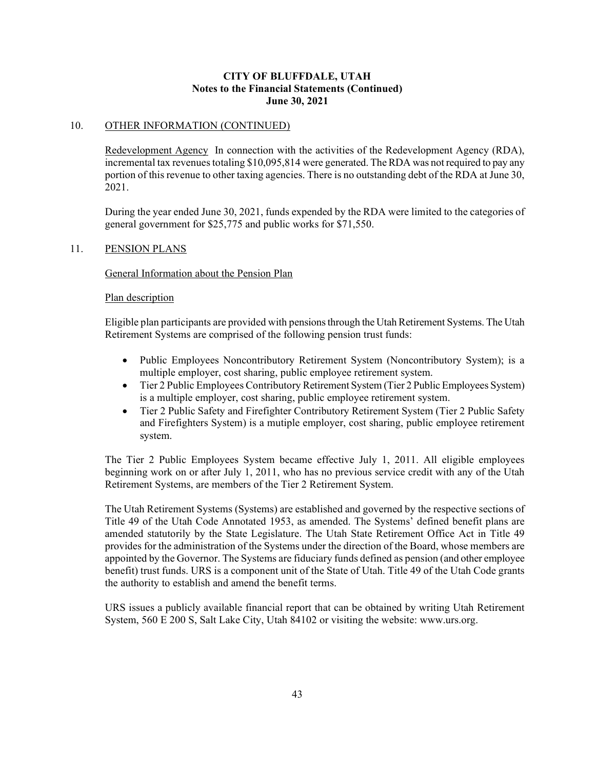#### 10. OTHER INFORMATION (CONTINUED)

Redevelopment Agency In connection with the activities of the Redevelopment Agency (RDA), incremental tax revenues totaling \$10,095,814 were generated. The RDA was not required to pay any portion of this revenue to other taxing agencies. There is no outstanding debt of the RDA at June 30, 2021.

During the year ended June 30, 2021, funds expended by the RDA were limited to the categories of general government for \$25,775 and public works for \$71,550.

#### 11. PENSION PLANS

General Information about the Pension Plan

#### Plan description

Eligible plan participants are provided with pensions through the Utah Retirement Systems. The Utah Retirement Systems are comprised of the following pension trust funds:

- Public Employees Noncontributory Retirement System (Noncontributory System); is a multiple employer, cost sharing, public employee retirement system.
- Tier 2 Public Employees Contributory Retirement System (Tier 2 Public Employees System) is a multiple employer, cost sharing, public employee retirement system.
- Tier 2 Public Safety and Firefighter Contributory Retirement System (Tier 2 Public Safety and Firefighters System) is a mutiple employer, cost sharing, public employee retirement system.

The Tier 2 Public Employees System became effective July 1, 2011. All eligible employees beginning work on or after July 1, 2011, who has no previous service credit with any of the Utah Retirement Systems, are members of the Tier 2 Retirement System.

The Utah Retirement Systems (Systems) are established and governed by the respective sections of Title 49 of the Utah Code Annotated 1953, as amended. The Systems' defined benefit plans are amended statutorily by the State Legislature. The Utah State Retirement Office Act in Title 49 provides for the administration of the Systems under the direction of the Board, whose members are appointed by the Governor. The Systems are fiduciary funds defined as pension (and other employee benefit) trust funds. URS is a component unit of the State of Utah. Title 49 of the Utah Code grants the authority to establish and amend the benefit terms.

URS issues a publicly available financial report that can be obtained by writing Utah Retirement System, 560 E 200 S, Salt Lake City, Utah 84102 or visiting the website: www.urs.org.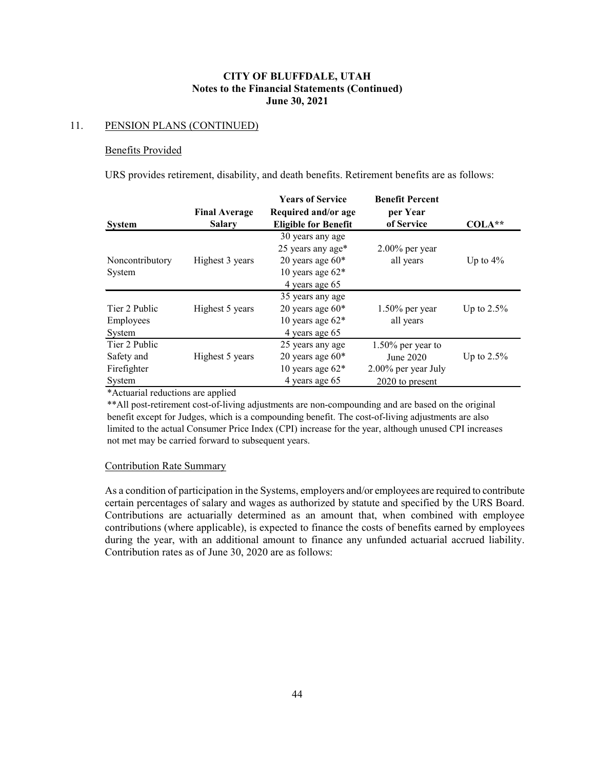#### 11. PENSION PLANS (CONTINUED)

#### Benefits Provided

URS provides retirement, disability, and death benefits. Retirement benefits are as follows:

| <b>System</b>                                        | <b>Final Average</b><br><b>Salary</b> | <b>Years of Service</b><br>Required and/or age<br><b>Eligible for Benefit</b>                       | <b>Benefit Percent</b><br>per Year<br>of Service                            | $COLA**$      |
|------------------------------------------------------|---------------------------------------|-----------------------------------------------------------------------------------------------------|-----------------------------------------------------------------------------|---------------|
| Noncontributory<br>System                            | Highest 3 years                       | 30 years any age<br>25 years any age*<br>20 years age $60*$<br>10 years age $62*$<br>4 years age 65 | $2.00\%$ per year<br>all years                                              | Up to $4\%$   |
| Tier 2 Public<br>Employees<br>System                 | Highest 5 years                       | 35 years any age<br>20 years age $60*$<br>10 years age $62*$<br>4 years age 65                      | $1.50\%$ per year<br>all years                                              | Up to $2.5\%$ |
| Tier 2 Public<br>Safety and<br>Firefighter<br>System | Highest 5 years                       | 25 years any age<br>20 years age $60*$<br>10 years age $62*$<br>4 years age 65                      | $1.50\%$ per year to<br>June 2020<br>2.00% per year July<br>2020 to present | Up to $2.5\%$ |

\*Actuarial reductions are applied

\*\*All post-retirement cost-of-living adjustments are non-compounding and are based on the original benefit except for Judges, which is a compounding benefit. The cost-of-living adjustments are also limited to the actual Consumer Price Index (CPI) increase for the year, although unused CPI increases not met may be carried forward to subsequent years.

#### Contribution Rate Summary

As a condition of participation in the Systems, employers and/or employees are required to contribute certain percentages of salary and wages as authorized by statute and specified by the URS Board. Contributions are actuarially determined as an amount that, when combined with employee contributions (where applicable), is expected to finance the costs of benefits earned by employees during the year, with an additional amount to finance any unfunded actuarial accrued liability. Contribution rates as of June 30, 2020 are as follows: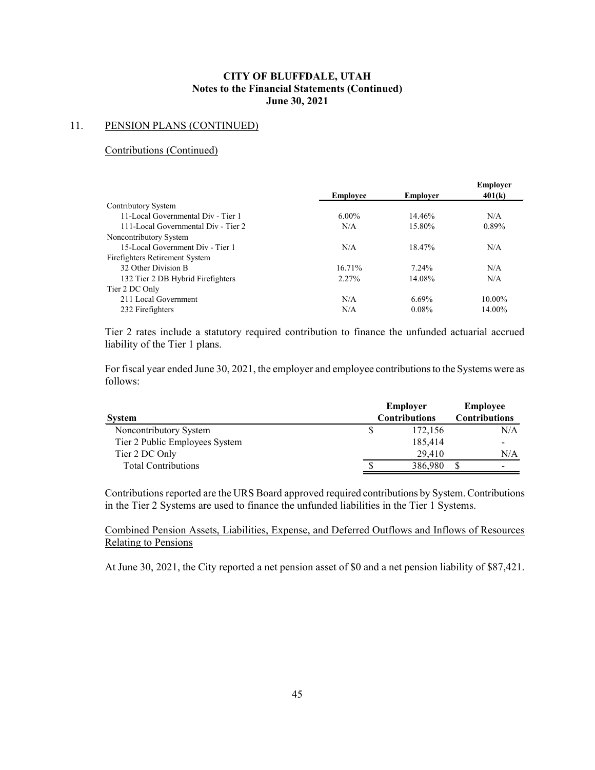## 11. PENSION PLANS (CONTINUED)

#### Contributions (Continued)

|                                     |           |          | Employer |
|-------------------------------------|-----------|----------|----------|
|                                     | Employee  | Employer | 401(k)   |
| Contributory System                 |           |          |          |
| 11-Local Governmental Div - Tier 1  | $6.00\%$  | 14.46%   | N/A      |
| 111-Local Governmental Div - Tier 2 | N/A       | 15.80%   | $0.89\%$ |
| Noncontributory System              |           |          |          |
| 15-Local Government Div - Tier 1    | N/A       | 18.47%   | N/A      |
| Firefighters Retirement System      |           |          |          |
| 32 Other Division B                 | $16.71\%$ | $7.24\%$ | N/A      |
| 132 Tier 2 DB Hybrid Firefighters   | $2.27\%$  | 14.08%   | N/A      |
| Tier 2 DC Only                      |           |          |          |
| 211 Local Government                | N/A       | 6.69%    | 10.00%   |
| 232 Firefighters                    | N/A       | $0.08\%$ | 14.00%   |

Tier 2 rates include a statutory required contribution to finance the unfunded actuarial accrued liability of the Tier 1 plans.

For fiscal year ended June 30, 2021, the employer and employee contributions to the Systems were as follows:

|                                | <b>Employer</b>      | <b>Employee</b>      |
|--------------------------------|----------------------|----------------------|
| <b>System</b>                  | <b>Contributions</b> | <b>Contributions</b> |
| Noncontributory System         | 172,156              | N/A                  |
| Tier 2 Public Employees System | 185,414              |                      |
| Tier 2 DC Only                 | 29.410               | N/A                  |
| <b>Total Contributions</b>     | 386,980              | -                    |

Contributions reported are the URS Board approved required contributions by System. Contributions in the Tier 2 Systems are used to finance the unfunded liabilities in the Tier 1 Systems.

Combined Pension Assets, Liabilities, Expense, and Deferred Outflows and Inflows of Resources Relating to Pensions

At June 30, 2021, the City reported a net pension asset of \$0 and a net pension liability of \$87,421.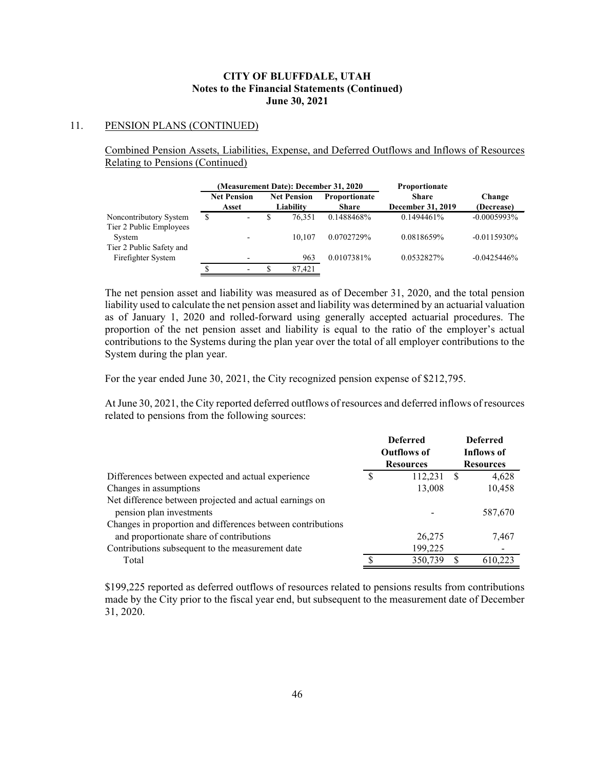#### 11. PENSION PLANS (CONTINUED)

Combined Pension Assets, Liabilities, Expense, and Deferred Outflows and Inflows of Resources Relating to Pensions (Continued)

|                                                   | (Measurement Date): December 31, 2020 |                             |   | Proportionate                   |                        |                                   |                      |
|---------------------------------------------------|---------------------------------------|-----------------------------|---|---------------------------------|------------------------|-----------------------------------|----------------------|
|                                                   |                                       | <b>Net Pension</b><br>Asset |   | <b>Net Pension</b><br>Liability | Proportionate<br>Share | <b>Share</b><br>December 31, 2019 | Change<br>(Decrease) |
| Noncontributory System<br>Tier 2 Public Employees | \$                                    | $\overline{\phantom{a}}$    | ъ | 76.351                          | 0.1488468%             | 0.1494461%                        | $-0.0005993%$        |
| System                                            |                                       | $\overline{\phantom{0}}$    |   | 10.107                          | 0.0702729%             | 0.0818659%                        | $-0.0115930\%$       |
| Tier 2 Public Safety and<br>Firefighter System    |                                       | ۰                           |   | 963                             | 0.0107381%             | 0.0532827%                        | $-0.0425446%$        |
|                                                   |                                       | $\overline{\phantom{a}}$    |   | 87,421                          |                        |                                   |                      |

The net pension asset and liability was measured as of December 31, 2020, and the total pension liability used to calculate the net pension asset and liability was determined by an actuarial valuation as of January 1, 2020 and rolled-forward using generally accepted actuarial procedures. The proportion of the net pension asset and liability is equal to the ratio of the employer's actual contributions to the Systems during the plan year over the total of all employer contributions to the System during the plan year.

For the year ended June 30, 2021, the City recognized pension expense of \$212,795.

At June 30, 2021, the City reported deferred outflows of resources and deferred inflows of resources related to pensions from the following sources:

|                                                             |     | <b>Deferred</b>    |   | <b>Deferred</b>  |
|-------------------------------------------------------------|-----|--------------------|---|------------------|
|                                                             |     | <b>Outflows of</b> |   | Inflows of       |
|                                                             |     | <b>Resources</b>   |   | <b>Resources</b> |
| Differences between expected and actual experience          | S   | 112.231            | S | 4,628            |
| Changes in assumptions                                      |     | 13,008             |   | 10,458           |
| Net difference between projected and actual earnings on     |     |                    |   |                  |
| pension plan investments                                    |     |                    |   | 587,670          |
| Changes in proportion and differences between contributions |     |                    |   |                  |
| and proportionate share of contributions                    |     | 26,275             |   | 7,467            |
| Contributions subsequent to the measurement date            |     | 199,225            |   |                  |
| Total                                                       | \$. | 350,739            |   | 610.223          |

\$199,225 reported as deferred outflows of resources related to pensions results from contributions made by the City prior to the fiscal year end, but subsequent to the measurement date of December 31, 2020.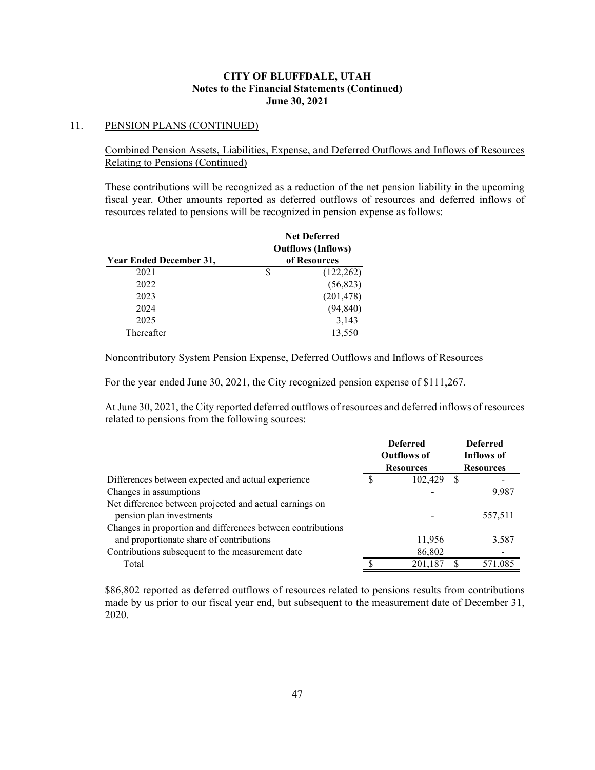#### 11. PENSION PLANS (CONTINUED)

Combined Pension Assets, Liabilities, Expense, and Deferred Outflows and Inflows of Resources Relating to Pensions (Continued)

These contributions will be recognized as a reduction of the net pension liability in the upcoming fiscal year. Other amounts reported as deferred outflows of resources and deferred inflows of resources related to pensions will be recognized in pension expense as follows:

|                                |   | <b>Net Deferred</b><br><b>Outflows (Inflows)</b> |
|--------------------------------|---|--------------------------------------------------|
| <b>Year Ended December 31,</b> |   | of Resources                                     |
| 2021                           | S | (122, 262)                                       |
| 2022                           |   | (56, 823)                                        |
| 2023                           |   | (201, 478)                                       |
| 2024                           |   | (94, 840)                                        |
| 2025                           |   | 3,143                                            |
| Thereafter                     |   | 13,550                                           |

Noncontributory System Pension Expense, Deferred Outflows and Inflows of Resources

For the year ended June 30, 2021, the City recognized pension expense of \$111,267.

At June 30, 2021, the City reported deferred outflows of resources and deferred inflows of resources related to pensions from the following sources:

|                                                             | <b>Deferred</b>    |            | <b>Deferred</b>  |
|-------------------------------------------------------------|--------------------|------------|------------------|
|                                                             | <b>Outflows of</b> | Inflows of |                  |
|                                                             | <b>Resources</b>   |            | <b>Resources</b> |
| Differences between expected and actual experience          | 102.429            |            |                  |
| Changes in assumptions                                      |                    |            | 9,987            |
| Net difference between projected and actual earnings on     |                    |            |                  |
| pension plan investments                                    |                    |            | 557,511          |
| Changes in proportion and differences between contributions |                    |            |                  |
| and proportionate share of contributions                    | 11,956             |            | 3,587            |
| Contributions subsequent to the measurement date            | 86,802             |            |                  |
| Total                                                       | 201,187            |            | 571,085          |

\$86,802 reported as deferred outflows of resources related to pensions results from contributions made by us prior to our fiscal year end, but subsequent to the measurement date of December 31, 2020.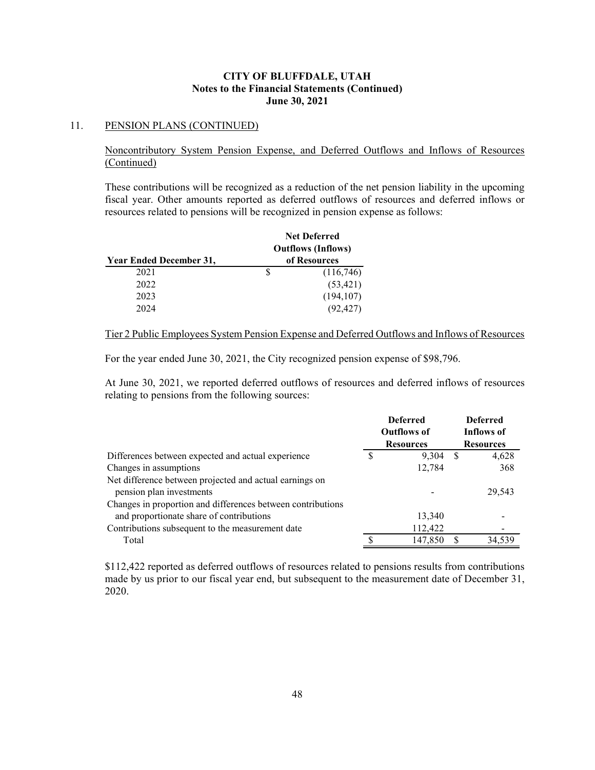#### 11. PENSION PLANS (CONTINUED)

Noncontributory System Pension Expense, and Deferred Outflows and Inflows of Resources (Continued)

These contributions will be recognized as a reduction of the net pension liability in the upcoming fiscal year. Other amounts reported as deferred outflows of resources and deferred inflows or resources related to pensions will be recognized in pension expense as follows:

|                         | <b>Net Deferred</b>       |
|-------------------------|---------------------------|
|                         | <b>Outflows (Inflows)</b> |
| Year Ended December 31, | of Resources              |
| 2021                    | (116,746)                 |
| 2022                    | (53, 421)                 |
| 2023                    | (194, 107)                |
| 2024                    | (92,427)                  |

#### Tier 2 Public Employees System Pension Expense and Deferred Outflows and Inflows of Resources

For the year ended June 30, 2021, the City recognized pension expense of \$98,796.

At June 30, 2021, we reported deferred outflows of resources and deferred inflows of resources relating to pensions from the following sources:

|                                                             | <b>Deferred</b>    | <b>Deferred</b>  |
|-------------------------------------------------------------|--------------------|------------------|
|                                                             | <b>Outflows of</b> | Inflows of       |
|                                                             | <b>Resources</b>   | <b>Resources</b> |
| Differences between expected and actual experience          | 9.304              | 4,628            |
| Changes in assumptions                                      | 12,784             | 368              |
| Net difference between projected and actual earnings on     |                    |                  |
| pension plan investments                                    |                    | 29,543           |
| Changes in proportion and differences between contributions |                    |                  |
| and proportionate share of contributions                    | 13,340             |                  |
| Contributions subsequent to the measurement date            | 112,422            |                  |
| Total                                                       | 147,850            | 34,539           |

\$112,422 reported as deferred outflows of resources related to pensions results from contributions made by us prior to our fiscal year end, but subsequent to the measurement date of December 31, 2020.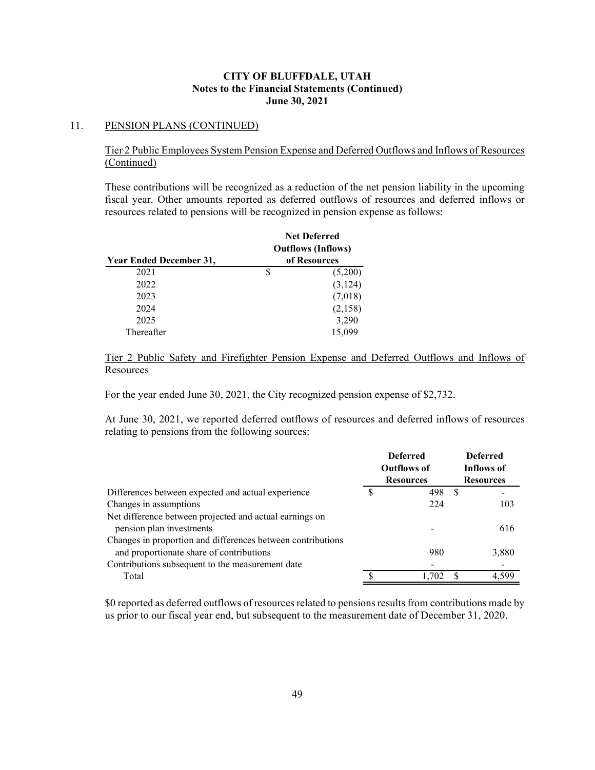#### 11. PENSION PLANS (CONTINUED)

Tier 2 Public Employees System Pension Expense and Deferred Outflows and Inflows of Resources (Continued)

These contributions will be recognized as a reduction of the net pension liability in the upcoming fiscal year. Other amounts reported as deferred outflows of resources and deferred inflows or resources related to pensions will be recognized in pension expense as follows:

|                                |   | <b>Net Deferred</b><br><b>Outflows (Inflows)</b> |
|--------------------------------|---|--------------------------------------------------|
| <b>Year Ended December 31,</b> |   | of Resources                                     |
| 2021                           | S | (5,200)                                          |
| 2022                           |   | (3, 124)                                         |
| 2023                           |   | (7,018)                                          |
| 2024                           |   | (2,158)                                          |
| 2025                           |   | 3,290                                            |
| Thereafter                     |   | 15,099                                           |

Tier 2 Public Safety and Firefighter Pension Expense and Deferred Outflows and Inflows of **Resources** 

For the year ended June 30, 2021, the City recognized pension expense of \$2,732.

At June 30, 2021, we reported deferred outflows of resources and deferred inflows of resources relating to pensions from the following sources:

|                                                             | <b>Deferred</b><br><b>Outflows of</b> |                  | <b>Deferred</b><br>Inflows of |                  |
|-------------------------------------------------------------|---------------------------------------|------------------|-------------------------------|------------------|
|                                                             |                                       | <b>Resources</b> |                               | <b>Resources</b> |
| Differences between expected and actual experience          |                                       | 498              |                               |                  |
| Changes in assumptions                                      |                                       | 224              |                               | 103              |
| Net difference between projected and actual earnings on     |                                       |                  |                               |                  |
| pension plan investments                                    |                                       |                  |                               | 616              |
| Changes in proportion and differences between contributions |                                       |                  |                               |                  |
| and proportionate share of contributions                    |                                       | 980              |                               | 3,880            |
| Contributions subsequent to the measurement date            |                                       |                  |                               |                  |
| Total                                                       |                                       | 1.702            |                               | 4.599            |

\$0 reported as deferred outflows of resources related to pensions results from contributions made by us prior to our fiscal year end, but subsequent to the measurement date of December 31, 2020.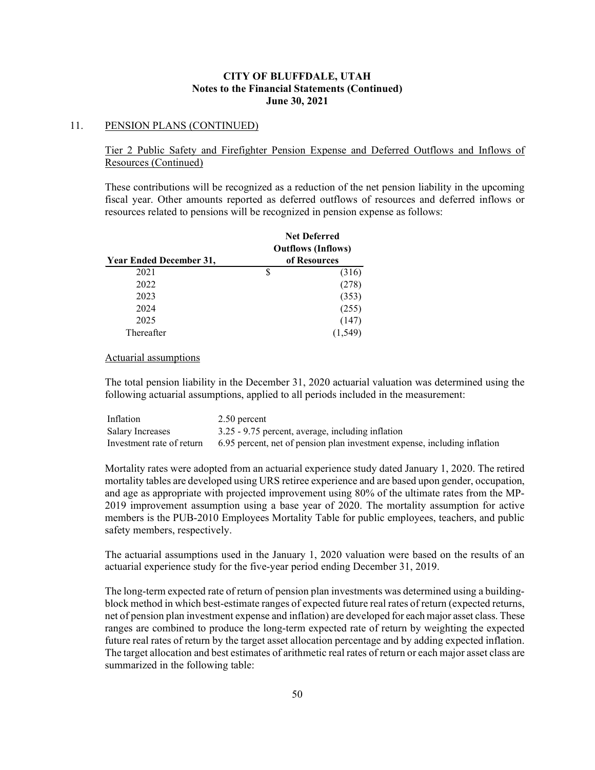#### 11. PENSION PLANS (CONTINUED)

Tier 2 Public Safety and Firefighter Pension Expense and Deferred Outflows and Inflows of Resources (Continued)

These contributions will be recognized as a reduction of the net pension liability in the upcoming fiscal year. Other amounts reported as deferred outflows of resources and deferred inflows or resources related to pensions will be recognized in pension expense as follows:

|                                |   | <b>Net Deferred</b><br><b>Outflows (Inflows)</b> |
|--------------------------------|---|--------------------------------------------------|
| <b>Year Ended December 31,</b> |   | of Resources                                     |
| 2021                           | S | (316)                                            |
| 2022                           |   | (278)                                            |
| 2023                           |   | (353)                                            |
| 2024                           |   | (255)                                            |
| 2025                           |   | (147)                                            |
| Thereafter                     |   |                                                  |

#### Actuarial assumptions

The total pension liability in the December 31, 2020 actuarial valuation was determined using the following actuarial assumptions, applied to all periods included in the measurement:

| Inflation                 | 2.50 percent                                                              |
|---------------------------|---------------------------------------------------------------------------|
| Salary Increases          | 3.25 - 9.75 percent, average, including inflation                         |
| Investment rate of return | 6.95 percent, net of pension plan investment expense, including inflation |

Mortality rates were adopted from an actuarial experience study dated January 1, 2020. The retired mortality tables are developed using URS retiree experience and are based upon gender, occupation, and age as appropriate with projected improvement using 80% of the ultimate rates from the MP-2019 improvement assumption using a base year of 2020. The mortality assumption for active members is the PUB-2010 Employees Mortality Table for public employees, teachers, and public safety members, respectively.

The actuarial assumptions used in the January 1, 2020 valuation were based on the results of an actuarial experience study for the five-year period ending December 31, 2019.

The long-term expected rate of return of pension plan investments was determined using a buildingblock method in which best-estimate ranges of expected future real rates of return (expected returns, net of pension plan investment expense and inflation) are developed for each major asset class. These ranges are combined to produce the long-term expected rate of return by weighting the expected future real rates of return by the target asset allocation percentage and by adding expected inflation. The target allocation and best estimates of arithmetic real rates of return or each major asset class are summarized in the following table: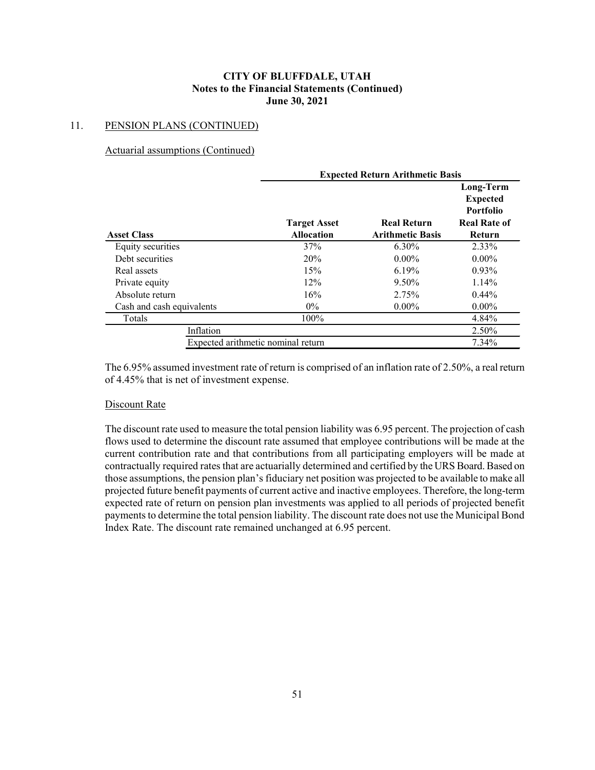#### 11. PENSION PLANS (CONTINUED)

Actuarial assumptions (Continued)

|                                    | <b>Expected Return Arithmetic Basis</b>  |                                               |                                                                                   |  |  |  |
|------------------------------------|------------------------------------------|-----------------------------------------------|-----------------------------------------------------------------------------------|--|--|--|
| <b>Asset Class</b>                 | <b>Target Asset</b><br><b>Allocation</b> | <b>Real Return</b><br><b>Arithmetic Basis</b> | Long-Term<br><b>Expected</b><br><b>Portfolio</b><br><b>Real Rate of</b><br>Return |  |  |  |
| Equity securities                  | 37%                                      | 6.30%                                         | 2.33%                                                                             |  |  |  |
| Debt securities                    | 20%                                      | $0.00\%$                                      | $0.00\%$                                                                          |  |  |  |
| Real assets                        | 15%                                      | 6.19%                                         | $0.93\%$                                                                          |  |  |  |
| Private equity                     | 12%                                      | 9.50%                                         | 1.14%                                                                             |  |  |  |
| Absolute return                    | 16%                                      | 2.75%                                         | $0.44\%$                                                                          |  |  |  |
| Cash and cash equivalents          | $0\%$                                    | $0.00\%$                                      | $0.00\%$                                                                          |  |  |  |
| Totals                             | 100%                                     |                                               | 4.84%                                                                             |  |  |  |
| Inflation                          |                                          |                                               | 2.50%                                                                             |  |  |  |
| Expected arithmetic nominal return |                                          |                                               | 7.34%                                                                             |  |  |  |

The 6.95% assumed investment rate of return is comprised of an inflation rate of 2.50%, a real return of 4.45% that is net of investment expense.

#### Discount Rate

The discount rate used to measure the total pension liability was 6.95 percent. The projection of cash flows used to determine the discount rate assumed that employee contributions will be made at the current contribution rate and that contributions from all participating employers will be made at contractually required rates that are actuarially determined and certified by the URS Board. Based on those assumptions, the pension plan's fiduciary net position was projected to be available to make all projected future benefit payments of current active and inactive employees. Therefore, the long-term expected rate of return on pension plan investments was applied to all periods of projected benefit payments to determine the total pension liability. The discount rate does not use the Municipal Bond Index Rate. The discount rate remained unchanged at 6.95 percent.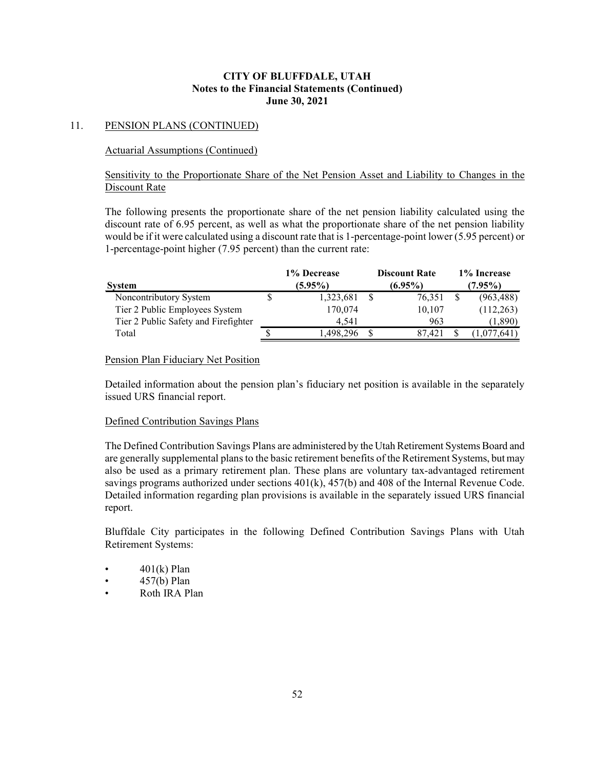#### 11. PENSION PLANS (CONTINUED)

#### Actuarial Assumptions (Continued)

## Sensitivity to the Proportionate Share of the Net Pension Asset and Liability to Changes in the Discount Rate

The following presents the proportionate share of the net pension liability calculated using the discount rate of 6.95 percent, as well as what the proportionate share of the net pension liability would be if it were calculated using a discount rate that is 1-percentage-point lower (5.95 percent) or 1-percentage-point higher (7.95 percent) than the current rate:

|                                      | 1% Decrease |           |  | <b>Discount Rate</b> | 1% Increase |            |  |
|--------------------------------------|-------------|-----------|--|----------------------|-------------|------------|--|
| <b>System</b>                        | $(5.95\%)$  |           |  | $(6.95\%)$           | $(7.95\%)$  |            |  |
| Noncontributory System               |             | 1,323,681 |  | 76.351               |             | (963, 488) |  |
| Tier 2 Public Employees System       |             | 170,074   |  | 10,107               |             | (112,263)  |  |
| Tier 2 Public Safety and Firefighter |             | 4.541     |  | 963                  |             | (1,890)    |  |
| Total                                |             | 1.498.296 |  | 87.421               |             | 1,077,641  |  |

#### Pension Plan Fiduciary Net Position

Detailed information about the pension plan's fiduciary net position is available in the separately issued URS financial report.

#### Defined Contribution Savings Plans

The Defined Contribution Savings Plans are administered by the Utah Retirement Systems Board and are generally supplemental plans to the basic retirement benefits of the Retirement Systems, but may also be used as a primary retirement plan. These plans are voluntary tax-advantaged retirement savings programs authorized under sections 401(k), 457(b) and 408 of the Internal Revenue Code. Detailed information regarding plan provisions is available in the separately issued URS financial report.

Bluffdale City participates in the following Defined Contribution Savings Plans with Utah Retirement Systems:

- $401(k)$  Plan
- $\cdot$  457(b) Plan
- Roth IRA Plan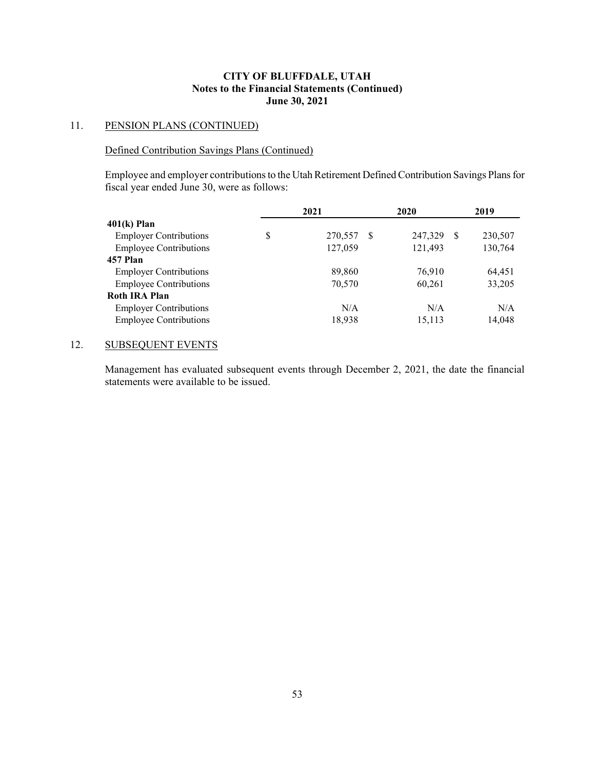# 11. PENSION PLANS (CONTINUED)

## Defined Contribution Savings Plans (Continued)

Employee and employer contributions to the Utah Retirement Defined Contribution Savings Plans for fiscal year ended June 30, were as follows:

|                               |   | 2021    |    | 2020    |          | 2019    |
|-------------------------------|---|---------|----|---------|----------|---------|
| $401(k)$ Plan                 |   |         |    |         |          |         |
| <b>Employer Contributions</b> | S | 270,557 | -8 | 247,329 | <b>S</b> | 230,507 |
| <b>Employee Contributions</b> |   | 127,059 |    | 121,493 |          | 130,764 |
| 457 Plan                      |   |         |    |         |          |         |
| <b>Employer Contributions</b> |   | 89,860  |    | 76,910  |          | 64,451  |
| <b>Employee Contributions</b> |   | 70,570  |    | 60,261  |          | 33,205  |
| <b>Roth IRA Plan</b>          |   |         |    |         |          |         |
| <b>Employer Contributions</b> |   | N/A     |    | N/A     |          | N/A     |
| <b>Employee Contributions</b> |   | 18,938  |    | 15,113  |          | 14,048  |

## 12. SUBSEQUENT EVENTS

Management has evaluated subsequent events through December 2, 2021, the date the financial statements were available to be issued.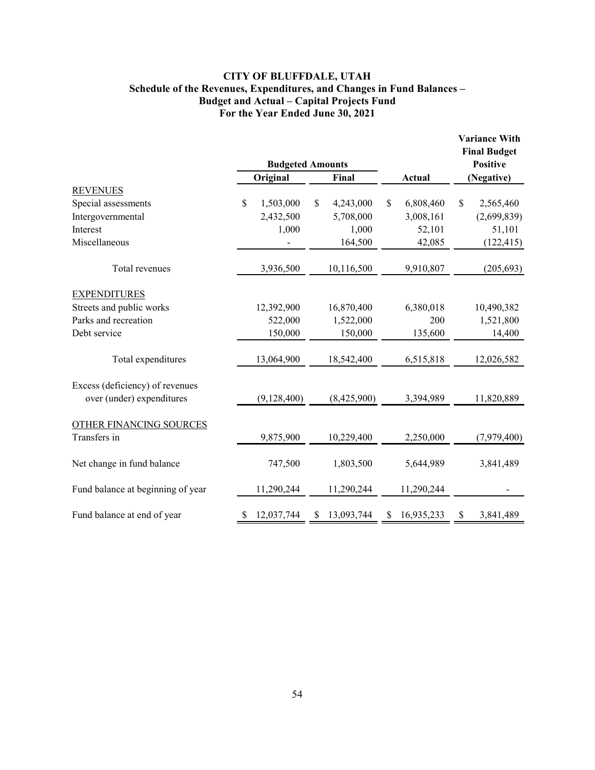# **CITY OF BLUFFDALE, UTAH Schedule of the Revenues, Expenditures, and Changes in Fund Balances – Budget and Actual – Capital Projects Fund For the Year Ended June 30, 2021**

|                                   |                                              |               |              |               |    |            |    | <b>Variance With</b><br><b>Final Budget</b><br><b>Positive</b> |
|-----------------------------------|----------------------------------------------|---------------|--------------|---------------|----|------------|----|----------------------------------------------------------------|
|                                   | <b>Budgeted Amounts</b><br>Original<br>Final |               |              | <b>Actual</b> |    | (Negative) |    |                                                                |
| <b>REVENUES</b>                   |                                              |               |              |               |    |            |    |                                                                |
| Special assessments               | \$                                           | 1,503,000     | $\mathbb{S}$ | 4,243,000     | \$ | 6,808,460  | \$ | 2,565,460                                                      |
| Intergovernmental                 |                                              | 2,432,500     |              | 5,708,000     |    | 3,008,161  |    | (2,699,839)                                                    |
| Interest                          |                                              | 1,000         |              | 1,000         |    | 52,101     |    | 51,101                                                         |
| Miscellaneous                     |                                              |               |              | 164,500       |    | 42,085     |    | (122, 415)                                                     |
| Total revenues                    |                                              | 3,936,500     |              | 10,116,500    |    | 9,910,807  |    | (205, 693)                                                     |
| <b>EXPENDITURES</b>               |                                              |               |              |               |    |            |    |                                                                |
| Streets and public works          |                                              | 12,392,900    |              | 16,870,400    |    | 6,380,018  |    | 10,490,382                                                     |
| Parks and recreation              |                                              | 522,000       |              | 1,522,000     |    | 200        |    | 1,521,800                                                      |
| Debt service                      |                                              | 150,000       |              | 150,000       |    | 135,600    |    | 14,400                                                         |
| Total expenditures                |                                              | 13,064,900    |              | 18,542,400    |    | 6,515,818  |    | 12,026,582                                                     |
| Excess (deficiency) of revenues   |                                              |               |              |               |    |            |    |                                                                |
| over (under) expenditures         |                                              | (9, 128, 400) |              | (8,425,900)   |    | 3,394,989  |    | 11,820,889                                                     |
| OTHER FINANCING SOURCES           |                                              |               |              |               |    |            |    |                                                                |
| Transfers in                      |                                              | 9,875,900     |              | 10,229,400    |    | 2,250,000  |    | (7,979,400)                                                    |
| Net change in fund balance        |                                              | 747,500       |              | 1,803,500     |    | 5,644,989  |    | 3,841,489                                                      |
| Fund balance at beginning of year |                                              | 11,290,244    |              | 11,290,244    |    | 11,290,244 |    |                                                                |
| Fund balance at end of year       |                                              | 12,037,744    | S            | 13,093,744    | S  | 16,935,233 | \$ | 3,841,489                                                      |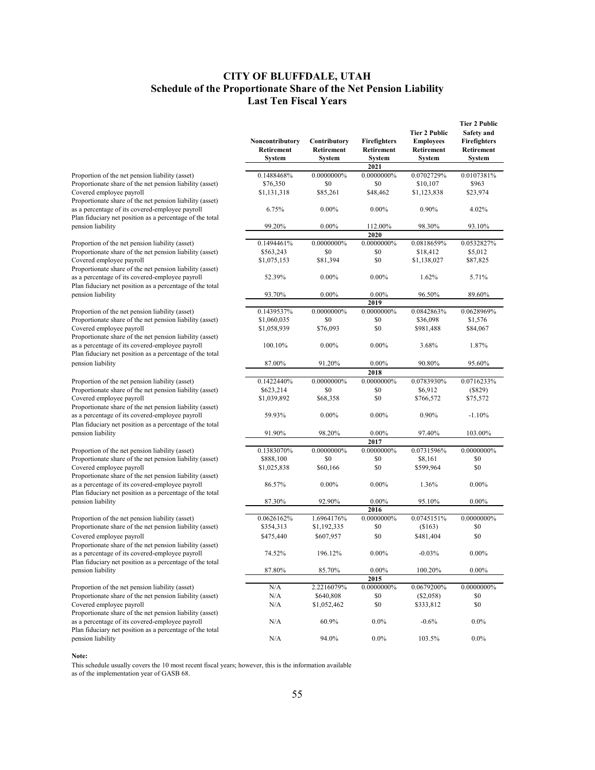## **CITY OF BLUFFDALE, UTAH Schedule of the Proportionate Share of the Net Pension Liability Last Ten Fiscal Years**

|                                                                                                                                                                                                                                                                                                                                                                                                                                                                                                                                                                                                                                                                                                                                                                                                                                                                                                                                                                                                                               | Noncontributory<br>Retirement | Contributory<br>Retirement | <b>Firefighters</b><br>Retirement | <b>Tier 2 Public</b><br><b>Employees</b><br>Retirement | <b>Tier 2 Public</b><br>Safety and<br><b>Firefighters</b><br>Retirement                                                                                                                                                                                                                                                                               |
|-------------------------------------------------------------------------------------------------------------------------------------------------------------------------------------------------------------------------------------------------------------------------------------------------------------------------------------------------------------------------------------------------------------------------------------------------------------------------------------------------------------------------------------------------------------------------------------------------------------------------------------------------------------------------------------------------------------------------------------------------------------------------------------------------------------------------------------------------------------------------------------------------------------------------------------------------------------------------------------------------------------------------------|-------------------------------|----------------------------|-----------------------------------|--------------------------------------------------------|-------------------------------------------------------------------------------------------------------------------------------------------------------------------------------------------------------------------------------------------------------------------------------------------------------------------------------------------------------|
|                                                                                                                                                                                                                                                                                                                                                                                                                                                                                                                                                                                                                                                                                                                                                                                                                                                                                                                                                                                                                               | System                        | System                     | System<br>2021                    | <b>System</b>                                          |                                                                                                                                                                                                                                                                                                                                                       |
| Proportion of the net pension liability (asset)                                                                                                                                                                                                                                                                                                                                                                                                                                                                                                                                                                                                                                                                                                                                                                                                                                                                                                                                                                               | 0.1488468%                    | 0.0000000%                 | 0.0000000%                        | 0.0702729%                                             | 0.0107381%                                                                                                                                                                                                                                                                                                                                            |
| Proportionate share of the net pension liability (asset)                                                                                                                                                                                                                                                                                                                                                                                                                                                                                                                                                                                                                                                                                                                                                                                                                                                                                                                                                                      | \$76,350                      | \$0                        | \$0                               | \$10,107                                               | \$963                                                                                                                                                                                                                                                                                                                                                 |
| Covered employee payroll<br>Proportionate share of the net pension liability (asset)                                                                                                                                                                                                                                                                                                                                                                                                                                                                                                                                                                                                                                                                                                                                                                                                                                                                                                                                          | \$1,131,318                   | \$85,261                   | \$48,462                          | \$1,123,838                                            | \$23,974                                                                                                                                                                                                                                                                                                                                              |
| as a percentage of its covered-employee payroll<br>Plan fiduciary net position as a percentage of the total                                                                                                                                                                                                                                                                                                                                                                                                                                                                                                                                                                                                                                                                                                                                                                                                                                                                                                                   | 6.75%                         | $0.00\%$                   | $0.00\%$                          | 0.90%                                                  | 4.02%                                                                                                                                                                                                                                                                                                                                                 |
| pension liability                                                                                                                                                                                                                                                                                                                                                                                                                                                                                                                                                                                                                                                                                                                                                                                                                                                                                                                                                                                                             | 99.20%                        | $0.00\%$                   | 112.00%<br>2020                   | 98.30%                                                 | System<br>93.10%<br>0.0532827%<br>\$5,012<br>\$87,825<br>5.71%<br>89.60%<br>0.0628969%<br>\$1,576<br>\$84,067<br>1.87%<br>95.60%<br>0.0716233%<br>(S829)<br>\$75,572<br>$-1.10%$<br>103.00%<br>0.0000000%<br>\$0<br>\$0<br>$0.00\%$<br>$0.00\%$<br>0.0000000%<br>\$0<br>\$0<br>$0.00\%$<br>$0.00\%$<br>0.0000000%<br>\$0<br>\$0<br>$0.0\%$<br>$0.0\%$ |
|                                                                                                                                                                                                                                                                                                                                                                                                                                                                                                                                                                                                                                                                                                                                                                                                                                                                                                                                                                                                                               | 0.1494461%                    | 0.0000000%                 | 0.0000000%                        | 0.0818659%                                             |                                                                                                                                                                                                                                                                                                                                                       |
|                                                                                                                                                                                                                                                                                                                                                                                                                                                                                                                                                                                                                                                                                                                                                                                                                                                                                                                                                                                                                               | \$563,243                     | \$0                        | \$0                               | \$18,412                                               |                                                                                                                                                                                                                                                                                                                                                       |
| Proportion of the net pension liability (asset)<br>Proportionate share of the net pension liability (asset)<br>Covered employee payroll<br>Proportionate share of the net pension liability (asset)<br>as a percentage of its covered-employee payroll<br>Plan fiduciary net position as a percentage of the total<br>pension liability<br>Proportion of the net pension liability (asset)<br>Proportionate share of the net pension liability (asset)<br>Covered employee payroll<br>Proportionate share of the net pension liability (asset)<br>as a percentage of its covered-employee payroll<br>Plan fiduciary net position as a percentage of the total<br>pension liability<br>Proportion of the net pension liability (asset)<br>Proportionate share of the net pension liability (asset)<br>Covered employee payroll<br>Proportionate share of the net pension liability (asset)<br>as a percentage of its covered-employee payroll<br>Plan fiduciary net position as a percentage of the total<br>pension liability | \$1,075,153                   | \$81,394                   | \$0                               | \$1,138,027                                            |                                                                                                                                                                                                                                                                                                                                                       |
|                                                                                                                                                                                                                                                                                                                                                                                                                                                                                                                                                                                                                                                                                                                                                                                                                                                                                                                                                                                                                               | 52.39%                        | $0.00\%$                   | $0.00\%$                          | 1.62%                                                  |                                                                                                                                                                                                                                                                                                                                                       |
|                                                                                                                                                                                                                                                                                                                                                                                                                                                                                                                                                                                                                                                                                                                                                                                                                                                                                                                                                                                                                               | 93.70%                        | $0.00\%$                   | $0.00\%$                          | 96.50%                                                 |                                                                                                                                                                                                                                                                                                                                                       |
|                                                                                                                                                                                                                                                                                                                                                                                                                                                                                                                                                                                                                                                                                                                                                                                                                                                                                                                                                                                                                               |                               |                            | 2019                              |                                                        |                                                                                                                                                                                                                                                                                                                                                       |
|                                                                                                                                                                                                                                                                                                                                                                                                                                                                                                                                                                                                                                                                                                                                                                                                                                                                                                                                                                                                                               | 0.1439537%                    | 0.0000000%                 | 0.0000000%                        | 0.0842863%                                             |                                                                                                                                                                                                                                                                                                                                                       |
|                                                                                                                                                                                                                                                                                                                                                                                                                                                                                                                                                                                                                                                                                                                                                                                                                                                                                                                                                                                                                               | \$1,060,035                   | \$0                        | \$0                               | \$36,098                                               |                                                                                                                                                                                                                                                                                                                                                       |
|                                                                                                                                                                                                                                                                                                                                                                                                                                                                                                                                                                                                                                                                                                                                                                                                                                                                                                                                                                                                                               | \$1,058,939                   | \$76,093                   | \$0                               | \$981,488                                              |                                                                                                                                                                                                                                                                                                                                                       |
|                                                                                                                                                                                                                                                                                                                                                                                                                                                                                                                                                                                                                                                                                                                                                                                                                                                                                                                                                                                                                               | 100.10%                       | $0.00\%$                   | $0.00\%$                          | 3.68%                                                  |                                                                                                                                                                                                                                                                                                                                                       |
|                                                                                                                                                                                                                                                                                                                                                                                                                                                                                                                                                                                                                                                                                                                                                                                                                                                                                                                                                                                                                               | 87.00%                        | 91.20%                     | $0.00\%$                          | 90.80%                                                 |                                                                                                                                                                                                                                                                                                                                                       |
|                                                                                                                                                                                                                                                                                                                                                                                                                                                                                                                                                                                                                                                                                                                                                                                                                                                                                                                                                                                                                               |                               |                            | 2018                              |                                                        |                                                                                                                                                                                                                                                                                                                                                       |
|                                                                                                                                                                                                                                                                                                                                                                                                                                                                                                                                                                                                                                                                                                                                                                                                                                                                                                                                                                                                                               | 0.1422440%                    | $0.0000000\%$              | 0.0000000%                        | 0.0783930%                                             |                                                                                                                                                                                                                                                                                                                                                       |
|                                                                                                                                                                                                                                                                                                                                                                                                                                                                                                                                                                                                                                                                                                                                                                                                                                                                                                                                                                                                                               | \$623,214                     | \$0                        | \$0                               | \$6,912                                                |                                                                                                                                                                                                                                                                                                                                                       |
|                                                                                                                                                                                                                                                                                                                                                                                                                                                                                                                                                                                                                                                                                                                                                                                                                                                                                                                                                                                                                               | \$1,039,892<br>59.93%         | \$68,358<br>$0.00\%$       | \$0<br>$0.00\%$                   | \$766,572<br>0.90%                                     |                                                                                                                                                                                                                                                                                                                                                       |
|                                                                                                                                                                                                                                                                                                                                                                                                                                                                                                                                                                                                                                                                                                                                                                                                                                                                                                                                                                                                                               |                               |                            |                                   |                                                        |                                                                                                                                                                                                                                                                                                                                                       |
|                                                                                                                                                                                                                                                                                                                                                                                                                                                                                                                                                                                                                                                                                                                                                                                                                                                                                                                                                                                                                               | 91.90%                        | 98.20%                     | $0.00\%$                          | 97.40%                                                 |                                                                                                                                                                                                                                                                                                                                                       |
| Proportion of the net pension liability (asset)                                                                                                                                                                                                                                                                                                                                                                                                                                                                                                                                                                                                                                                                                                                                                                                                                                                                                                                                                                               | 0.1383070%                    | 0.0000000%                 | 2017<br>0.0000000%                | 0.0731596%                                             |                                                                                                                                                                                                                                                                                                                                                       |
| Proportionate share of the net pension liability (asset)                                                                                                                                                                                                                                                                                                                                                                                                                                                                                                                                                                                                                                                                                                                                                                                                                                                                                                                                                                      | \$888,100                     | \$0                        | \$0                               | \$8,161                                                |                                                                                                                                                                                                                                                                                                                                                       |
| Covered employee payroll                                                                                                                                                                                                                                                                                                                                                                                                                                                                                                                                                                                                                                                                                                                                                                                                                                                                                                                                                                                                      | \$1,025,838                   | \$60,166                   | \$0                               | \$599,964                                              |                                                                                                                                                                                                                                                                                                                                                       |
| Proportionate share of the net pension liability (asset)<br>as a percentage of its covered-employee payroll<br>Plan fiduciary net position as a percentage of the total                                                                                                                                                                                                                                                                                                                                                                                                                                                                                                                                                                                                                                                                                                                                                                                                                                                       | 86.57%                        | $0.00\%$                   | $0.00\%$                          | 1.36%                                                  |                                                                                                                                                                                                                                                                                                                                                       |
| pension liability                                                                                                                                                                                                                                                                                                                                                                                                                                                                                                                                                                                                                                                                                                                                                                                                                                                                                                                                                                                                             | 87.30%                        | 92.90%                     | $0.00\%$<br>2016                  | 95.10%                                                 |                                                                                                                                                                                                                                                                                                                                                       |
| Proportion of the net pension liability (asset)                                                                                                                                                                                                                                                                                                                                                                                                                                                                                                                                                                                                                                                                                                                                                                                                                                                                                                                                                                               | 0.0626162%                    | 1.6964176%                 | 0.0000000%                        | 0.0745151%                                             |                                                                                                                                                                                                                                                                                                                                                       |
| Proportionate share of the net pension liability (asset)                                                                                                                                                                                                                                                                                                                                                                                                                                                                                                                                                                                                                                                                                                                                                                                                                                                                                                                                                                      | \$354,313                     | \$1,192,335                | \$0                               | ( \$163)                                               |                                                                                                                                                                                                                                                                                                                                                       |
| Covered employee payroll                                                                                                                                                                                                                                                                                                                                                                                                                                                                                                                                                                                                                                                                                                                                                                                                                                                                                                                                                                                                      | \$475,440                     | \$607,957                  | \$0                               | \$481,404                                              |                                                                                                                                                                                                                                                                                                                                                       |
| Proportionate share of the net pension liability (asset)<br>as a percentage of its covered-employee payroll<br>Plan fiduciary net position as a percentage of the total                                                                                                                                                                                                                                                                                                                                                                                                                                                                                                                                                                                                                                                                                                                                                                                                                                                       | 74.52%                        | 196.12%                    | $0.00\%$                          | $-0.03%$                                               |                                                                                                                                                                                                                                                                                                                                                       |
| pension liability                                                                                                                                                                                                                                                                                                                                                                                                                                                                                                                                                                                                                                                                                                                                                                                                                                                                                                                                                                                                             | 87.80%                        | 85.70%                     | $0.00\%$                          | 100.20%                                                |                                                                                                                                                                                                                                                                                                                                                       |
|                                                                                                                                                                                                                                                                                                                                                                                                                                                                                                                                                                                                                                                                                                                                                                                                                                                                                                                                                                                                                               |                               |                            | 2015                              |                                                        |                                                                                                                                                                                                                                                                                                                                                       |
| Proportion of the net pension liability (asset)                                                                                                                                                                                                                                                                                                                                                                                                                                                                                                                                                                                                                                                                                                                                                                                                                                                                                                                                                                               | N/A                           | 2.2216079%                 | $0.0000000\overline{0\%}$         | 0.0679200%                                             |                                                                                                                                                                                                                                                                                                                                                       |
| Proportionate share of the net pension liability (asset)                                                                                                                                                                                                                                                                                                                                                                                                                                                                                                                                                                                                                                                                                                                                                                                                                                                                                                                                                                      | N/A                           | \$640,808                  | \$0                               | $(\$2,058)$                                            |                                                                                                                                                                                                                                                                                                                                                       |
| Covered employee payroll                                                                                                                                                                                                                                                                                                                                                                                                                                                                                                                                                                                                                                                                                                                                                                                                                                                                                                                                                                                                      | N/A                           | \$1,052,462                | \$0                               | \$333,812                                              |                                                                                                                                                                                                                                                                                                                                                       |
| Proportionate share of the net pension liability (asset)<br>as a percentage of its covered-employee payroll<br>Plan fiduciary net position as a percentage of the total                                                                                                                                                                                                                                                                                                                                                                                                                                                                                                                                                                                                                                                                                                                                                                                                                                                       | N/A                           | 60.9%                      | $0.0\%$                           | $-0.6%$                                                |                                                                                                                                                                                                                                                                                                                                                       |
| pension liability                                                                                                                                                                                                                                                                                                                                                                                                                                                                                                                                                                                                                                                                                                                                                                                                                                                                                                                                                                                                             | N/A                           | 94.0%                      | $0.0\%$                           | 103.5%                                                 |                                                                                                                                                                                                                                                                                                                                                       |
|                                                                                                                                                                                                                                                                                                                                                                                                                                                                                                                                                                                                                                                                                                                                                                                                                                                                                                                                                                                                                               |                               |                            |                                   |                                                        |                                                                                                                                                                                                                                                                                                                                                       |

#### **Note:**

This schedule usually covers the 10 most recent fiscal years; however, this is the information available

as of the implementation year of GASB 68.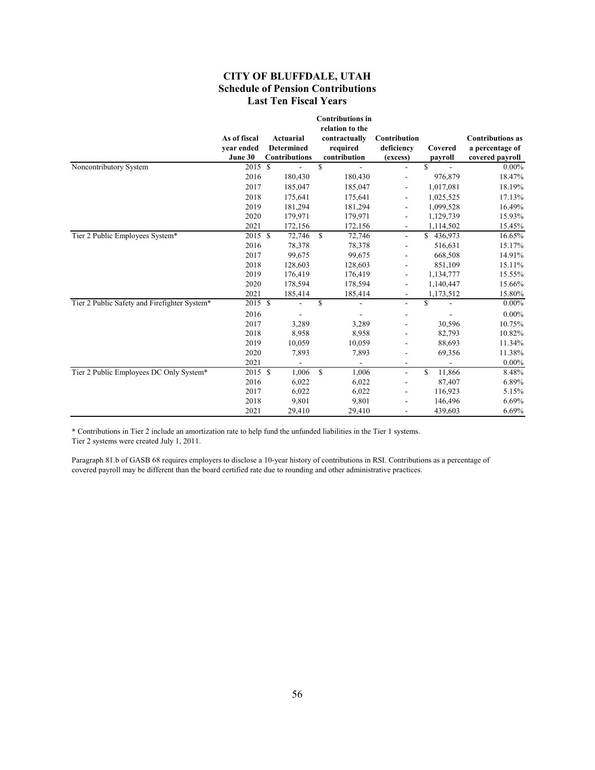# **CITY OF BLUFFDALE, UTAH Schedule of Pension Contributions Last Ten Fiscal Years**

|                                              |              |                      | <b>Contributions in</b> |                          |             |                         |
|----------------------------------------------|--------------|----------------------|-------------------------|--------------------------|-------------|-------------------------|
|                                              |              |                      | relation to the         |                          |             |                         |
|                                              | As of fiscal | Actuarial            | contractually           | Contribution             |             | <b>Contributions as</b> |
|                                              | year ended   | <b>Determined</b>    | required                | deficiency               | Covered     | a percentage of         |
|                                              | June 30      | <b>Contributions</b> | contribution            | (excess)                 | payroll     | covered payroll         |
| Noncontributory System                       | 2015 \$      |                      | \$                      |                          | \$          | $0.00\%$                |
|                                              | 2016         | 180,430              | 180,430                 |                          | 976,879     | 18.47%                  |
|                                              | 2017         | 185,047              | 185,047                 |                          | 1,017,081   | 18.19%                  |
|                                              | 2018         | 175,641              | 175,641                 |                          | 1,025,525   | 17.13%                  |
|                                              | 2019         | 181,294              | 181,294                 |                          | 1,099,528   | 16.49%                  |
|                                              | 2020         | 179,971              | 179,971                 |                          | 1,129,739   | 15.93%                  |
|                                              | 2021         | 172,156              | 172,156                 | $\overline{\phantom{a}}$ | 1,114,502   | 15.45%                  |
| Tier 2 Public Employees System*              | 2015 \$      | 72,746               | \$<br>72,746            | $\blacksquare$           | \$436,973   | 16.65%                  |
|                                              | 2016         | 78,378               | 78,378                  |                          | 516,631     | 15.17%                  |
|                                              | 2017         | 99,675               | 99,675                  |                          | 668,508     | 14.91%                  |
|                                              | 2018         | 128,603              | 128,603                 |                          | 851,109     | 15.11%                  |
|                                              | 2019         | 176,419              | 176,419                 |                          | 1,134,777   | 15.55%                  |
|                                              | 2020         | 178,594              | 178,594                 |                          | 1,140,447   | 15.66%                  |
|                                              | 2021         | 185,414              | 185,414                 |                          | 1,173,512   | 15.80%                  |
| Tier 2 Public Safety and Firefighter System* | 2015 \$      |                      | \$                      | $\blacksquare$           | \$          | $0.00\%$                |
|                                              | 2016         |                      |                         |                          |             | $0.00\%$                |
|                                              | 2017         | 3,289                | 3,289                   |                          | 30,596      | 10.75%                  |
|                                              | 2018         | 8,958                | 8,958                   |                          | 82,793      | 10.82%                  |
|                                              | 2019         | 10,059               | 10,059                  |                          | 88,693      | 11.34%                  |
|                                              | 2020         | 7,893                | 7,893                   |                          | 69,356      | 11.38%                  |
|                                              | 2021         |                      |                         |                          |             | $0.00\%$                |
| Tier 2 Public Employees DC Only System*      | 2015 \$      | 1,006                | \$<br>1,006             | $\blacksquare$           | S<br>11,866 | 8.48%                   |
|                                              | 2016         | 6.022                | 6,022                   |                          | 87,407      | 6.89%                   |
|                                              | 2017         | 6,022                | 6,022                   |                          | 116,923     | 5.15%                   |
|                                              | 2018         | 9,801                | 9,801                   |                          | 146,496     | 6.69%                   |
|                                              | 2021         | 29,410               | 29,410                  |                          | 439,603     | 6.69%                   |

**\*** Contributions in Tier 2 include an amortization rate to help fund the unfunded liabilities in the Tier 1 systems. Tier 2 systems were created July 1, 2011.

Paragraph 81.b of GASB 68 requires employers to disclose a 10-year history of contributions in RSI. Contributions as a percentage of covered payroll may be different than the board certified rate due to rounding and other administrative practices.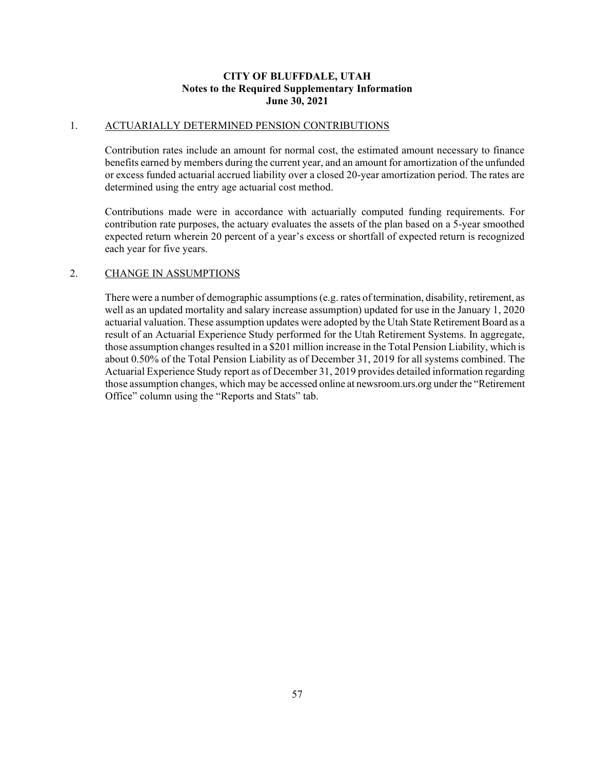#### **CITY OF BLUFFDALE, UTAH Notes to the Required Supplementary Information June 30, 2021**

#### 1. ACTUARIALLY DETERMINED PENSION CONTRIBUTIONS

Contribution rates include an amount for normal cost, the estimated amount necessary to finance benefits earned by members during the current year, and an amount for amortization of the unfunded or excess funded actuarial accrued liability over a closed 20-year amortization period. The rates are determined using the entry age actuarial cost method.

Contributions made were in accordance with actuarially computed funding requirements. For contribution rate purposes, the actuary evaluates the assets of the plan based on a 5-year smoothed expected return wherein 20 percent of a year's excess or shortfall of expected return is recognized each year for five years.

## 2. CHANGE IN ASSUMPTIONS

There were a number of demographic assumptions (e.g. rates of termination, disability, retirement, as well as an updated mortality and salary increase assumption) updated for use in the January 1, 2020 actuarial valuation. These assumption updates were adopted by the Utah State Retirement Board as a result of an Actuarial Experience Study performed for the Utah Retirement Systems. In aggregate, those assumption changes resulted in a \$201 million increase in the Total Pension Liability, which is about 0.50% of the Total Pension Liability as of December 31, 2019 for all systems combined. The Actuarial Experience Study report as of December 31, 2019 provides detailed information regarding those assumption changes, which may be accessed online at newsroom.urs.org under the "Retirement Office" column using the "Reports and Stats" tab.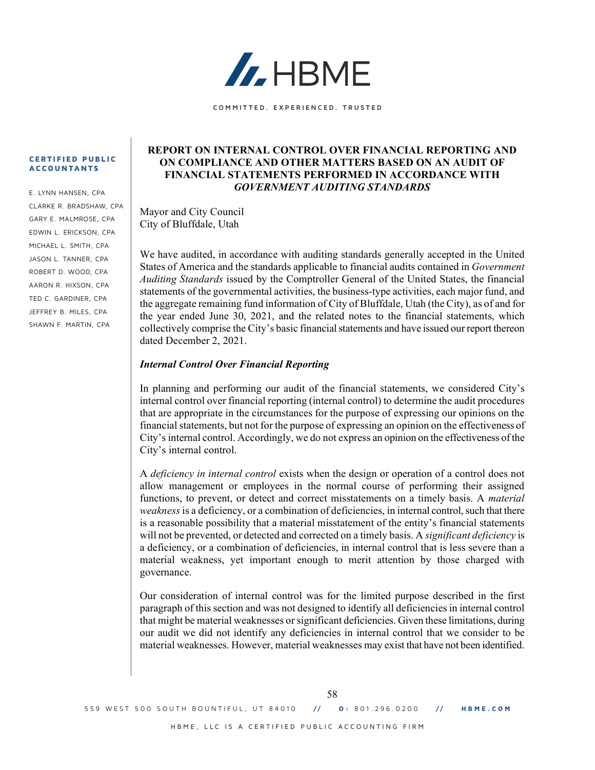

**COMMITTED. EXPERIENCED. TRUSTED**

#### CERTIFIED PUBLIC ACCOUNTANTS

E. LYNN HANSEN, CPA CLARKE R. BRADSHAW, CPA GARY F. MALMROSE, CPA EDWIN L. ERICKSON, CPA MICHAEL L. SMITH, CPA JASON L. TANNER, CPA ROBERT D. WOOD, CPA AARON R. HIXSON, CPA TED C. GARDINER, CPA JEFFREY B. MILES, CPA SHAWN F. MARTIN, CPA

## **REPORT ON INTERNAL CONTROL OVER FINANCIAL REPORTING AND ON COMPLIANCE AND OTHER MATTERS BASED ON AN AUDIT OF FINANCIAL STATEMENTS PERFORMED IN ACCORDANCE WITH** *GOVERNMENT AUDITING STANDARDS*

Mayor and City Council City of Bluffdale, Utah

We have audited, in accordance with auditing standards generally accepted in the United States of America and the standards applicable to financial audits contained in *Government Auditing Standards* issued by the Comptroller General of the United States, the financial statements of the governmental activities, the business-type activities, each major fund, and the aggregate remaining fund information of City of Bluffdale, Utah (the City), as of and for the year ended June 30, 2021, and the related notes to the financial statements, which collectively comprise the City's basic financial statements and have issued our report thereon dated December 2, 2021.

## *Internal Control Over Financial Reporting*

In planning and performing our audit of the financial statements, we considered City's internal control over financial reporting (internal control) to determine the audit procedures that are appropriate in the circumstances for the purpose of expressing our opinions on the financial statements, but not for the purpose of expressing an opinion on the effectiveness of City's internal control. Accordingly, we do not express an opinion on the effectiveness of the City's internal control.

A *deficiency in internal control* exists when the design or operation of a control does not allow management or employees in the normal course of performing their assigned functions, to prevent, or detect and correct misstatements on a timely basis. A *material weakness*is a deficiency, or a combination of deficiencies, in internal control, such that there is a reasonable possibility that a material misstatement of the entity's financial statements will not be prevented, or detected and corrected on a timely basis. A *significant deficiency* is a deficiency, or a combination of deficiencies, in internal control that is less severe than a material weakness, yet important enough to merit attention by those charged with governance.

Our consideration of internal control was for the limited purpose described in the first paragraph of this section and was not designed to identify all deficiencies in internal control that might be material weaknesses or significant deficiencies. Given these limitations, during our audit we did not identify any deficiencies in internal control that we consider to be material weaknesses. However, material weaknesses may exist that have not been identified.

58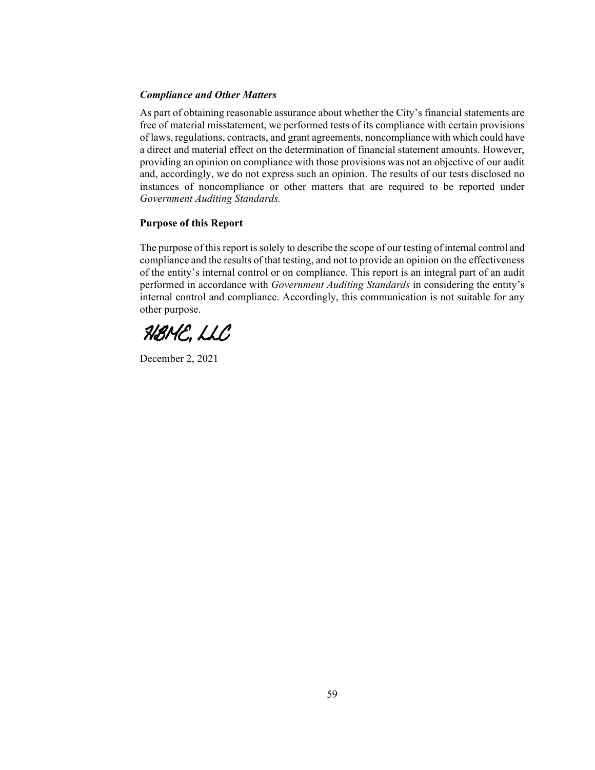#### *Compliance and Other Matters*

As part of obtaining reasonable assurance about whether the City's financial statements are free of material misstatement, we performed tests of its compliance with certain provisions of laws, regulations, contracts, and grant agreements, noncompliance with which could have a direct and material effect on the determination of financial statement amounts. However, providing an opinion on compliance with those provisions was not an objective of our audit and, accordingly, we do not express such an opinion. The results of our tests disclosed no instances of noncompliance or other matters that are required to be reported under *Government Auditing Standards.*

## **Purpose of this Report**

The purpose of this report is solely to describe the scope of our testing of internal control and compliance and the results of that testing, and not to provide an opinion on the effectiveness of the entity's internal control or on compliance. This report is an integral part of an audit performed in accordance with *Government Auditing Standards* in considering the entity's internal control and compliance. Accordingly, this communication is not suitable for any other purpose.

HBME, LLC

December 2, 2021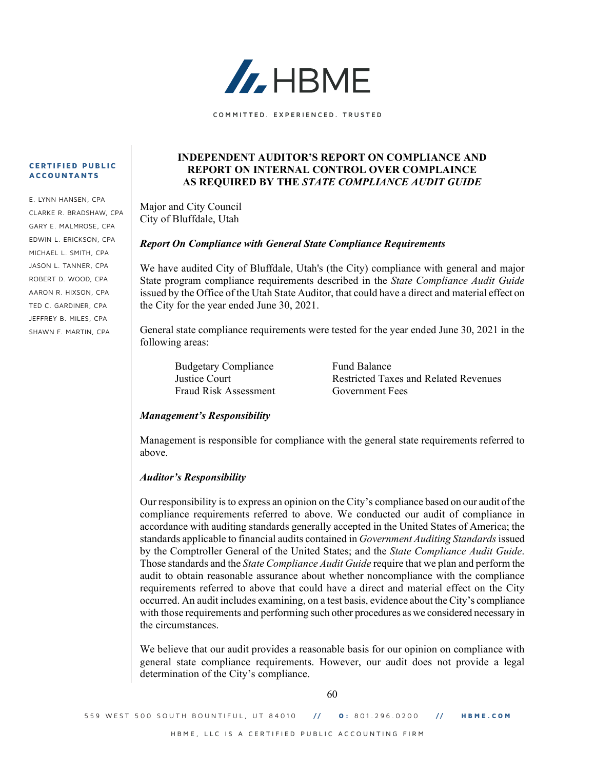

#### **COMMITTED. EXPERIENCED. TRUSTED**

#### CERTIFIED PUBLIC ACCOUNTANTS

E. LYNN HANSEN, CPA

CLARKE R. BRADSHAW, CPA GARY E. MALMROSE, CPA EDWIN L. ERICKSON, CPA MICHAEL L. SMITH, CPA JASON L. TANNER, CPA ROBERT D. WOOD, CPA AARON R. HIXSON, CPA TED C. GARDINER, CPA JEFFREY B. MILES, CPA SHAWN F. MARTIN, CPA

## **INDEPENDENT AUDITOR'S REPORT ON COMPLIANCE AND REPORT ON INTERNAL CONTROL OVER COMPLAINCE AS REQUIRED BY THE** *STATE COMPLIANCE AUDIT GUIDE*

Major and City Council City of Bluffdale, Utah

#### *Report On Compliance with General State Compliance Requirements*

We have audited City of Bluffdale, Utah's (the City) compliance with general and major State program compliance requirements described in the *State Compliance Audit Guide* issued by the Office of the Utah State Auditor, that could have a direct and material effect on the City for the year ended June 30, 2021.

General state compliance requirements were tested for the year ended June 30, 2021 in the following areas:

Budgetary Compliance Justice Court Fraud Risk Assessment Fund Balance Restricted Taxes and Related Revenues Government Fees

#### *Management's Responsibility*

Management is responsible for compliance with the general state requirements referred to above.

#### *Auditor's Responsibility*

Our responsibility is to express an opinion on the City's compliance based on our audit of the compliance requirements referred to above. We conducted our audit of compliance in accordance with auditing standards generally accepted in the United States of America; the standards applicable to financial audits contained in *Government Auditing Standards*issued by the Comptroller General of the United States; and the *State Compliance Audit Guide*. Those standards and the *State Compliance Audit Guide* require that we plan and perform the audit to obtain reasonable assurance about whether noncompliance with the compliance requirements referred to above that could have a direct and material effect on the City occurred. An audit includes examining, on a test basis, evidence about the City's compliance with those requirements and performing such other procedures as we considered necessary in the circumstances.

We believe that our audit provides a reasonable basis for our opinion on compliance with general state compliance requirements. However, our audit does not provide a legal determination of the City's compliance.